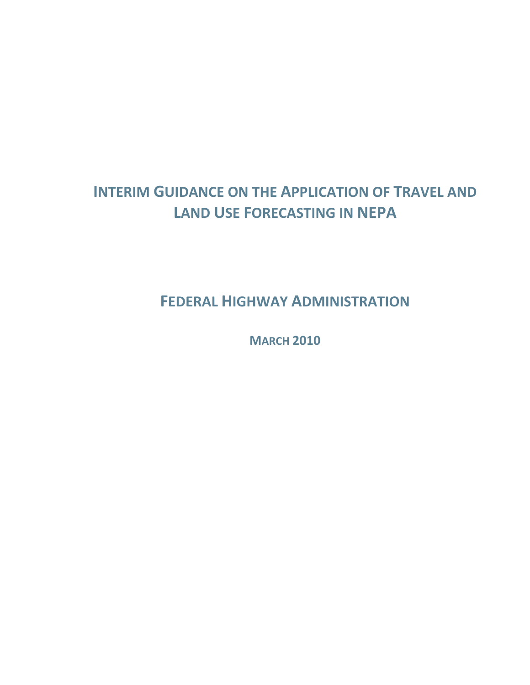# **INTERIM GUIDANCE ON THE APPLICATION OF TRAVEL AND LAND USE FORECASTING IN NEPA**

**FEDERAL HIGHWAY ADMINISTRATION**

**MARCH 2010**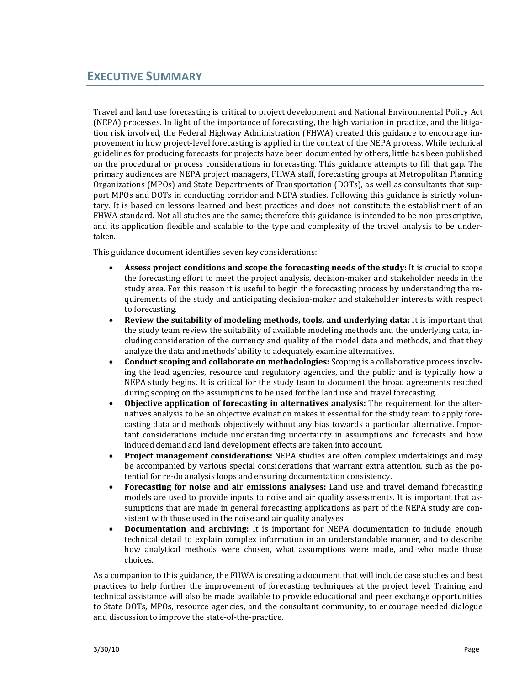Travel and land use forecasting is critical to project development and National Environmental Policy Act (NEPA) processes. In light of the importance of forecasting, the high variation in practice, and the litiga‐ tion risk involved, the Federal Highway Administration (FHWA) created this guidance to encourage im‐ provement in how project-level forecasting is applied in the context of the NEPA process. While technical guidelines for producing forecasts for projects have been documented by others, little has been published on the procedural or process considerations in forecasting. This guidance attempts to fill that gap. The primary audiences are NEPA project managers, FHWA staff, forecasting groups at Metropolitan Planning Organizations (MPOs) and State Departments of Transportation (DOTs), as well as consultants that sup‐ port MPOs and DOTs in conducting corridor and NEPA studies. Following this guidance is strictly voluntary. It is based on lessons learned and best practices and does not constitute the establishment of an FHWA standard. Not all studies are the same; therefore this guidance is intended to be non-prescriptive, and its application flexible and scalable to the type and complexity of the travel analysis to be undertaken.

This guidance document identifies seven key considerations:

- **Assess project conditions and scope the forecasting needs of the study:** It is crucial to scope the forecasting effort to meet the project analysis, decision‐maker and stakeholder needs in the study area. For this reason it is useful to begin the forecasting process by understanding the re‐ quirements of the study and anticipating decision‐maker and stakeholder interests with respect to forecasting.
- **Review the suitability of modeling methods, tools, and underlying data:** It is important that the study team review the suitability of available modeling methods and the underlying data, in‐ cluding consideration of the currency and quality of the model data and methods, and that they analyze the data and methods' ability to adequately examine alternatives.
- **Conduct scoping and collaborate on methodologies:** Scoping is a collaborative process involv‐ ing the lead agencies, resource and regulatory agencies, and the public and is typically how a NEPA study begins. It is critical for the study team to document the broad agreements reached during scoping on the assumptions to be used for the land use and travel forecasting.
- **Objective application of forecasting in alternatives analysis:** The requirement for the alter‐ natives analysis to be an objective evaluation makes it essential for the study team to apply fore‐ casting data and methods objectively without any bias towards a particular alternative. Impor‐ tant considerations include understanding uncertainty in assumptions and forecasts and how induced demand and land development effects are taken into account.
- **Project management considerations:** NEPA studies are often complex undertakings and may be accompanied by various special considerations that warrant extra attention, such as the potential for re‐do analysis loops and ensuring documentation consistency.
- **Forecasting for noise and air emissions analyses:** Land use and travel demand forecasting models are used to provide inputs to noise and air quality assessments. It is important that assumptions that are made in general forecasting applications as part of the NEPA study are consistent with those used in the noise and air quality analyses.
- **Documentation and archiving:** It is important for NEPA documentation to include enough technical detail to explain complex information in an understandable manner, and to describe how analytical methods were chosen, what assumptions were made, and who made those choices.

As a companion to this guidance, the FHWA is creating a document that will include case studies and best practices to help further the improvement of forecasting techniques at the project level. Training and technical assistance will also be made available to provide educational and peer exchange opportunities to State DOTs, MPOs, resource agencies, and the consultant community, to encourage needed dialogue and discussion to improve the state‐of‐the‐practice.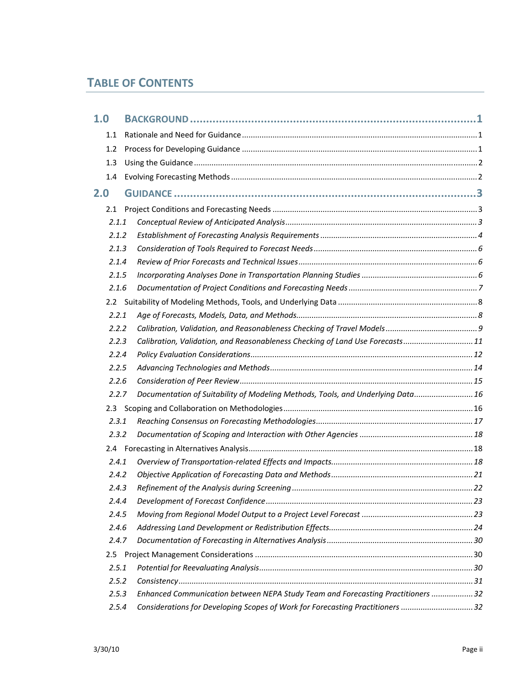## **TABLE OF CONTENTS**

| 1.0   |                                                                                  |  |
|-------|----------------------------------------------------------------------------------|--|
| 1.1   |                                                                                  |  |
| 1.2   |                                                                                  |  |
| 1.3   |                                                                                  |  |
| 1.4   |                                                                                  |  |
| 2.0   |                                                                                  |  |
| 2.1   |                                                                                  |  |
| 2.1.1 |                                                                                  |  |
| 2.1.2 |                                                                                  |  |
| 2.1.3 |                                                                                  |  |
| 2.1.4 |                                                                                  |  |
| 2.1.5 |                                                                                  |  |
| 2.1.6 |                                                                                  |  |
|       |                                                                                  |  |
| 2.2.1 |                                                                                  |  |
| 2.2.2 |                                                                                  |  |
| 2.2.3 | Calibration, Validation, and Reasonableness Checking of Land Use Forecasts11     |  |
| 2.2.4 |                                                                                  |  |
| 2.2.5 |                                                                                  |  |
| 2.2.6 |                                                                                  |  |
| 2.2.7 | Documentation of Suitability of Modeling Methods, Tools, and Underlying Data 16  |  |
|       |                                                                                  |  |
| 2.3.1 |                                                                                  |  |
| 2.3.2 |                                                                                  |  |
|       |                                                                                  |  |
| 2.4.1 |                                                                                  |  |
| 2.4.2 |                                                                                  |  |
| 2.4.3 |                                                                                  |  |
| 2.4.4 |                                                                                  |  |
| 2.4.5 |                                                                                  |  |
| 2.4.6 |                                                                                  |  |
| 2.4.7 |                                                                                  |  |
| 2.5   |                                                                                  |  |
| 2.5.1 |                                                                                  |  |
| 2.5.2 |                                                                                  |  |
| 2.5.3 | Enhanced Communication between NEPA Study Team and Forecasting Practitioners  32 |  |
| 2.5.4 | Considerations for Developing Scopes of Work for Forecasting Practitioners 32    |  |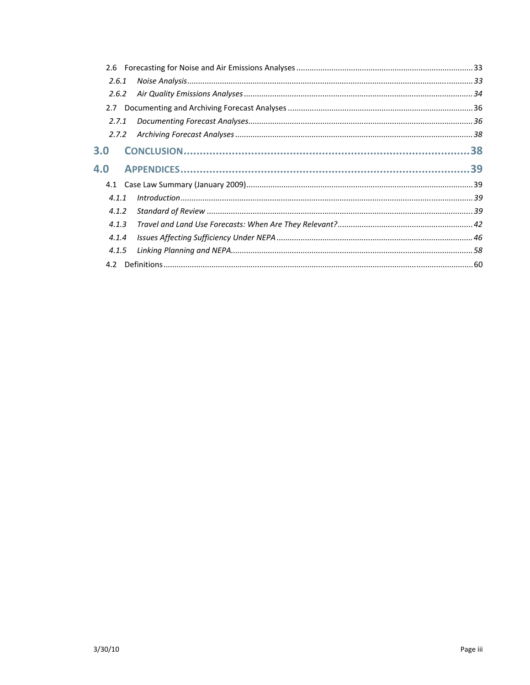| 2.6.1 |       |  |  |  |
|-------|-------|--|--|--|
| 2.6.2 |       |  |  |  |
| 2.7   |       |  |  |  |
| 2.7.1 |       |  |  |  |
| 2.7.2 |       |  |  |  |
| 3.0   |       |  |  |  |
| 4.0   |       |  |  |  |
|       |       |  |  |  |
| 4.1.1 |       |  |  |  |
| 4.1.2 |       |  |  |  |
| 4.1.3 |       |  |  |  |
| 4.1.4 |       |  |  |  |
|       | 4.1.5 |  |  |  |
|       |       |  |  |  |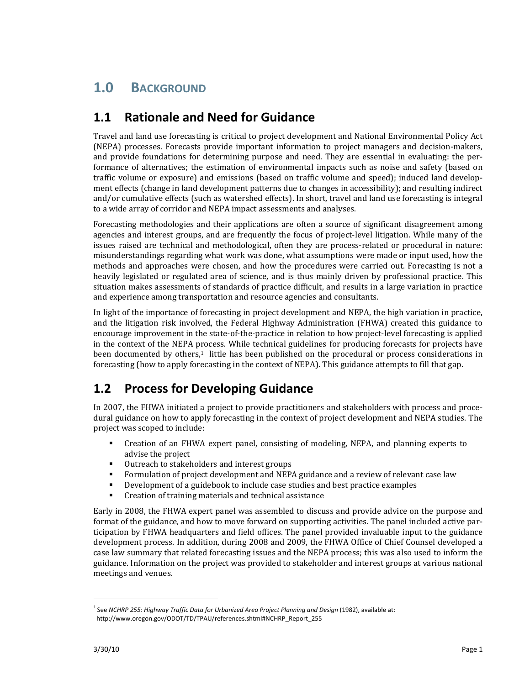# **1.0 BACKGROUND**

# **1.1 Rationale and Need for Guidance**

Travel and land use forecasting is critical to project development and National Environmental Policy Act (NEPA) processes. Forecasts provide important information to project managers and decision‐makers, and provide foundations for determining purpose and need. They are essential in evaluating: the performance of alternatives; the estimation of environmental impacts such as noise and safety (based on traffic volume or exposure) and emissions (based on traffic volume and speed); induced land develop‐ ment effects (change in land development patterns due to changes in accessibility); and resulting indirect and/or cumulative effects (such as watershed effects). In short, travel and land use forecasting is integral to a wide array of corridor and NEPA impact assessments and analyses.

Forecasting methodologies and their applications are often a source of significant disagreement among agencies and interest groups, and are frequently the focus of project‐level litigation. While many of the issues raised are technical and methodological, often they are process-related or procedural in nature: misunderstandings regarding what work was done, what assumptions were made or input used, how the methods and approaches were chosen, and how the procedures were carried out. Forecasting is not a heavily legislated or regulated area of science, and is thus mainly driven by professional practice. This situation makes assessments of standards of practice difficult, and results in a large variation in practice and experience among transportation and resource agencies and consultants.

In light of the importance of forecasting in project development and NEPA, the high variation in practice, and the litigation risk involved, the Federal Highway Administration (FHWA) created this guidance to encourage improvement in the state‐of‐the‐practice in relation to how project‐level forecasting is applied in the context of the NEPA process. While technical guidelines for producing forecasts for projects have been documented by others, $1$  little has been published on the procedural or process considerations in forecasting (how to apply forecasting in the context of NEPA). This guidance attempts to fill that gap.

# **1.2 Process for Developing Guidance**

In 2007, the FHWA initiated a project to provide practitioners and stakeholders with process and procedural guidance on how to apply forecasting in the context of project development and NEPA studies. The project was scoped to include:

- Creation of an FHWA expert panel, consisting of modeling, NEPA, and planning experts to advise the project
- Outreach to stakeholders and interest groups
- Formulation of project development and NEPA guidance and a review of relevant case law
- Development of a guidebook to include case studies and best practice examples
- **Creation of training materials and technical assistance**

Early in 2008, the FHWA expert panel was assembled to discuss and provide advice on the purpose and format of the guidance, and how to move forward on supporting activities. The panel included active participation by FHWA headquarters and field offices. The panel provided invaluable input to the guidance development process. In addition, during 2008 and 2009, the FHWA Office of Chief Counsel developed a case law summary that related forecasting issues and the NEPA process; this was also used to inform the guidance. Information on the project was provided to stakeholder and interest groups at various national meetings and venues.

<sup>1</sup> See *NCHRP 255: Highway Traffic Data for Urbanized Area Project Planning and Design* (1982), available at: http://www.oregon.gov/ODOT/TD/TPAU/references.shtml#NCHRP\_Report\_255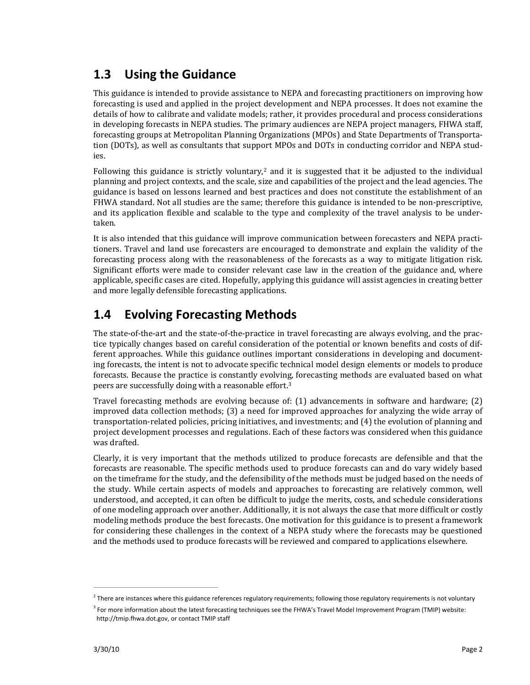# **1.3 Using the Guidance**

This guidance is intended to provide assistance to NEPA and forecasting practitioners on improving how forecasting is used and applied in the project development and NEPA processes. It does not examine the details of how to calibrate and validate models; rather, it provides procedural and process considerations in developing forecasts in NEPA studies. The primary audiences are NEPA project managers, FHWA staff, forecasting groups at Metropolitan Planning Organizations (MPOs) and State Departments of Transporta‐ tion (DOTs), as well as consultants that support MPOs and DOTs in conducting corridor and NEPA stud‐ ies.

Following this guidance is strictly voluntary,<sup>2</sup> and it is suggested that it be adjusted to the individual planning and project contexts, and the scale, size and capabilities of the project and the lead agencies. The guidance is based on lessons learned and best practices and does not constitute the establishment of an FHWA standard. Not all studies are the same; therefore this guidance is intended to be non-prescriptive, and its application flexible and scalable to the type and complexity of the travel analysis to be under‐ taken.

It is also intended that this guidance will improve communication between forecasters and NEPA practitioners. Travel and land use forecasters are encouraged to demonstrate and explain the validity of the forecasting process along with the reasonableness of the forecasts as a way to mitigate litigation risk. Significant efforts were made to consider relevant case law in the creation of the guidance and, where applicable, specific cases are cited. Hopefully, applying this guidance will assist agencies in creating better and more legally defensible forecasting applications.

# **1.4 Evolving Forecasting Methods**

The state-of-the-art and the state-of-the-practice in travel forecasting are always evolving, and the practice typically changes based on careful consideration of the potential or known benefits and costs of dif‐ ferent approaches. While this guidance outlines important considerations in developing and documenting forecasts, the intent is not to advocate specific technical model design elements or models to produce forecasts. Because the practice is constantly evolving, forecasting methods are evaluated based on what peers are successfully doing with a reasonable effort.3

Travel forecasting methods are evolving because of: (1) advancements in software and hardware; (2) improved data collection methods; (3) a need for improved approaches for analyzing the wide array of transportation‐related policies, pricing initiatives, and investments; and (4) the evolution of planning and project development processes and regulations. Each of these factors was considered when this guidance was drafted.

Clearly, it is very important that the methods utilized to produce forecasts are defensible and that the forecasts are reasonable. The specific methods used to produce forecasts can and do vary widely based on the timeframe for the study, and the defensibility of the methods must be judged based on the needs of the study. While certain aspects of models and approaches to forecasting are relatively common, well understood, and accepted, it can often be difficult to judge the merits, costs, and schedule considerations of one modeling approach over another. Additionally, it is not always the case that more difficult or costly modeling methods produce the best forecasts. One motivation for this guidance is to present a framework for considering these challenges in the context of a NEPA study where the forecasts may be questioned and the methods used to produce forecasts will be reviewed and compared to applications elsewhere.

 $^2$  There are instances where this guidance references regulatory requirements; following those regulatory requirements is not voluntary

<sup>&</sup>lt;sup>3</sup> For more information about the latest forecasting techniques see the FHWA's Travel Model Improvement Program (TMIP) website: http://tmip.fhwa.dot.gov, or contact TMIP staff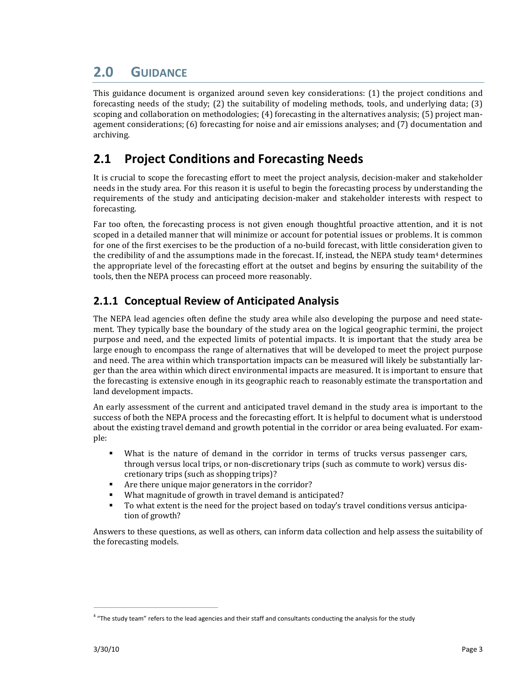# **2.0 GUIDANCE**

This guidance document is organized around seven key considerations: (1) the project conditions and forecasting needs of the study; (2) the suitability of modeling methods, tools, and underlying data; (3) scoping and collaboration on methodologies; (4) forecasting in the alternatives analysis; (5) project management considerations; (6) forecasting for noise and air emissions analyses; and (7) documentation and archiving.

# **2.1 Project Conditions and Forecasting Needs**

It is crucial to scope the forecasting effort to meet the project analysis, decision-maker and stakeholder needs in the study area. For this reason it is useful to begin the forecasting process by understanding the requirements of the study and anticipating decision‐maker and stakeholder interests with respect to forecasting.

Far too often, the forecasting process is not given enough thoughtful proactive attention, and it is not scoped in a detailed manner that will minimize or account for potential issues or problems. It is common for one of the first exercises to be the production of a no‐build forecast, with little consideration given to the credibility of and the assumptions made in the forecast. If, instead, the NEPA study team<sup>4</sup> determines the appropriate level of the forecasting effort at the outset and begins by ensuring the suitability of the tools, then the NEPA process can proceed more reasonably.

## **2.1.1 Conceptual Review of Anticipated Analysis**

The NEPA lead agencies often define the study area while also developing the purpose and need statement. They typically base the boundary of the study area on the logical geographic termini, the project purpose and need, and the expected limits of potential impacts. It is important that the study area be large enough to encompass the range of alternatives that will be developed to meet the project purpose and need. The area within which transportation impacts can be measured will likely be substantially lar‐ ger than the area within which direct environmental impacts are measured. It is important to ensure that the forecasting is extensive enough in its geographic reach to reasonably estimate the transportation and land development impacts.

An early assessment of the current and anticipated travel demand in the study area is important to the success of both the NEPA process and the forecasting effort. It is helpful to document what is understood about the existing travel demand and growth potential in the corridor or area being evaluated. For example:

- What is the nature of demand in the corridor in terms of trucks versus passenger cars, through versus local trips, or non-discretionary trips (such as commute to work) versus discretionary trips (such as shopping trips)?
- Are there unique major generators in the corridor?
- What magnitude of growth in travel demand is anticipated?
- To what extent is the need for the project based on today's travel conditions versus anticipation of growth?

Answers to these questions, as well as others, can inform data collection and help assess the suitability of the forecasting models.

<sup>&</sup>lt;sup>4</sup> "The study team" refers to the lead agencies and their staff and consultants conducting the analysis for the study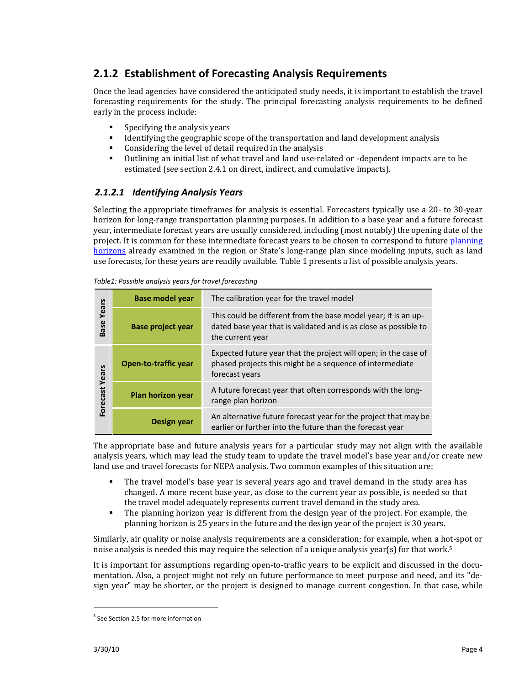## **2.1.2 Establishment of Forecasting Analysis Requirements**

Once the lead agencies have considered the anticipated study needs, it is important to establish the travel forecasting requirements for the study. The principal forecasting analysis requirements to be defined early in the process include:

- $\blacksquare$  Specifying the analysis years
- Identifying the geographic scope of the transportation and land development analysis
- Considering the level of detail required in the analysis
- Outlining an initial list of what travel and land use-related or -dependent impacts are to be estimated (see section 2.4.1 on direct, indirect, and cumulative impacts).

#### *2.1.2.1 Identifying Analysis Years*

Selecting the appropriate timeframes for analysis is essential. Forecasters typically use a 20- to 30-year horizon for long‐range transportation planning purposes. In addition to a base year and a future forecast year, intermediate forecast years are usually considered, including (most notably) the opening date of the project. It is common for these intermediate forecast years to be chosen to correspond to future planning horizons already examined in the region or State's long‐range plan since modeling inputs, such as land use forecasts, for these years are readily available. Table 1 presents a list of possible analysis years.

| Years<br><b>Base</b> | <b>Base model year</b>      | The calibration year for the travel model                                                                                                              |  |
|----------------------|-----------------------------|--------------------------------------------------------------------------------------------------------------------------------------------------------|--|
|                      | <b>Base project year</b>    | This could be different from the base model year; it is an up-<br>dated base year that is validated and is as close as possible to<br>the current year |  |
| Years<br>Forecast    | <b>Open-to-traffic year</b> | Expected future year that the project will open; in the case of<br>phased projects this might be a sequence of intermediate<br>forecast years          |  |
|                      | Plan horizon year           | A future forecast year that often corresponds with the long-<br>range plan horizon                                                                     |  |
|                      | Design year                 | An alternative future forecast year for the project that may be<br>earlier or further into the future than the forecast year                           |  |

*Table1: Possible analysis years for travel forecasting*

The appropriate base and future analysis vears for a particular study may not align with the available analysis years, which may lead the study team to update the travel model's base year and/or create new land use and travel forecasts for NEPA analysis. Two common examples of this situation are:

- The travel model's base year is several years ago and travel demand in the study area has changed. A more recent base year, as close to the current year as possible, is needed so that the travel model adequately represents current travel demand in the study area.
- The planning horizon year is different from the design year of the project. For example, the planning horizon is 25 years in the future and the design year of the project is 30 years.

Similarly, air quality or noise analysis requirements are a consideration; for example, when a hot‐spot or noise analysis is needed this may require the selection of a unique analysis year(s) for that work.<sup>5</sup>

It is important for assumptions regarding open-to-traffic years to be explicit and discussed in the documentation. Also, a project might not rely on future performance to meet purpose and need, and its "de‐ sign year" may be shorter, or the project is designed to manage current congestion. In that case, while

<sup>&</sup>lt;sup>5</sup> See Section 2.5 for more information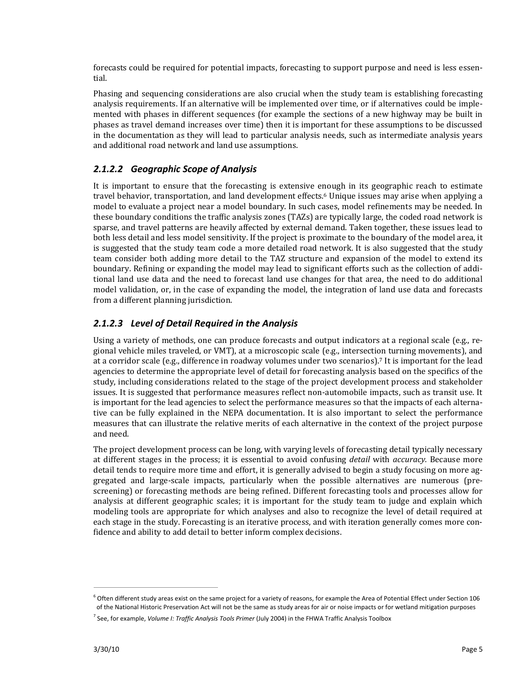forecasts could be required for potential impacts, forecasting to support purpose and need is less essential.

Phasing and sequencing considerations are also crucial when the study team is establishing forecasting analysis requirements. If an alternative will be implemented over time, or if alternatives could be imple‐ mented with phases in different sequences (for example the sections of a new highway may be built in phases as travel demand increases over time) then it is important for these assumptions to be discussed in the documentation as they will lead to particular analysis needs, such as intermediate analysis years and additional road network and land use assumptions.

#### *2.1.2.2 Geographic Scope of Analysis*

It is important to ensure that the forecasting is extensive enough in its geographic reach to estimate travel behavior, transportation, and land development effects.<sup>6</sup> Unique issues may arise when applying a model to evaluate a project near a model boundary. In such cases, model refinements may be needed. In these boundary conditions the traffic analysis zones (TAZs) are typically large, the coded road network is sparse, and travel patterns are heavily affected by external demand. Taken together, these issues lead to both less detail and less model sensitivity. If the project is proximate to the boundary of the model area, it is suggested that the study team code a more detailed road network. It is also suggested that the study team consider both adding more detail to the TAZ structure and expansion of the model to extend its boundary. Refining or expanding the model may lead to significant efforts such as the collection of addi‐ tional land use data and the need to forecast land use changes for that area, the need to do additional model validation, or, in the case of expanding the model, the integration of land use data and forecasts from a different planning jurisdiction.

#### *2.1.2.3 Level of Detail Required in the Analysis*

Using a variety of methods, one can produce forecasts and output indicators at a regional scale (e.g., re‐ gional vehicle miles traveled, or VMT), at a microscopic scale (e.g., intersection turning movements), and at a corridor scale (e.g., difference in roadway volumes under two scenarios).7 It is important for the lead agencies to determine the appropriate level of detail for forecasting analysis based on the specifics of the study, including considerations related to the stage of the project development process and stakeholder issues. It is suggested that performance measures reflect non‐automobile impacts, such as transit use. It is important for the lead agencies to select the performance measures so that the impacts of each alternative can be fully explained in the NEPA documentation. It is also important to select the performance measures that can illustrate the relative merits of each alternative in the context of the project purpose and need.

The project development process can be long, with varying levels of forecasting detail typically necessary at different stages in the process; it is essential to avoid confusing *detail* with *accuracy.* Because more detail tends to require more time and effort, it is generally advised to begin a study focusing on more aggregated and large-scale impacts, particularly when the possible alternatives are numerous (prescreening) or forecasting methods are being refined. Different forecasting tools and processes allow for analysis at different geographic scales; it is important for the study team to judge and explain which modeling tools are appropriate for which analyses and also to recognize the level of detail required at each stage in the study. Forecasting is an iterative process, and with iteration generally comes more confidence and ability to add detail to better inform complex decisions.

 $6$  Often different study areas exist on the same project for a variety of reasons, for example the Area of Potential Effect under Section 106 of the National Historic Preservation Act will not be the same as study areas for air or noise impacts or for wetland mitigation purposes

<sup>7</sup> See, for example, *Volume I: Traffic Analysis Tools Primer* (July 2004) in the FHWA Traffic Analysis Toolbox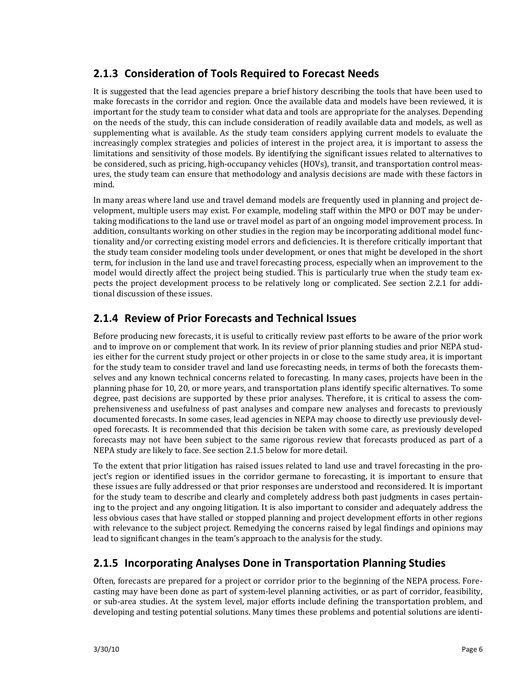## **2.1.3 Consideration of Tools Required to Forecast Needs**

It is suggested that the lead agencies prepare a brief history describing the tools that have been used to make forecasts in the corridor and region. Once the available data and models have been reviewed, it is important for the study team to consider what data and tools are appropriate for the analyses. Depending on the needs of the study, this can include consideration of readily available data and models, as well as supplementing what is available. As the study team considers applying current models to evaluate the increasingly complex strategies and policies of interest in the project area, it is important to assess the limitations and sensitivity of those models. By identifying the significant issues related to alternatives to be considered, such as pricing, high‐occupancy vehicles (HOVs), transit, and transportation control meas‐ ures, the study team can ensure that methodology and analysis decisions are made with these factors in mind.

In many areas where land use and travel demand models are frequently used in planning and project de‐ velopment, multiple users may exist. For example, modeling staff within the MPO or DOT may be under‐ taking modifications to the land use or travel model as part of an ongoing model improvement process. In addition, consultants working on other studies in the region may be incorporating additional model func‐ tionality and/or correcting existing model errors and deficiencies. It is therefore critically important that the study team consider modeling tools under development, or ones that might be developed in the short term, for inclusion in the land use and travel forecasting process, especially when an improvement to the model would directly affect the project being studied. This is particularly true when the study team expects the project development process to be relatively long or complicated. See section 2.2.1 for addi‐ tional discussion of these issues.

## **2.1.4 Review of Prior Forecasts and Technical Issues**

Before producing new forecasts, it is useful to critically review past efforts to be aware of the prior work and to improve on or complement that work. In its review of prior planning studies and prior NEPA stud‐ ies either for the current study project or other projects in or close to the same study area, it is important for the study team to consider travel and land use forecasting needs, in terms of both the forecasts themselves and any known technical concerns related to forecasting. In many cases, projects have been in the planning phase for 10, 20, or more years, and transportation plans identify specific alternatives. To some degree, past decisions are supported by these prior analyses. Therefore, it is critical to assess the com‐ prehensiveness and usefulness of past analyses and compare new analyses and forecasts to previously documented forecasts. In some cases, lead agencies in NEPA may choose to directly use previously devel‐ oped forecasts. It is recommended that this decision be taken with some care, as previously developed forecasts may not have been subject to the same rigorous review that forecasts produced as part of a NEPA study are likely to face. See section 2.1.5 below for more detail.

To the extent that prior litigation has raised issues related to land use and travel forecasting in the pro‐ ject's region or identified issues in the corridor germane to forecasting, it is important to ensure that these issues are fully addressed or that prior responses are understood and reconsidered. It is important for the study team to describe and clearly and completely address both past judgments in cases pertain‐ ing to the project and any ongoing litigation. It is also important to consider and adequately address the less obvious cases that have stalled or stopped planning and project development efforts in other regions with relevance to the subject project. Remedying the concerns raised by legal findings and opinions may lead to significant changes in the team's approach to the analysis for the study.

### **2.1.5 Incorporating Analyses Done in Transportation Planning Studies**

Often, forecasts are prepared for a project or corridor prior to the beginning of the NEPA process. Fore‐ casting may have been done as part of system‐level planning activities, or as part of corridor, feasibility, or sub‐area studies. At the system level, major efforts include defining the transportation problem, and developing and testing potential solutions. Many times these problems and potential solutions are identi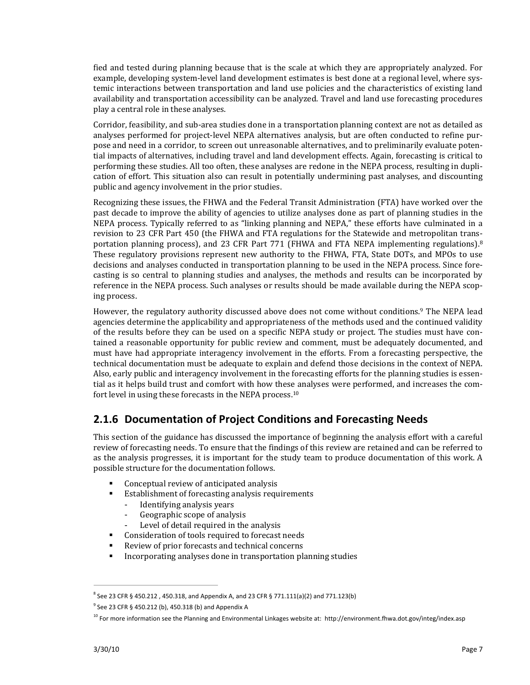fied and tested during planning because that is the scale at which they are appropriately analyzed. For example, developing system-level land development estimates is best done at a regional level, where systemic interactions between transportation and land use policies and the characteristics of existing land availability and transportation accessibility can be analyzed. Travel and land use forecasting procedures play a central role in these analyses.

Corridor, feasibility, and sub‐area studies done in a transportation planning context are not as detailed as analyses performed for project-level NEPA alternatives analysis, but are often conducted to refine purpose and need in a corridor, to screen out unreasonable alternatives, and to preliminarily evaluate poten‐ tial impacts of alternatives, including travel and land development effects. Again, forecasting is critical to performing these studies. All too often, these analyses are redone in the NEPA process, resulting in dupli‐ cation of effort. This situation also can result in potentially undermining past analyses, and discounting public and agency involvement in the prior studies.

Recognizing these issues, the FHWA and the Federal Transit Administration (FTA) have worked over the past decade to improve the ability of agencies to utilize analyses done as part of planning studies in the NEPA process. Typically referred to as "linking planning and NEPA," these efforts have culminated in a revision to 23 CFR Part 450 (the FHWA and FTA regulations for the Statewide and metropolitan transportation planning process), and 23 CFR Part 771 (FHWA and FTA NEPA implementing regulations).<sup>8</sup> These regulatory provisions represent new authority to the FHWA, FTA, State DOTs, and MPOs to use decisions and analyses conducted in transportation planning to be used in the NEPA process. Since fore‐ casting is so central to planning studies and analyses, the methods and results can be incorporated by reference in the NEPA process. Such analyses or results should be made available during the NEPA scoping process.

However, the regulatory authority discussed above does not come without conditions.9 The NEPA lead agencies determine the applicability and appropriateness of the methods used and the continued validity of the results before they can be used on a specific NEPA study or project. The studies must have con‐ tained a reasonable opportunity for public review and comment, must be adequately documented, and must have had appropriate interagency involvement in the efforts. From a forecasting perspective, the technical documentation must be adequate to explain and defend those decisions in the context of NEPA. Also, early public and interagency involvement in the forecasting efforts for the planning studies is essen‐ tial as it helps build trust and comfort with how these analyses were performed, and increases the comfort level in using these forecasts in the NEPA process.10

## **2.1.6 Documentation of Project Conditions and Forecasting Needs**

This section of the guidance has discussed the importance of beginning the analysis effort with a careful review of forecasting needs. To ensure that the findings of this review are retained and can be referred to as the analysis progresses, it is important for the study team to produce documentation of this work. A possible structure for the documentation follows.

- Conceptual review of anticipated analysis
- **Establishment of forecasting analysis requirements** 
	- Identifying analysis years
	- Geographic scope of analysis
	- Level of detail required in the analysis
- **Consideration of tools required to forecast needs**
- Review of prior forecasts and technical concerns
- **Incorporating analyses done in transportation planning studies**

 $8$  See 23 CFR § 450.212, 450.318, and Appendix A, and 23 CFR § 771.11(a)(2) and 771.123(b)

 $9^9$  See 23 CFR § 450.212 (b), 450.318 (b) and Appendix A

 $10$  For more information see the Planning and Environmental Linkages website at: http://environment.fhwa.dot.gov/integ/index.asp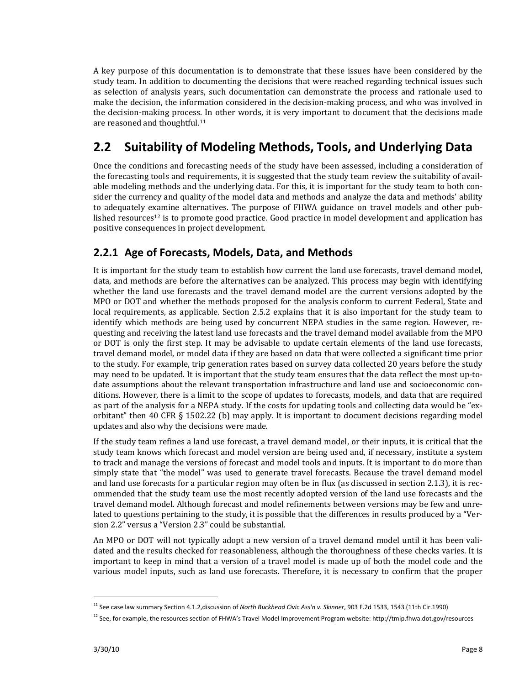A key purpose of this documentation is to demonstrate that these issues have been considered by the study team. In addition to documenting the decisions that were reached regarding technical issues such as selection of analysis years, such documentation can demonstrate the process and rationale used to make the decision, the information considered in the decision‐making process, and who was involved in the decision-making process. In other words, it is very important to document that the decisions made are reasoned and thoughtful.<sup>11</sup>

# **2.2 Suitability of Modeling Methods, Tools, and Underlying Data**

Once the conditions and forecasting needs of the study have been assessed, including a consideration of the forecasting tools and requirements, it is suggested that the study team review the suitability of available modeling methods and the underlying data. For this, it is important for the study team to both consider the currency and quality of the model data and methods and analyze the data and methods' ability to adequately examine alternatives. The purpose of FHWA guidance on travel models and other pub‐ lished resources<sup>12</sup> is to promote good practice. Good practice in model development and application has positive consequences in project development.

## **2.2.1 Age of Forecasts, Models, Data, and Methods**

It is important for the study team to establish how current the land use forecasts, travel demand model, data, and methods are before the alternatives can be analyzed. This process may begin with identifying whether the land use forecasts and the travel demand model are the current versions adopted by the MPO or DOT and whether the methods proposed for the analysis conform to current Federal, State and local requirements, as applicable. Section 2.5.2 explains that it is also important for the study team to identify which methods are being used by concurrent NEPA studies in the same region. However, requesting and receiving the latest land use forecasts and the travel demand model available from the MPO or DOT is only the first step. It may be advisable to update certain elements of the land use forecasts, travel demand model, or model data if they are based on data that were collected a significant time prior to the study. For example, trip generation rates based on survey data collected 20 years before the study may need to be updated. It is important that the study team ensures that the data reflect the most up-todate assumptions about the relevant transportation infrastructure and land use and socioeconomic conditions. However, there is a limit to the scope of updates to forecasts, models, and data that are required as part of the analysis for a NEPA study. If the costs for updating tools and collecting data would be "exorbitant" then 40 CFR § 1502.22 (b) may apply. It is important to document decisions regarding model updates and also why the decisions were made.

If the study team refines a land use forecast, a travel demand model, or their inputs, it is critical that the study team knows which forecast and model version are being used and, if necessary, institute a system to track and manage the versions of forecast and model tools and inputs. It is important to do more than simply state that "the model" was used to generate travel forecasts. Because the travel demand model and land use forecasts for a particular region may often be in flux (as discussed in section 2.1.3), it is rec‐ ommended that the study team use the most recently adopted version of the land use forecasts and the travel demand model. Although forecast and model refinements between versions may be few and unre‐ lated to questions pertaining to the study, it is possible that the differences in results produced by a "Ver‐ sion 2.2" versus a "Version 2.3" could be substantial.

An MPO or DOT will not typically adopt a new version of a travel demand model until it has been vali‐ dated and the results checked for reasonableness, although the thoroughness of these checks varies. It is important to keep in mind that a version of a travel model is made up of both the model code and the various model inputs, such as land use forecasts. Therefore, it is necessary to confirm that the proper

<sup>11</sup> See case law summary Section 4.1.2,discussion of *North Buckhead Civic Ass'n v. Skinner*, 903 F.2d 1533, 1543 (11th Cir.1990)

<sup>&</sup>lt;sup>12</sup> See, for example, the resources section of FHWA's Travel Model Improvement Program website: http://tmip.fhwa.dot.gov/resources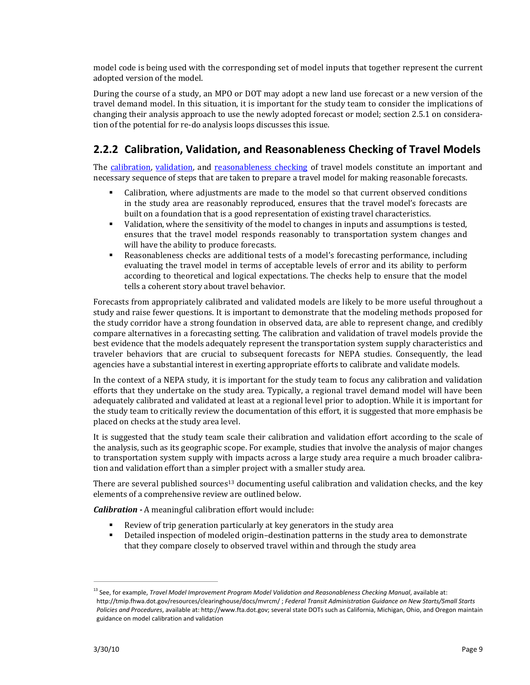model code is being used with the corresponding set of model inputs that together represent the current adopted version of the model.

During the course of a study, an MPO or DOT may adopt a new land use forecast or a new version of the travel demand model. In this situation, it is important for the study team to consider the implications of changing their analysis approach to use the newly adopted forecast or model; section 2.5.1 on considera‐ tion of the potential for re‐do analysis loops discusses this issue.

# **2.2.2 Calibration, Validation, and Reasonableness Checking of Travel Models**

The calibration, validation, and reasonableness checking of travel models constitute an important and necessary sequence of steps that are taken to prepare a travel model for making reasonable forecasts.

- Calibration, where adjustments are made to the model so that current observed conditions in the study area are reasonably reproduced, ensures that the travel model's forecasts are built on a foundation that is a good representation of existing travel characteristics.
- Validation, where the sensitivity of the model to changes in inputs and assumptions is tested, ensures that the travel model responds reasonably to transportation system changes and will have the ability to produce forecasts.
- Reasonableness checks are additional tests of a model's forecasting performance, including evaluating the travel model in terms of acceptable levels of error and its ability to perform according to theoretical and logical expectations. The checks help to ensure that the model tells a coherent story about travel behavior.

Forecasts from appropriately calibrated and validated models are likely to be more useful throughout a study and raise fewer questions. It is important to demonstrate that the modeling methods proposed for the study corridor have a strong foundation in observed data, are able to represent change, and credibly compare alternatives in a forecasting setting. The calibration and validation of travel models provide the best evidence that the models adequately represent the transportation system supply characteristics and traveler behaviors that are crucial to subsequent forecasts for NEPA studies. Consequently, the lead agencies have a substantial interest in exerting appropriate efforts to calibrate and validate models.

In the context of a NEPA study, it is important for the study team to focus any calibration and validation efforts that they undertake on the study area. Typically, a regional travel demand model will have been adequately calibrated and validated at least at a regional level prior to adoption. While it is important for the study team to critically review the documentation of this effort, it is suggested that more emphasis be placed on checks at the study area level.

It is suggested that the study team scale their calibration and validation effort according to the scale of the analysis, such as its geographic scope. For example, studies that involve the analysis of major changes to transportation system supply with impacts across a large study area require a much broader calibration and validation effort than a simpler project with a smaller study area.

There are several published sources<sup>13</sup> documenting useful calibration and validation checks, and the key elements of a comprehensive review are outlined below.

*Calibration*  A meaningful calibration effort would include:

- Review of trip generation particularly at key generators in the study area
- Detailed inspection of modeled origin–destination patterns in the study area to demonstrate that they compare closely to observed travel within and through the study area

<sup>13</sup> See, for example, *Travel Model Improvement Program Model Validation and Reasonableness Checking Manual*, available at: http://tmip.fhwa.dot.gov/resources/clearinghouse/docs/mvrcm/ ; *Federal Transit Administration Guidance on New Starts/Small Starts Policies and Procedures*, available at: http://www.fta.dot.gov; several state DOTs such as California, Michigan, Ohio, and Oregon maintain guidance on model calibration and validation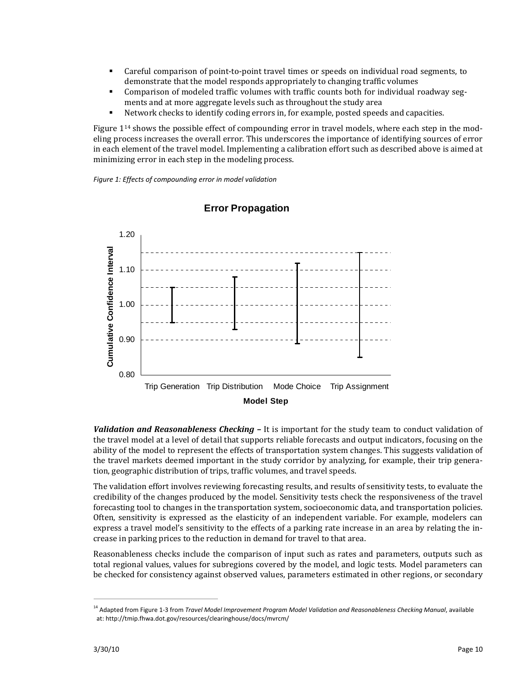- Careful comparison of point-to-point travel times or speeds on individual road segments, to demonstrate that the model responds appropriately to changing traffic volumes
- Comparison of modeled traffic volumes with traffic counts both for individual roadway segments and at more aggregate levels such as throughout the study area
- Network checks to identify coding errors in, for example, posted speeds and capacities.

Figure  $1^{14}$  shows the possible effect of compounding error in travel models, where each step in the modeling process increases the overall error. This underscores the importance of identifying sources of error in each element of the travel model. Implementing a calibration effort such as described above is aimed at minimizing error in each step in the modeling process.

*Figure 1: Effects of compounding error in model validation*



#### **Error Propagation**

*Validation and Reasonableness Checking –* It is important for the study team to conduct validation of the travel model at a level of detail that supports reliable forecasts and output indicators, focusing on the ability of the model to represent the effects of transportation system changes. This suggests validation of the travel markets deemed important in the study corridor by analyzing, for example, their trip genera‐ tion, geographic distribution of trips, traffic volumes, and travel speeds.

The validation effort involves reviewing forecasting results, and results of sensitivity tests, to evaluate the credibility of the changes produced by the model. Sensitivity tests check the responsiveness of the travel forecasting tool to changes in the transportation system, socioeconomic data, and transportation policies. Often, sensitivity is expressed as the elasticity of an independent variable. For example, modelers can express a travel model's sensitivity to the effects of a parking rate increase in an area by relating the increase in parking prices to the reduction in demand for travel to that area.

Reasonableness checks include the comparison of input such as rates and parameters, outputs such as total regional values, values for subregions covered by the model, and logic tests. Model parameters can be checked for consistency against observed values, parameters estimated in other regions, or secondary

<sup>14</sup> Adapted from Figure 1‐3 from *Travel Model Improvement Program Model Validation and Reasonableness Checking Manual*, available at: http://tmip.fhwa.dot.gov/resources/clearinghouse/docs/mvrcm/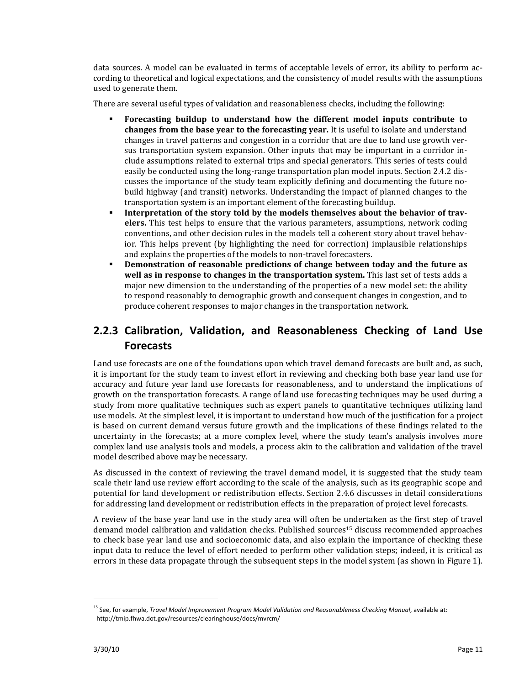data sources. A model can be evaluated in terms of acceptable levels of error, its ability to perform according to theoretical and logical expectations, and the consistency of model results with the assumptions used to generate them.

There are several useful types of validation and reasonableness checks, including the following:

- **Forecasting buildup to understand how the different model inputs contribute to changes from the base year to the forecasting year.** It is useful to isolate and understand changes in travel patterns and congestion in a corridor that are due to land use growth ver‐ sus transportation system expansion. Other inputs that may be important in a corridor in‐ clude assumptions related to external trips and special generators. This series of tests could easily be conducted using the long‐range transportation plan model inputs. Section 2.4.2 dis‐ cusses the importance of the study team explicitly defining and documenting the future no‐ build highway (and transit) networks. Understanding the impact of planned changes to the transportation system is an important element of the forecasting buildup.
- **Interpretation of the story told by the models themselves about the behavior of travelers.** This test helps to ensure that the various parameters, assumptions, network coding conventions, and other decision rules in the models tell a coherent story about travel behavior. This helps prevent (by highlighting the need for correction) implausible relationships and explains the properties of the models to non-travel forecasters.
- **Demonstration of reasonable predictions of change between today and the future as well as in response to changes in the transportation system.** This last set of tests adds a major new dimension to the understanding of the properties of a new model set: the ability to respond reasonably to demographic growth and consequent changes in congestion, and to produce coherent responses to major changes in the transportation network.

# **2.2.3 Calibration, Validation, and Reasonableness Checking of Land Use Forecasts**

Land use forecasts are one of the foundations upon which travel demand forecasts are built and, as such, it is important for the study team to invest effort in reviewing and checking both base year land use for accuracy and future year land use forecasts for reasonableness, and to understand the implications of growth on the transportation forecasts. A range of land use forecasting techniques may be used during a study from more qualitative techniques such as expert panels to quantitative techniques utilizing land use models. At the simplest level, it is important to understand how much of the justification for a project is based on current demand versus future growth and the implications of these findings related to the uncertainty in the forecasts; at a more complex level, where the study team's analysis involves more complex land use analysis tools and models, a process akin to the calibration and validation of the travel model described above may be necessary.

As discussed in the context of reviewing the travel demand model, it is suggested that the study team scale their land use review effort according to the scale of the analysis, such as its geographic scope and potential for land development or redistribution effects. Section 2.4.6 discusses in detail considerations for addressing land development or redistribution effects in the preparation of project level forecasts.

A review of the base year land use in the study area will often be undertaken as the first step of travel demand model calibration and validation checks. Published sources<sup>15</sup> discuss recommended approaches to check base year land use and socioeconomic data, and also explain the importance of checking these input data to reduce the level of effort needed to perform other validation steps; indeed, it is critical as errors in these data propagate through the subsequent steps in the model system (as shown in Figure 1).

<sup>15</sup> See, for example, *Travel Model Improvement Program Model Validation and Reasonableness Checking Manual*, available at: http://tmip.fhwa.dot.gov/resources/clearinghouse/docs/mvrcm/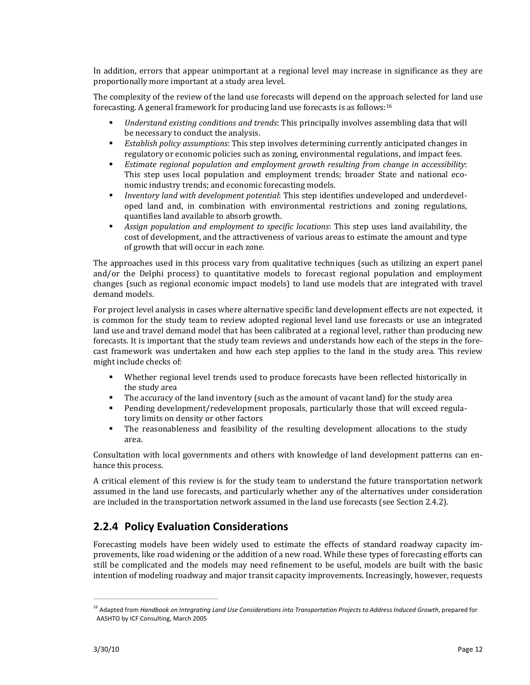In addition, errors that appear unimportant at a regional level may increase in significance as they are proportionally more important at a study area level.

The complexity of the review of the land use forecasts will depend on the approach selected for land use forecasting. A general framework for producing land use forecasts is as follows:16

- *Understand existing conditions and trends*: This principally involves assembling data that will be necessary to conduct the analysis.
- *Establish policy assumptions*: This step involves determining currently anticipated changes in regulatory or economic policies such as zoning, environmental regulations, and impact fees.
- *Estimate regional population and employment growth resulting from change in accessibility*: This step uses local population and employment trends; broader State and national economic industry trends; and economic forecasting models.
- *Inventory land with development potential*: This step identifies undeveloped and underdevel‐ oped land and, in combination with environmental restrictions and zoning regulations, quantifies land available to absorb growth.
- *Assign population and employment to specific locations*: This step uses land availability, the cost of development, and the attractiveness of various areas to estimate the amount and type of growth that will occur in each zone.

The approaches used in this process vary from qualitative techniques (such as utilizing an expert panel and/or the Delphi process) to quantitative models to forecast regional population and employment changes (such as regional economic impact models) to land use models that are integrated with travel demand models.

For project level analysis in cases where alternative specific land development effects are not expected, it is common for the study team to review adopted regional level land use forecasts or use an integrated land use and travel demand model that has been calibrated at a regional level, rather than producing new forecasts. It is important that the study team reviews and understands how each of the steps in the fore‐ cast framework was undertaken and how each step applies to the land in the study area. This review might include checks of:

- Whether regional level trends used to produce forecasts have been reflected historically in the study area
- The accuracy of the land inventory (such as the amount of vacant land) for the study area
- Pending development/redevelopment proposals, particularly those that will exceed regulatory limits on density or other factors
- The reasonableness and feasibility of the resulting development allocations to the study area.

Consultation with local governments and others with knowledge of land development patterns can en‐ hance this process.

A critical element of this review is for the study team to understand the future transportation network assumed in the land use forecasts, and particularly whether any of the alternatives under consideration are included in the transportation network assumed in the land use forecasts (see Section 2.4.2).

## **2.2.4 Policy Evaluation Considerations**

Forecasting models have been widely used to estimate the effects of standard roadway capacity improvements, like road widening or the addition of a new road. While these types of forecasting efforts can still be complicated and the models may need refinement to be useful, models are built with the basic intention of modeling roadway and major transit capacity improvements. Increasingly, however, requests

<sup>16</sup> Adapted from *Handbook on Integrating Land Use Considerations into Transportation Projects to Address Induced Growth*, prepared for AASHTO by ICF Consulting, March 2005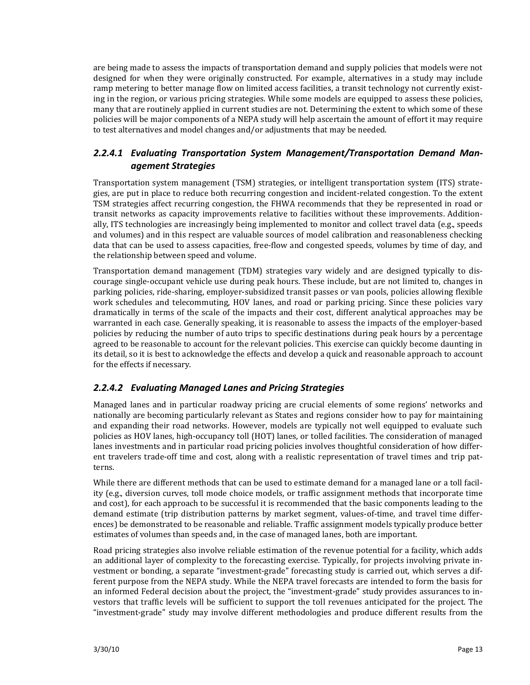are being made to assess the impacts of transportation demand and supply policies that models were not designed for when they were originally constructed. For example, alternatives in a study may include ramp metering to better manage flow on limited access facilities, a transit technology not currently existing in the region, or various pricing strategies. While some models are equipped to assess these policies, many that are routinely applied in current studies are not. Determining the extent to which some of these policies will be major components of a NEPA study will help ascertain the amount of effort it may require to test alternatives and model changes and/or adjustments that may be needed.

#### *2.2.4.1 Evaluating Transportation System Management/Transportation Demand Man‐ agement Strategies*

Transportation system management (TSM) strategies, or intelligent transportation system (ITS) strate‐ gies, are put in place to reduce both recurring congestion and incident‐related congestion. To the extent TSM strategies affect recurring congestion, the FHWA recommends that they be represented in road or transit networks as capacity improvements relative to facilities without these improvements. Additionally, ITS technologies are increasingly being implemented to monitor and collect travel data (e.g., speeds and volumes) and in this respect are valuable sources of model calibration and reasonableness checking data that can be used to assess capacities, free‐flow and congested speeds, volumes by time of day, and the relationship between speed and volume.

Transportation demand management (TDM) strategies vary widely and are designed typically to dis‐ courage single‐occupant vehicle use during peak hours. These include, but are not limited to, changes in parking policies, ride‐sharing, employer‐subsidized transit passes or van pools, policies allowing flexible work schedules and telecommuting, HOV lanes, and road or parking pricing. Since these policies vary dramatically in terms of the scale of the impacts and their cost, different analytical approaches may be warranted in each case. Generally speaking, it is reasonable to assess the impacts of the employer‐based policies by reducing the number of auto trips to specific destinations during peak hours by a percentage agreed to be reasonable to account for the relevant policies. This exercise can quickly become daunting in its detail, so it is best to acknowledge the effects and develop a quick and reasonable approach to account for the effects if necessary.

#### *2.2.4.2 Evaluating Managed Lanes and Pricing Strategies*

Managed lanes and in particular roadway pricing are crucial elements of some regions' networks and nationally are becoming particularly relevant as States and regions consider how to pay for maintaining and expanding their road networks. However, models are typically not well equipped to evaluate such policies as HOV lanes, high‐occupancy toll (HOT) lanes, or tolled facilities. The consideration of managed lanes investments and in particular road pricing policies involves thoughtful consideration of how differ‐ ent travelers trade-off time and cost, along with a realistic representation of travel times and trip patterns.

While there are different methods that can be used to estimate demand for a managed lane or a toll facil– ity (e.g., diversion curves, toll mode choice models, or traffic assignment methods that incorporate time and cost), for each approach to be successful it is recommended that the basic components leading to the demand estimate (trip distribution patterns by market segment, values-of-time, and travel time differences) be demonstrated to be reasonable and reliable. Traffic assignment models typically produce better estimates of volumes than speeds and, in the case of managed lanes, both are important.

Road pricing strategies also involve reliable estimation of the revenue potential for a facility, which adds an additional layer of complexity to the forecasting exercise. Typically, for projects involving private in‐ vestment or bonding, a separate "investment‐grade" forecasting study is carried out, which serves a dif‐ ferent purpose from the NEPA study. While the NEPA travel forecasts are intended to form the basis for an informed Federal decision about the project, the "investment‐grade" study provides assurances to in‐ vestors that traffic levels will be sufficient to support the toll revenues anticipated for the project. The "investment‐grade" study may involve different methodologies and produce different results from the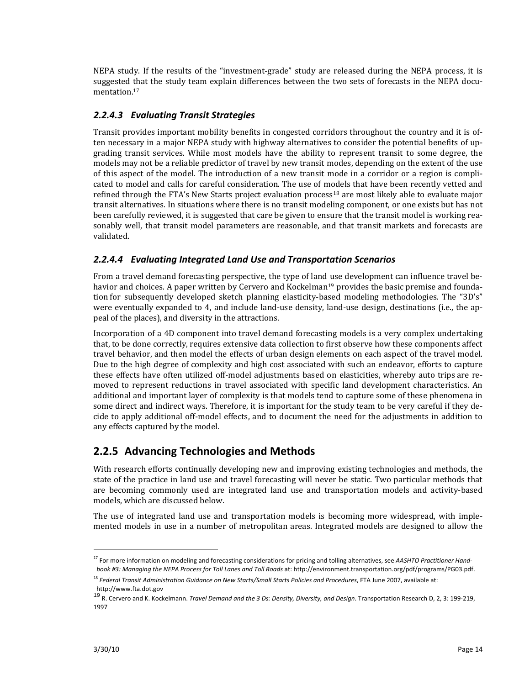NEPA study. If the results of the "investment‐grade" study are released during the NEPA process, it is suggested that the study team explain differences between the two sets of forecasts in the NEPA documentation.<sup>17</sup>

#### *2.2.4.3 Evaluating Transit Strategies*

Transit provides important mobility benefits in congested corridors throughout the country and it is of‐ ten necessary in a major NEPA study with highway alternatives to consider the potential benefits of up‐ grading transit services. While most models have the ability to represent transit to some degree, the models may not be a reliable predictor of travel by new transit modes, depending on the extent of the use of this aspect of the model. The introduction of a new transit mode in a corridor or a region is compli‐ cated to model and calls for careful consideration. The use of models that have been recently vetted and refined through the FTA's New Starts project evaluation process<sup>18</sup> are most likely able to evaluate major transit alternatives. In situations where there is no transit modeling component, or one exists but has not been carefully reviewed, it is suggested that care be given to ensure that the transit model is working reasonably well, that transit model parameters are reasonable, and that transit markets and forecasts are validated.

#### *2.2.4.4 Evaluating Integrated Land Use and Transportation Scenarios*

From a travel demand forecasting perspective, the type of land use development can influence travel be‐ havior and choices. A paper written by Cervero and Kockelman<sup>19</sup> provides the basic premise and foundation for subsequently developed sketch planning elasticity‐based modeling methodologies. The "3D's" were eventually expanded to 4, and include land-use density, land-use design, destinations (i.e., the appeal of the places), and diversity in the attractions.

Incorporation of a 4D component into travel demand forecasting models is a very complex undertaking that, to be done correctly, requires extensive data collection to first observe how these components affect travel behavior, and then model the effects of urban design elements on each aspect of the travel model. Due to the high degree of complexity and high cost associated with such an endeavor, efforts to capture these effects have often utilized off-model adjustments based on elasticities, whereby auto trips are removed to represent reductions in travel associated with specific land development characteristics. An additional and important layer of complexity is that models tend to capture some of these phenomena in some direct and indirect ways. Therefore, it is important for the study team to be very careful if they decide to apply additional off‐model effects, and to document the need for the adjustments in addition to any effects captured by the model.

### **2.2.5 Advancing Technologies and Methods**

With research efforts continually developing new and improving existing technologies and methods, the state of the practice in land use and travel forecasting will never be static. Two particular methods that are becoming commonly used are integrated land use and transportation models and activity‐based models, which are discussed below.

The use of integrated land use and transportation models is becoming more widespread, with implemented models in use in a number of metropolitan areas. Integrated models are designed to allow the

<sup>17</sup> For more information on modeling and forecasting considerations for pricing and tolling alternatives, see *AASHTO Practitioner Hand‐ book #3: Managing the NEPA Process for Toll Lanes and Toll Roads* at: http://environment.transportation.org/pdf/programs/PG03.pdf.

<sup>18</sup> *Federal Transit Administration Guidance on New Starts/Small Starts Policies and Procedures*, FTA June 2007, available at: http://www.fta.dot.gov

<sup>19</sup> R. Cervero and K. Kockelmann. *Travel Demand and the 3 Ds: Density, Diversity, and Design*. Transportation Research D, 2, 3: 199‐219, 1997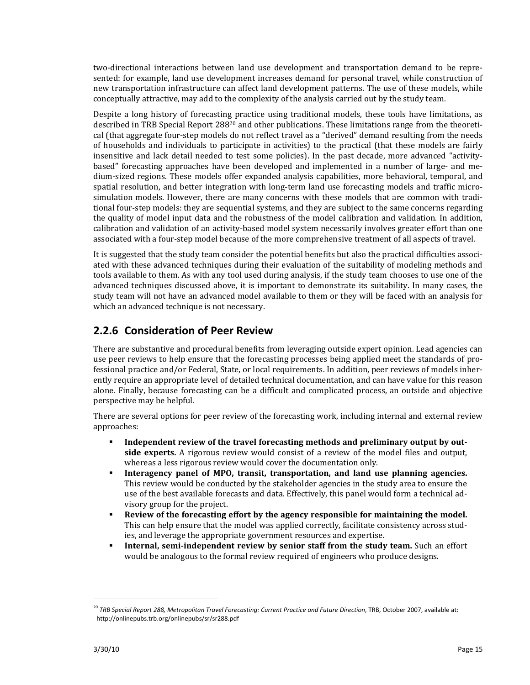two‐directional interactions between land use development and transportation demand to be repre‐ sented: for example, land use development increases demand for personal travel, while construction of new transportation infrastructure can affect land development patterns. The use of these models, while conceptually attractive, may add to the complexity of the analysis carried out by the study team.

Despite a long history of forecasting practice using traditional models, these tools have limitations, as described in TRB Special Report 288<sup>20</sup> and other publications. These limitations range from the theoretical (that aggregate four‐step models do not reflect travel as a "derived" demand resulting from the needs of households and individuals to participate in activities) to the practical (that these models are fairly insensitive and lack detail needed to test some policies). In the past decade, more advanced "activitybased" forecasting approaches have been developed and implemented in a number of large- and medium‐sized regions. These models offer expanded analysis capabilities, more behavioral, temporal, and spatial resolution, and better integration with long-term land use forecasting models and traffic microsimulation models. However, there are many concerns with these models that are common with traditional four‐step models: they are sequential systems, and they are subject to the same concerns regarding the quality of model input data and the robustness of the model calibration and validation. In addition, calibration and validation of an activity-based model system necessarily involves greater effort than one associated with a four‐step model because of the more comprehensive treatment of all aspects of travel.

It is suggested that the study team consider the potential benefits but also the practical difficulties associated with these advanced techniques during their evaluation of the suitability of modeling methods and tools available to them. As with any tool used during analysis, if the study team chooses to use one of the advanced techniques discussed above, it is important to demonstrate its suitability. In many cases, the study team will not have an advanced model available to them or they will be faced with an analysis for which an advanced technique is not necessary.

## **2.2.6 Consideration of Peer Review**

There are substantive and procedural benefits from leveraging outside expert opinion. Lead agencies can use peer reviews to help ensure that the forecasting processes being applied meet the standards of professional practice and/or Federal, State, or local requirements. In addition, peer reviews of models inherently require an appropriate level of detailed technical documentation, and can have value for this reason alone. Finally, because forecasting can be a difficult and complicated process, an outside and objective perspective may be helpful.

There are several options for peer review of the forecasting work, including internal and external review approaches:

- **Independent review of the travel forecasting methods and preliminary output by out**side experts. A rigorous review would consist of a review of the model files and output, whereas a less rigorous review would cover the documentation only.
- **Interagency panel of MPO, transit, transportation, and land use planning agencies.** This review would be conducted by the stakeholder agencies in the study area to ensure the use of the best available forecasts and data. Effectively, this panel would form a technical advisory group for the project.
- **Review of the forecasting effort by the agency responsible for maintaining the model.** This can help ensure that the model was applied correctly, facilitate consistency across studies, and leverage the appropriate government resources and expertise.
- **Internal, semiindependent review by senior staff from the study team.** Such an effort would be analogous to the formal review required of engineers who produce designs.

<sup>20</sup> *TRB Special Report 288, Metropolitan Travel Forecasting: Current Practice and Future Direction*, TRB, October 2007, available at: http://onlinepubs.trb.org/onlinepubs/sr/sr288.pdf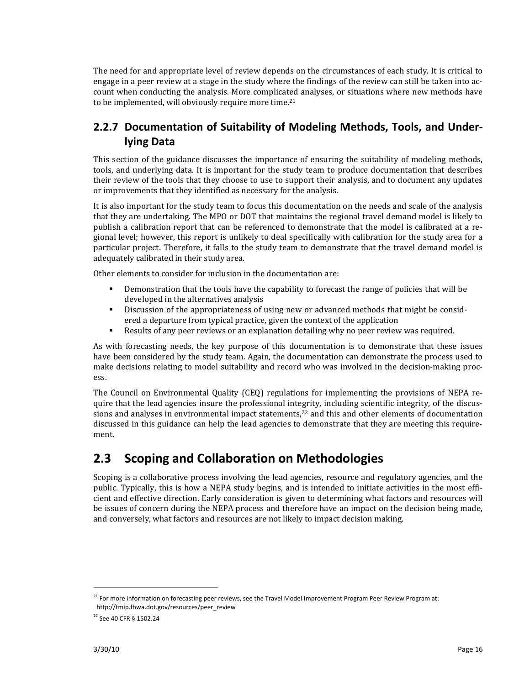The need for and appropriate level of review depends on the circumstances of each study. It is critical to engage in a peer review at a stage in the study where the findings of the review can still be taken into account when conducting the analysis. More complicated analyses, or situations where new methods have to be implemented, will obviously require more time.<sup>21</sup>

## **2.2.7 Documentation of Suitability of Modeling Methods, Tools, and Under‐ lying Data**

This section of the guidance discusses the importance of ensuring the suitability of modeling methods, tools, and underlying data. It is important for the study team to produce documentation that describes their review of the tools that they choose to use to support their analysis, and to document any updates or improvements that they identified as necessary for the analysis.

It is also important for the study team to focus this documentation on the needs and scale of the analysis that they are undertaking. The MPO or DOT that maintains the regional travel demand model is likely to publish a calibration report that can be referenced to demonstrate that the model is calibrated at a regional level; however, this report is unlikely to deal specifically with calibration for the study area for a particular project. Therefore, it falls to the study team to demonstrate that the travel demand model is adequately calibrated in their study area.

Other elements to consider for inclusion in the documentation are:

- **•** Demonstration that the tools have the capability to forecast the range of policies that will be developed in the alternatives analysis
- **•** Discussion of the appropriateness of using new or advanced methods that might be considered a departure from typical practice, given the context of the application
- Results of any peer reviews or an explanation detailing why no peer review was required.

As with forecasting needs, the key purpose of this documentation is to demonstrate that these issues have been considered by the study team. Again, the documentation can demonstrate the process used to make decisions relating to model suitability and record who was involved in the decision-making process.

The Council on Environmental Quality (CEQ) regulations for implementing the provisions of NEPA require that the lead agencies insure the professional integrity, including scientific integrity, of the discussions and analyses in environmental impact statements, $2<sup>2</sup>$  and this and other elements of documentation discussed in this guidance can help the lead agencies to demonstrate that they are meeting this requirement.

# **2.3 Scoping and Collaboration on Methodologies**

Scoping is a collaborative process involving the lead agencies, resource and regulatory agencies, and the public. Typically, this is how a NEPA study begins, and is intended to initiate activities in the most effi‐ cient and effective direction. Early consideration is given to determining what factors and resources will be issues of concern during the NEPA process and therefore have an impact on the decision being made, and conversely, what factors and resources are not likely to impact decision making.

<sup>&</sup>lt;sup>21</sup> For more information on forecasting peer reviews, see the Travel Model Improvement Program Peer Review Program at: http://tmip.fhwa.dot.gov/resources/peer\_review

<sup>22</sup> See 40 CFR § 1502.24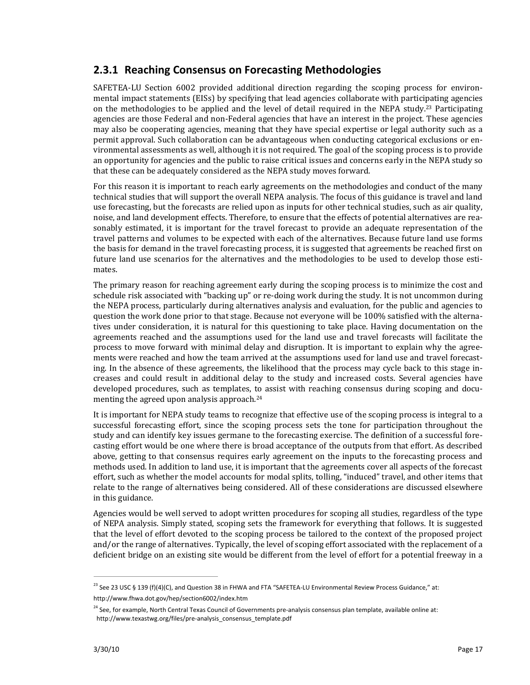## **2.3.1 Reaching Consensus on Forecasting Methodologies**

SAFETEA-LU Section 6002 provided additional direction regarding the scoping process for environmental impact statements (EISs) by specifying that lead agencies collaborate with participating agencies on the methodologies to be applied and the level of detail required in the NEPA study.<sup>23</sup> Participating agencies are those Federal and non‐Federal agencies that have an interest in the project. These agencies may also be cooperating agencies, meaning that they have special expertise or legal authority such as a permit approval. Such collaboration can be advantageous when conducting categorical exclusions or en‐ vironmental assessments as well, although it is not required. The goal of the scoping process is to provide an opportunity for agencies and the public to raise critical issues and concerns early in the NEPA study so that these can be adequately considered as the NEPA study moves forward.

For this reason it is important to reach early agreements on the methodologies and conduct of the many technical studies that will support the overall NEPA analysis. The focus of this guidance is travel and land use forecasting, but the forecasts are relied upon as inputs for other technical studies, such as air quality, noise, and land development effects. Therefore, to ensure that the effects of potential alternatives are reasonably estimated, it is important for the travel forecast to provide an adequate representation of the travel patterns and volumes to be expected with each of the alternatives. Because future land use forms the basis for demand in the travel forecasting process, it is suggested that agreements be reached first on future land use scenarios for the alternatives and the methodologies to be used to develop those estimates.

The primary reason for reaching agreement early during the scoping process is to minimize the cost and schedule risk associated with "backing up" or re-doing work during the study. It is not uncommon during the NEPA process, particularly during alternatives analysis and evaluation, for the public and agencies to question the work done prior to that stage. Because not everyone will be 100% satisfied with the alterna‐ tives under consideration, it is natural for this questioning to take place. Having documentation on the agreements reached and the assumptions used for the land use and travel forecasts will facilitate the process to move forward with minimal delay and disruption. It is important to explain why the agree‐ ments were reached and how the team arrived at the assumptions used for land use and travel forecasting. In the absence of these agreements, the likelihood that the process may cycle back to this stage increases and could result in additional delay to the study and increased costs. Several agencies have developed procedures, such as templates, to assist with reaching consensus during scoping and documenting the agreed upon analysis approach.24

It is important for NEPA study teams to recognize that effective use of the scoping process is integral to a successful forecasting effort, since the scoping process sets the tone for participation throughout the study and can identify key issues germane to the forecasting exercise. The definition of a successful fore‐ casting effort would be one where there is broad acceptance of the outputs from that effort. As described above, getting to that consensus requires early agreement on the inputs to the forecasting process and methods used. In addition to land use, it is important that the agreements cover all aspects of the forecast effort, such as whether the model accounts for modal splits, tolling, "induced" travel, and other items that relate to the range of alternatives being considered. All of these considerations are discussed elsewhere in this guidance.

Agencies would be well served to adopt written procedures for scoping all studies, regardless of the type of NEPA analysis. Simply stated, scoping sets the framework for everything that follows. It is suggested that the level of effort devoted to the scoping process be tailored to the context of the proposed project and/or the range of alternatives. Typically, the level of scoping effort associated with the replacement of a deficient bridge on an existing site would be different from the level of effort for a potential freeway in a

<sup>&</sup>lt;sup>23</sup> See 23 USC § 139 (f)(4)(C), and Question 38 in FHWA and FTA "SAFETEA-LU Environmental Review Process Guidance," at: http://www.fhwa.dot.gov/hep/section6002/index.htm

<sup>&</sup>lt;sup>24</sup> See, for example, North Central Texas Council of Governments pre-analysis consensus plan template, available online at: http://www.texastwg.org/files/pre‐analysis\_consensus\_template.pdf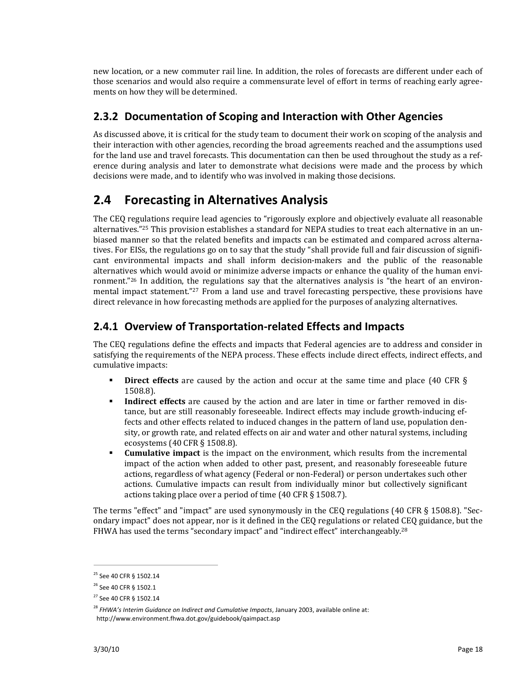new location, or a new commuter rail line. In addition, the roles of forecasts are different under each of those scenarios and would also require a commensurate level of effort in terms of reaching early agree‐ ments on how they will be determined.

### **2.3.2 Documentation of Scoping and Interaction with Other Agencies**

As discussed above, it is critical for the study team to document their work on scoping of the analysis and their interaction with other agencies, recording the broad agreements reached and the assumptions used for the land use and travel forecasts. This documentation can then be used throughout the study as a ref‐ erence during analysis and later to demonstrate what decisions were made and the process by which decisions were made, and to identify who was involved in making those decisions.

# **2.4 Forecasting in Alternatives Analysis**

The CEQ regulations require lead agencies to "rigorously explore and objectively evaluate all reasonable alternatives."<sup>25</sup> This provision establishes a standard for NEPA studies to treat each alternative in an unbiased manner so that the related benefits and impacts can be estimated and compared across alterna‐ tives. For EISs, the regulations go on to say that the study "shall provide full and fair discussion of signifi‐ cant environmental impacts and shall inform decision‐makers and the public of the reasonable alternatives which would avoid or minimize adverse impacts or enhance the quality of the human environment."<sup>26</sup> In addition, the regulations say that the alternatives analysis is "the heart of an environmental impact statement."<sup>27</sup> From a land use and travel forecasting perspective, these provisions have direct relevance in how forecasting methods are applied for the purposes of analyzing alternatives.

## **2.4.1 Overview of Transportation‐related Effects and Impacts**

The CEQ regulations define the effects and impacts that Federal agencies are to address and consider in satisfying the requirements of the NEPA process. These effects include direct effects, indirect effects, and cumulative impacts:

- **Direct effects** are caused by the action and occur at the same time and place (40 CFR § 1508.8).
- **Indirect effects** are caused by the action and are later in time or farther removed in distance, but are still reasonably foreseeable. Indirect effects may include growth‐inducing ef‐ fects and other effects related to induced changes in the pattern of land use, population den‐ sity, or growth rate, and related effects on air and water and other natural systems, including ecosystems (40 CFR § 1508.8).
- **Cumulative impact** is the impact on the environment, which results from the incremental impact of the action when added to other past, present, and reasonably foreseeable future actions, regardless of what agency (Federal or non‐Federal) or person undertakes such other actions. Cumulative impacts can result from individually minor but collectively significant actions taking place over a period of time (40 CFR § 1508.7).

The terms "effect" and "impact" are used synonymously in the CEQ regulations (40 CFR § 1508.8). "Sec‐ ondary impact" does not appear, nor is it defined in the CEQ regulations or related CEQ guidance, but the FHWA has used the terms "secondary impact" and "indirect effect" interchangeably.28

<sup>&</sup>lt;sup>25</sup> See 40 CFR § 1502.14

<sup>&</sup>lt;sup>26</sup> See 40 CFR § 1502.1

<sup>27</sup> See 40 CFR § 1502.14

<sup>28</sup> *FHWA's Interim Guidance on Indirect and Cumulative Impacts*, January 2003, available online at: http://www.environment.fhwa.dot.gov/guidebook/qaimpact.asp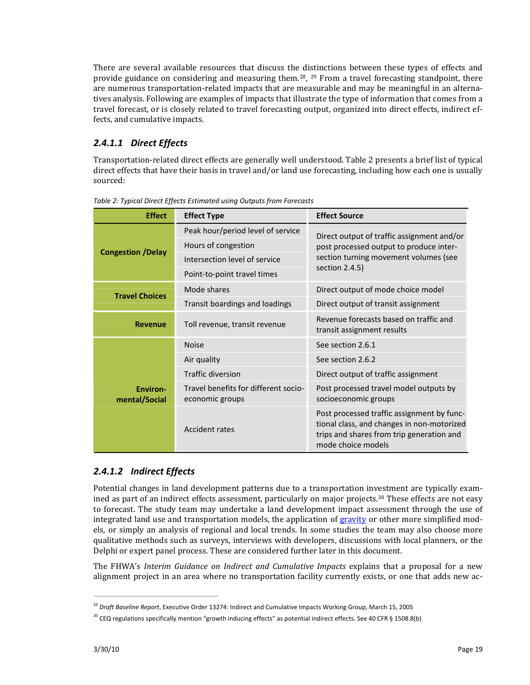There are several available resources that discuss the distinctions between these types of effects and provide guidance on considering and measuring them.<sup>28</sup>,  $^{29}$  From a travel forecasting standpoint, there are numerous transportation-related impacts that are measurable and may be meaningful in an alternatives analysis. Following are examples of impacts that illustrate the type of information that comes from a travel forecast, or is closely related to travel forecasting output, organized into direct effects, indirect ef‐ fects, and cumulative impacts.

### *2.4.1.1 Direct Effects*

Transportation‐related direct effects are generally well understood. Table 2 presents a brief list of typical direct effects that have their basis in travel and/or land use forecasting, including how each one is usually sourced:

| <b>Effect</b>                    | <b>Effect Type</b>                                      | <b>Effect Source</b>                                                                                                                                        |
|----------------------------------|---------------------------------------------------------|-------------------------------------------------------------------------------------------------------------------------------------------------------------|
|                                  | Peak hour/period level of service                       | Direct output of traffic assignment and/or                                                                                                                  |
|                                  | Hours of congestion                                     | post processed output to produce inter-<br>section turning movement volumes (see<br>section $2.4.5$ )                                                       |
| <b>Congestion /Delay</b>         | Intersection level of service                           |                                                                                                                                                             |
|                                  | Point-to-point travel times                             |                                                                                                                                                             |
| <b>Travel Choices</b>            | Mode shares                                             | Direct output of mode choice model                                                                                                                          |
|                                  | Transit boardings and loadings                          | Direct output of transit assignment                                                                                                                         |
| <b>Revenue</b>                   | Toll revenue, transit revenue                           | Revenue forecasts based on traffic and<br>transit assignment results                                                                                        |
|                                  | <b>Noise</b>                                            | See section 2.6.1                                                                                                                                           |
|                                  | Air quality                                             | See section 2.6.2                                                                                                                                           |
|                                  | <b>Traffic diversion</b>                                | Direct output of traffic assignment                                                                                                                         |
| <b>Environ-</b><br>mental/Social | Travel benefits for different socio-<br>economic groups | Post processed travel model outputs by<br>socioeconomic groups                                                                                              |
|                                  | Accident rates                                          | Post processed traffic assignment by func-<br>tional class, and changes in non-motorized<br>trips and shares from trip generation and<br>mode choice models |

*Table 2: Typical Direct Effects Estimated using Outputs from Forecasts*

### *2.4.1.2 Indirect Effects*

Potential changes in land development patterns due to a transportation investment are typically exam‐ ined as part of an indirect effects assessment, particularly on major projects.<sup>30</sup> These effects are not easy to forecast. The study team may undertake a land development impact assessment through the use of integrated land use and transportation models, the application of gravity or other more simplified models, or simply an analysis of regional and local trends. In some studies the team may also choose more qualitative methods such as surveys, interviews with developers, discussions with local planners, or the Delphi or expert panel process. These are considered further later in this document.

The FHWA's *Interim Guidance on Indirect and Cumulative Impacts* explains that a proposal for a new alignment project in an area where no transportation facility currently exists, or one that adds new ac-

<sup>29</sup> *Draft Baseline Report*, Executive Order 13274: Indirect and Cumulative Impacts Working Group, March 15, 2005

 $30$  CEQ regulations specifically mention "growth inducing effects" as potential indirect effects. See 40 CFR § 1508.8(b)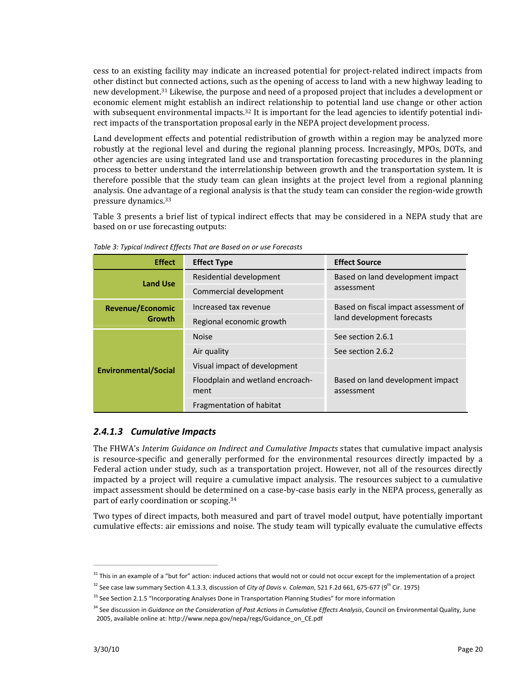cess to an existing facility may indicate an increased potential for project‐related indirect impacts from other distinct but connected actions, such as the opening of access to land with a new highway leading to new development.31 Likewise, the purpose and need of a proposed project that includes a development or economic element might establish an indirect relationship to potential land use change or other action with subsequent environmental impacts.<sup>32</sup> It is important for the lead agencies to identify potential indirect impacts of the transportation proposal early in the NEPA project development process.

Land development effects and potential redistribution of growth within a region may be analyzed more robustly at the regional level and during the regional planning process. Increasingly, MPOs, DOTs, and other agencies are using integrated land use and transportation forecasting procedures in the planning process to better understand the interrelationship between growth and the transportation system. It is therefore possible that the study team can glean insights at the project level from a regional planning analysis. One advantage of a regional analysis is that the study team can consider the region‐wide growth pressure dynamics.33

Table 3 presents a brief list of typical indirect effects that may be considered in a NEPA study that are based on or use forecasting outputs:

| <b>Effect</b>               | <b>Effect Type</b>                       | <b>Effect Source</b>                           |
|-----------------------------|------------------------------------------|------------------------------------------------|
| <b>Land Use</b>             | Residential development                  | Based on land development impact               |
|                             | Commercial development                   | assessment                                     |
| <b>Revenue/Economic</b>     | Increased tax revenue                    | Based on fiscal impact assessment of           |
| <b>Growth</b>               | Regional economic growth                 | land development forecasts                     |
|                             | <b>Noise</b>                             | See section 2.6.1                              |
|                             | Air quality                              | See section 2.6.2                              |
| <b>Environmental/Social</b> | Visual impact of development             |                                                |
|                             | Floodplain and wetland encroach-<br>ment | Based on land development impact<br>assessment |
|                             | Fragmentation of habitat                 |                                                |

*Table 3: Typical Indirect Effects That are Based on or use Forecasts*

#### *2.4.1.3 Cumulative Impacts*

The FHWA's *Interim Guidance on Indirect and Cumulative Impacts* states that cumulative impact analysis is resource‐specific and generally performed for the environmental resources directly impacted by a Federal action under study, such as a transportation project. However, not all of the resources directly impacted by a project will require a cumulative impact analysis. The resources subject to a cumulative impact assessment should be determined on a case-by-case basis early in the NEPA process, generally as part of early coordination or scoping.34

Two types of direct impacts, both measured and part of travel model output, have potentially important cumulative effects: air emissions and noise. The study team will typically evaluate the cumulative effects

<sup>&</sup>lt;sup>31</sup> This in an example of a "but for" action: induced actions that would not or could not occur except for the implementation of a project

<sup>32</sup> See case law summary Section 4.1.3.3, discussion of *City of Davis v. Coleman*, 521 F.2d 661, 675‐677 (9th Cir. 1975)

<sup>&</sup>lt;sup>33</sup> See Section 2.1.5 "Incorporating Analyses Done in Transportation Planning Studies" for more information

<sup>34</sup> See discussion in *Guidance on the Consideration of Past Actions in Cumulative Effects Analysis*, Council on Environmental Quality, June 2005, available online at: http://www.nepa.gov/nepa/regs/Guidance\_on\_CE.pdf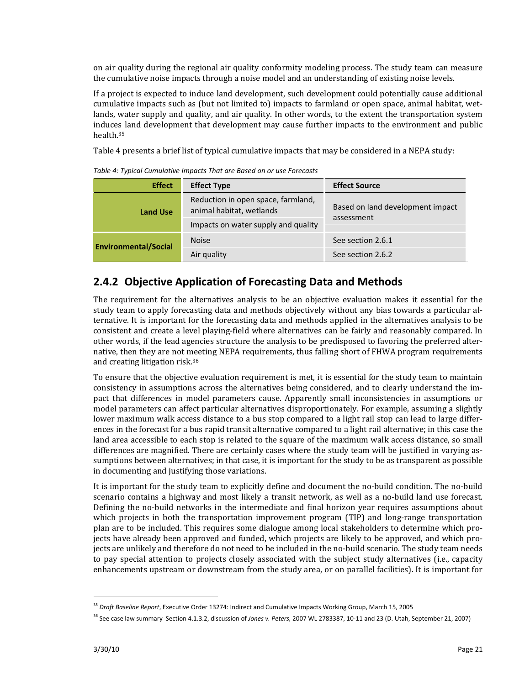on air quality during the regional air quality conformity modeling process. The study team can measure the cumulative noise impacts through a noise model and an understanding of existing noise levels.

If a project is expected to induce land development, such development could potentially cause additional cumulative impacts such as (but not limited to) impacts to farmland or open space, animal habitat, wet‐ lands, water supply and quality, and air quality. In other words, to the extent the transportation system induces land development that development may cause further impacts to the environment and public health.35

Table 4 presents a brief list of typical cumulative impacts that may be considered in a NEPA study:

*Table 4: Typical Cumulative Impacts That are Based on or use Forecasts*

| <b>Effect</b>               | <b>Effect Type</b>                                             | <b>Effect Source</b>                           |  |
|-----------------------------|----------------------------------------------------------------|------------------------------------------------|--|
| <b>Land Use</b>             | Reduction in open space, farmland,<br>animal habitat, wetlands | Based on land development impact<br>assessment |  |
|                             | Impacts on water supply and quality                            |                                                |  |
| <b>Environmental/Social</b> | <b>Noise</b>                                                   | See section 2.6.1                              |  |
|                             | Air quality                                                    | See section 2.6.2                              |  |

### **2.4.2 Objective Application of Forecasting Data and Methods**

The requirement for the alternatives analysis to be an objective evaluation makes it essential for the study team to apply forecasting data and methods objectively without any bias towards a particular al‐ ternative. It is important for the forecasting data and methods applied in the alternatives analysis to be consistent and create a level playing‐field where alternatives can be fairly and reasonably compared. In other words, if the lead agencies structure the analysis to be predisposed to favoring the preferred alter‐ native, then they are not meeting NEPA requirements, thus falling short of FHWA program requirements and creating litigation risk.36

To ensure that the objective evaluation requirement is met, it is essential for the study team to maintain consistency in assumptions across the alternatives being considered, and to clearly understand the im‐ pact that differences in model parameters cause. Apparently small inconsistencies in assumptions or model parameters can affect particular alternatives disproportionately. For example, assuming a slightly lower maximum walk access distance to a bus stop compared to a light rail stop can lead to large differences in the forecast for a bus rapid transit alternative compared to a light rail alternative; in this case the land area accessible to each stop is related to the square of the maximum walk access distance, so small differences are magnified. There are certainly cases where the study team will be justified in varying as‐ sumptions between alternatives; in that case, it is important for the study to be as transparent as possible in documenting and justifying those variations.

It is important for the study team to explicitly define and document the no‐build condition. The no‐build scenario contains a highway and most likely a transit network, as well as a no-build land use forecast. Defining the no-build networks in the intermediate and final horizon year requires assumptions about which projects in both the transportation improvement program (TIP) and long-range transportation plan are to be included. This requires some dialogue among local stakeholders to determine which pro‐ jects have already been approved and funded, which projects are likely to be approved, and which projects are unlikely and therefore do not need to be included in the no‐build scenario. The study team needs to pay special attention to projects closely associated with the subject study alternatives (i.e., capacity enhancements upstream or downstream from the study area, or on parallel facilities). It is important for

<sup>35</sup> *Draft Baseline Report*, Executive Order 13274: Indirect and Cumulative Impacts Working Group, March 15, 2005

<sup>36</sup> See case law summary Section 4.1.3.2, discussion of *Jones v. Peters,* 2007 WL 2783387, 10‐11 and 23 (D. Utah, September 21, 2007)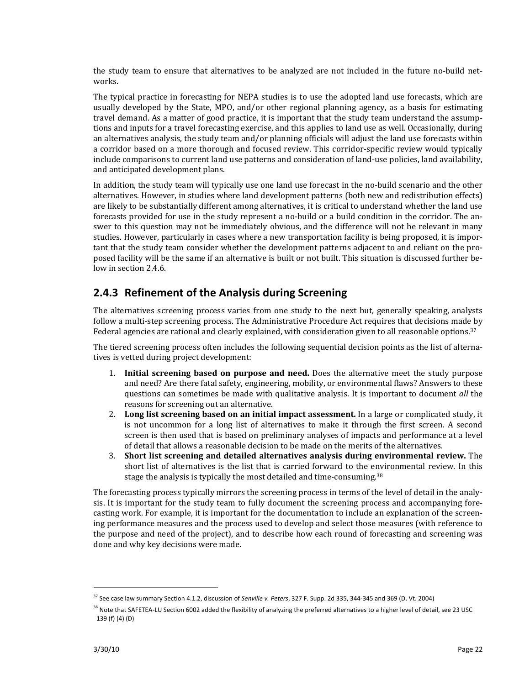the study team to ensure that alternatives to be analyzed are not included in the future no-build networks.

The typical practice in forecasting for NEPA studies is to use the adopted land use forecasts, which are usually developed by the State, MPO, and/or other regional planning agency, as a basis for estimating travel demand. As a matter of good practice, it is important that the study team understand the assump‐ tions and inputs for a travel forecasting exercise, and this applies to land use as well. Occasionally, during an alternatives analysis, the study team and/or planning officials will adjust the land use forecasts within a corridor based on a more thorough and focused review. This corridor‐specific review would typically include comparisons to current land use patterns and consideration of land‐use policies, land availability, and anticipated development plans.

In addition, the study team will typically use one land use forecast in the no-build scenario and the other alternatives. However, in studies where land development patterns (both new and redistribution effects) are likely to be substantially different among alternatives, it is critical to understand whether the land use forecasts provided for use in the study represent a no‐build or a build condition in the corridor. The an‐ swer to this question may not be immediately obvious, and the difference will not be relevant in many studies. However, particularly in cases where a new transportation facility is being proposed, it is impor‐ tant that the study team consider whether the development patterns adjacent to and reliant on the proposed facility will be the same if an alternative is built or not built. This situation is discussed further be‐ low in section 2.4.6.

### **2.4.3 Refinement of the Analysis during Screening**

The alternatives screening process varies from one study to the next but, generally speaking, analysts follow a multi‐step screening process. The Administrative Procedure Act requires that decisions made by Federal agencies are rational and clearly explained, with consideration given to all reasonable options.<sup>37</sup>

The tiered screening process often includes the following sequential decision points as the list of alternatives is vetted during project development:

- 1. **Initial screening based on purpose and need.** Does the alternative meet the study purpose and need? Are there fatal safety, engineering, mobility, or environmental flaws? Answers to these questions can sometimes be made with qualitative analysis. It is important to document *all* the reasons for screening out an alternative.
- 2. **Long list screening based on an initial impact assessment.** In a large or complicated study, it is not uncommon for a long list of alternatives to make it through the first screen. A second screen is then used that is based on preliminary analyses of impacts and performance at a level of detail that allows a reasonable decision to be made on the merits of the alternatives.
- 3. **Short list screening and detailed alternatives analysis during environmental review.** The short list of alternatives is the list that is carried forward to the environmental review. In this stage the analysis is typically the most detailed and time-consuming.<sup>38</sup>

The forecasting process typically mirrors the screening process in terms of the level of detail in the analysis. It is important for the study team to fully document the screening process and accompanying forecasting work. For example, it is important for the documentation to include an explanation of the screen‐ ing performance measures and the process used to develop and select those measures (with reference to the purpose and need of the project), and to describe how each round of forecasting and screening was done and why key decisions were made.

<sup>37</sup> See case law summary Section 4.1.2, discussion of *Senville v. Peters*, 327 F. Supp. 2d 335, 344‐345 and 369 (D. Vt. 2004)

<sup>&</sup>lt;sup>38</sup> Note that SAFETEA-LU Section 6002 added the flexibility of analyzing the preferred alternatives to a higher level of detail, see 23 USC 139 (f) (4) (D)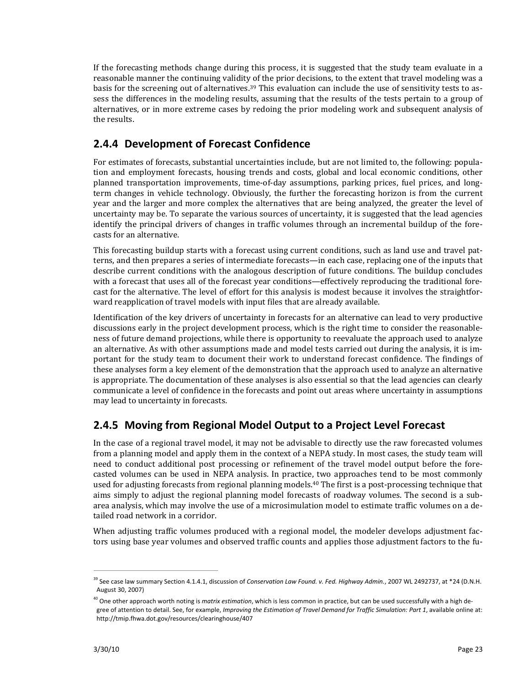If the forecasting methods change during this process, it is suggested that the study team evaluate in a reasonable manner the continuing validity of the prior decisions, to the extent that travel modeling was a basis for the screening out of alternatives.39 This evaluation can include the use of sensitivity tests to as‐ sess the differences in the modeling results, assuming that the results of the tests pertain to a group of alternatives, or in more extreme cases by redoing the prior modeling work and subsequent analysis of the results.

## **2.4.4 Development of Forecast Confidence**

For estimates of forecasts, substantial uncertainties include, but are not limited to, the following: population and employment forecasts, housing trends and costs, global and local economic conditions, other planned transportation improvements, time‐of‐day assumptions, parking prices, fuel prices, and long‐ term changes in vehicle technology. Obviously, the further the forecasting horizon is from the current year and the larger and more complex the alternatives that are being analyzed, the greater the level of uncertainty may be. To separate the various sources of uncertainty, it is suggested that the lead agencies identify the principal drivers of changes in traffic volumes through an incremental buildup of the forecasts for an alternative.

This forecasting buildup starts with a forecast using current conditions, such as land use and travel pat‐ terns, and then prepares a series of intermediate forecasts—in each case, replacing one of the inputs that describe current conditions with the analogous description of future conditions. The buildup concludes with a forecast that uses all of the forecast year conditions—effectively reproducing the traditional forecast for the alternative. The level of effort for this analysis is modest because it involves the straightfor‐ ward reapplication of travel models with input files that are already available.

Identification of the key drivers of uncertainty in forecasts for an alternative can lead to very productive discussions early in the project development process, which is the right time to consider the reasonable‐ ness of future demand projections, while there is opportunity to reevaluate the approach used to analyze an alternative. As with other assumptions made and model tests carried out during the analysis, it is im‐ portant for the study team to document their work to understand forecast confidence. The findings of these analyses form a key element of the demonstration that the approach used to analyze an alternative is appropriate. The documentation of these analyses is also essential so that the lead agencies can clearly communicate a level of confidence in the forecasts and point out areas where uncertainty in assumptions may lead to uncertainty in forecasts.

## **2.4.5 Moving from Regional Model Output to a Project Level Forecast**

In the case of a regional travel model, it may not be advisable to directly use the raw forecasted volumes from a planning model and apply them in the context of a NEPA study. In most cases, the study team will need to conduct additional post processing or refinement of the travel model output before the forecasted volumes can be used in NEPA analysis. In practice, two approaches tend to be most commonly used for adjusting forecasts from regional planning models.<sup>40</sup> The first is a post-processing technique that aims simply to adjust the regional planning model forecasts of roadway volumes. The second is a subarea analysis, which may involve the use of a microsimulation model to estimate traffic volumes on a de‐ tailed road network in a corridor.

When adjusting traffic volumes produced with a regional model, the modeler develops adjustment factors using base year volumes and observed traffic counts and applies those adjustment factors to the fu-

<sup>39</sup> See case law summary Section 4.1.4.1, discussion of *Conservation Law Found. v. Fed. Highway Admin.*, 2007 WL 2492737, at \*24 (D.N.H. August 30, 2007)

<sup>&</sup>lt;sup>40</sup> One other approach worth noting is *matrix estimation*, which is less common in practice, but can be used successfully with a high degree of attention to detail. See, for example, *Improving the Estimation of Travel Demand for Traffic Simulation: Part 1*, available online at: http://tmip.fhwa.dot.gov/resources/clearinghouse/407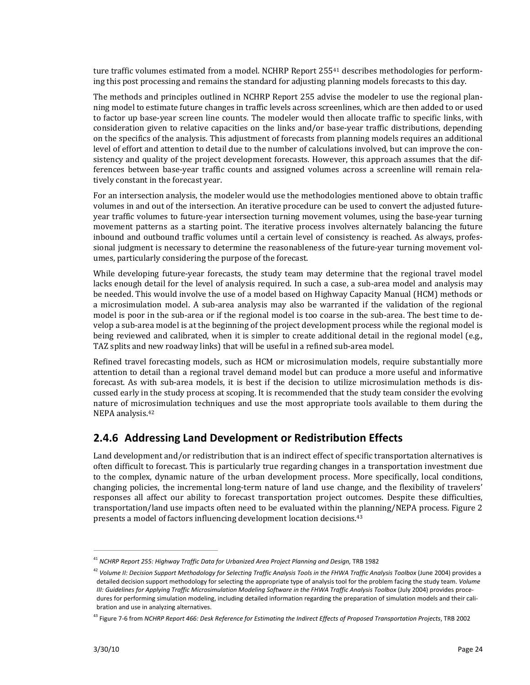ture traffic volumes estimated from a model. NCHRP Report 255<sup>41</sup> describes methodologies for performing this post processing and remains the standard for adjusting planning models forecasts to this day.

The methods and principles outlined in NCHRP Report 255 advise the modeler to use the regional planning model to estimate future changes in traffic levels across screenlines, which are then added to or used to factor up base‐year screen line counts. The modeler would then allocate traffic to specific links, with consideration given to relative capacities on the links and/or base‐year traffic distributions, depending on the specifics of the analysis. This adjustment of forecasts from planning models requires an additional level of effort and attention to detail due to the number of calculations involved, but can improve the consistency and quality of the project development forecasts. However, this approach assumes that the differences between base-year traffic counts and assigned volumes across a screenline will remain relatively constant in the forecast year.

For an intersection analysis, the modeler would use the methodologies mentioned above to obtain traffic volumes in and out of the intersection. An iterative procedure can be used to convert the adjusted future‐ year traffic volumes to future‐year intersection turning movement volumes, using the base‐year turning movement patterns as a starting point. The iterative process involves alternately balancing the future inbound and outbound traffic volumes until a certain level of consistency is reached. As always, profes‐ sional judgment is necessary to determine the reasonableness of the future-year turning movement volumes, particularly considering the purpose of the forecast.

While developing future-year forecasts, the study team may determine that the regional travel model lacks enough detail for the level of analysis required. In such a case, a sub-area model and analysis may be needed. This would involve the use of a model based on Highway Capacity Manual (HCM) methods or a microsimulation model. A sub-area analysis may also be warranted if the validation of the regional model is poor in the sub-area or if the regional model is too coarse in the sub-area. The best time to develop a sub‐area model is at the beginning of the project development process while the regional model is being reviewed and calibrated, when it is simpler to create additional detail in the regional model (e.g., TAZ splits and new roadway links) that will be useful in a refined sub‐area model.

Refined travel forecasting models, such as HCM or microsimulation models, require substantially more attention to detail than a regional travel demand model but can produce a more useful and informative forecast. As with sub-area models, it is best if the decision to utilize microsimulation methods is discussed early in the study process at scoping. It is recommended that the study team consider the evolving nature of microsimulation techniques and use the most appropriate tools available to them during the NEPA analysis.42

### **2.4.6 Addressing Land Development or Redistribution Effects**

Land development and/or redistribution that is an indirect effect of specific transportation alternatives is often difficult to forecast. This is particularly true regarding changes in a transportation investment due to the complex, dynamic nature of the urban development process. More specifically, local conditions, changing policies, the incremental long‐term nature of land use change, and the flexibility of travelers' responses all affect our ability to forecast transportation project outcomes. Despite these difficulties, transportation/land use impacts often need to be evaluated within the planning/NEPA process. Figure 2 presents a model of factors influencing development location decisions.43

<sup>41</sup> *NCHRP Report 255: Highway Traffic Data for Urbanized Area Project Planning and Design,* TRB 1982

<sup>&</sup>lt;sup>42</sup> Volume II: Decision Support Methodology for Selecting Traffic Analysis Tools in the FHWA Traffic Analysis Toolbox (June 2004) provides a detailed decision support methodology for selecting the appropriate type of analysis tool for the problem facing the study team. *Volume* III: Guidelines for Applying Traffic Microsimulation Modeling Software in the FHWA Traffic Analysis Toolbox (July 2004) provides procedures for performing simulation modeling, including detailed information regarding the preparation of simulation models and their calibration and use in analyzing alternatives.

<sup>&</sup>lt;sup>43</sup> Figure 7-6 from NCHRP Report 466: Desk Reference for Estimating the Indirect Effects of Proposed Transportation Projects, TRB 2002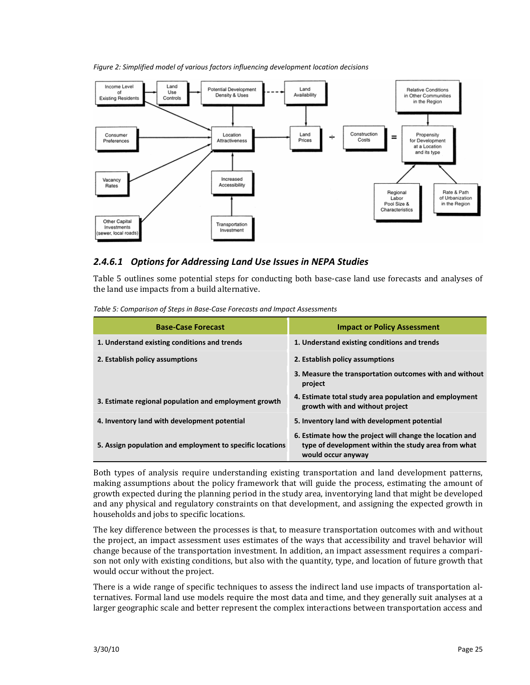#### *Figure 2: Simplified model of various factors influencing development location decisions*



#### *2.4.6.1 Options for Addressing Land Use Issues in NEPA Studies*

Table 5 outlines some potential steps for conducting both base-case land use forecasts and analyses of the land use impacts from a build alternative.

| <b>Base-Case Forecast</b>                                 | <b>Impact or Policy Assessment</b>                                                                                                    |
|-----------------------------------------------------------|---------------------------------------------------------------------------------------------------------------------------------------|
| 1. Understand existing conditions and trends              | 1. Understand existing conditions and trends                                                                                          |
| 2. Establish policy assumptions                           | 2. Establish policy assumptions                                                                                                       |
|                                                           | 3. Measure the transportation outcomes with and without<br>project                                                                    |
| 3. Estimate regional population and employment growth     | 4. Estimate total study area population and employment<br>growth with and without project                                             |
| 4. Inventory land with development potential              | 5. Inventory land with development potential                                                                                          |
| 5. Assign population and employment to specific locations | 6. Estimate how the project will change the location and<br>type of development within the study area from what<br>would occur anyway |

*Table 5: Comparison of Steps in Base‐Case Forecasts and Impact Assessments*

Both types of analysis require understanding existing transportation and land development patterns, making assumptions about the policy framework that will guide the process, estimating the amount of growth expected during the planning period in the study area, inventorying land that might be developed and any physical and regulatory constraints on that development, and assigning the expected growth in households and jobs to specific locations.

The key difference between the processes is that, to measure transportation outcomes with and without the project, an impact assessment uses estimates of the ways that accessibility and travel behavior will change because of the transportation investment. In addition, an impact assessment requires a compari‐ son not only with existing conditions, but also with the quantity, type, and location of future growth that would occur without the project.

There is a wide range of specific techniques to assess the indirect land use impacts of transportation al‐ ternatives. Formal land use models require the most data and time, and they generally suit analyses at a larger geographic scale and better represent the complex interactions between transportation access and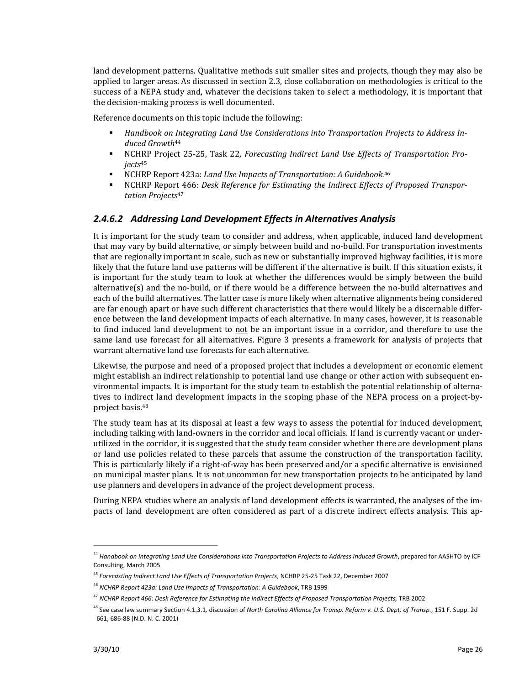land development patterns. Qualitative methods suit smaller sites and projects, though they may also be applied to larger areas. As discussed in section 2.3, close collaboration on methodologies is critical to the success of a NEPA study and, whatever the decisions taken to select a methodology, it is important that the decision‐making process is well documented.

Reference documents on this topic include the following:

- *Handbook on Integrating Land Use Considerations into Transportation Projects to Address Induced Growth*44
- NCHRP Project 25‐25, Task 22, *Forecasting Indirect Land Use Effects of Transportation Projects*<sup>45</sup>
- NCHRP Report 423a: *Land Use Impacts of Transportation: A Guidebook.*<sup>46</sup>
- NCHRP Report 466: *Desk Reference for Estimating the Indirect Effects of Proposed Transportation Projects*<sup>47</sup>

#### *2.4.6.2 Addressing Land Development Effects in Alternatives Analysis*

It is important for the study team to consider and address, when applicable, induced land development that may vary by build alternative, or simply between build and no‐build. For transportation investments that are regionally important in scale, such as new or substantially improved highway facilities, it is more likely that the future land use patterns will be different if the alternative is built. If this situation exists, it is important for the study team to look at whether the differences would be simply between the build alternative(s) and the no‐build, or if there would be a difference between the no‐build alternatives and each of the build alternatives. The latter case is more likely when alternative alignments being considered are far enough apart or have such different characteristics that there would likely be a discernable differ‐ ence between the land development impacts of each alternative. In many cases, however, it is reasonable to find induced land development to not be an important issue in a corridor, and therefore to use the same land use forecast for all alternatives. Figure 3 presents a framework for analysis of projects that warrant alternative land use forecasts for each alternative.

Likewise, the purpose and need of a proposed project that includes a development or economic element might establish an indirect relationship to potential land use change or other action with subsequent environmental impacts. It is important for the study team to establish the potential relationship of alterna‐ tives to indirect land development impacts in the scoping phase of the NEPA process on a project-byproject basis.48

The study team has at its disposal at least a few ways to assess the potential for induced development, including talking with land-owners in the corridor and local officials. If land is currently vacant or underutilized in the corridor, it is suggested that the study team consider whether there are development plans or land use policies related to these parcels that assume the construction of the transportation facility. This is particularly likely if a right‐of‐way has been preserved and/or a specific alternative is envisioned on municipal master plans. It is not uncommon for new transportation projects to be anticipated by land use planners and developers in advance of the project development process.

During NEPA studies where an analysis of land development effects is warranted, the analyses of the im‐ pacts of land development are often considered as part of a discrete indirect effects analysis. This ap-

<sup>44</sup> *Handbook on Integrating Land Use Considerations into Transportation Projects to Address Induced Growth*, prepared for AASHTO by ICF Consulting, March 2005

<sup>45</sup> *Forecasting Indirect Land Use Effects of Transportation Projects*, NCHRP 25‐25 Task 22, December 2007

<sup>46</sup> *NCHRP Report 423a: Land Use Impacts of Transportation: A Guidebook*, TRB 1999

<sup>47</sup> *NCHRP Report 466: Desk Reference for Estimating the Indirect Effects of Proposed Transportation Projects,* TRB 2002

<sup>48</sup> See case law summary Section 4.1.3.1*,* discussion of *North Carolina Alliance for Transp. Reform v. U.S. Dept. of Transp.*, 151 F. Supp. 2d 661, 686‐88 (N.D. N. C. 2001)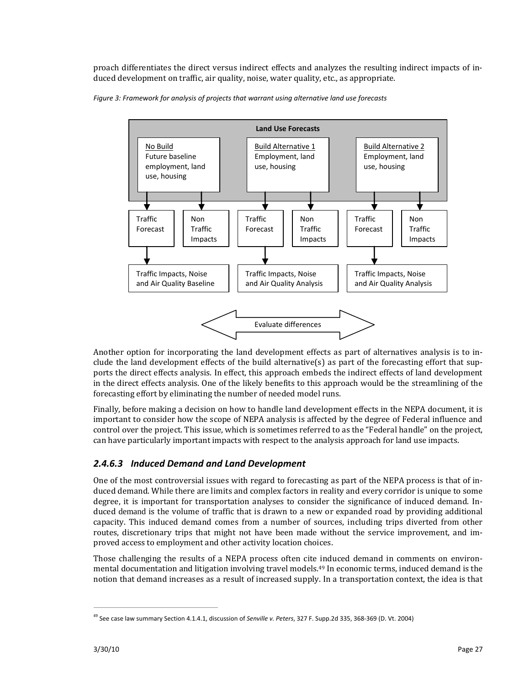proach differentiates the direct versus indirect effects and analyzes the resulting indirect impacts of in‐ duced development on traffic, air quality, noise, water quality, etc., as appropriate.



*Figure 3: Framework for analysis of projects that warrant using alternative land use forecasts*

Another option for incorporating the land development effects as part of alternatives analysis is to include the land development effects of the build alternative(s) as part of the forecasting effort that supports the direct effects analysis. In effect, this approach embeds the indirect effects of land development in the direct effects analysis. One of the likely benefits to this approach would be the streamlining of the forecasting effort by eliminating the number of needed model runs.

Finally, before making a decision on how to handle land development effects in the NEPA document, it is important to consider how the scope of NEPA analysis is affected by the degree of Federal influence and control over the project. This issue, which is sometimes referred to as the "Federal handle" on the project, can have particularly important impacts with respect to the analysis approach for land use impacts.

## *2.4.6.3 Induced Demand and Land Development*

One of the most controversial issues with regard to forecasting as part of the NEPA process is that of in‐ duced demand. While there are limits and complex factors in reality and every corridor is unique to some degree, it is important for transportation analyses to consider the significance of induced demand. Induced demand is the volume of traffic that is drawn to a new or expanded road by providing additional capacity. This induced demand comes from a number of sources, including trips diverted from other routes, discretionary trips that might not have been made without the service improvement, and improved access to employment and other activity location choices.

Those challenging the results of a NEPA process often cite induced demand in comments on environmental documentation and litigation involving travel models.49 In economic terms, induced demand is the notion that demand increases as a result of increased supply. In a transportation context, the idea is that

<sup>49</sup> See case law summary Section 4.1.4.1, discussion of *Senville v. Peters*, 327 F. Supp.2d 335, 368‐369 (D. Vt. 2004)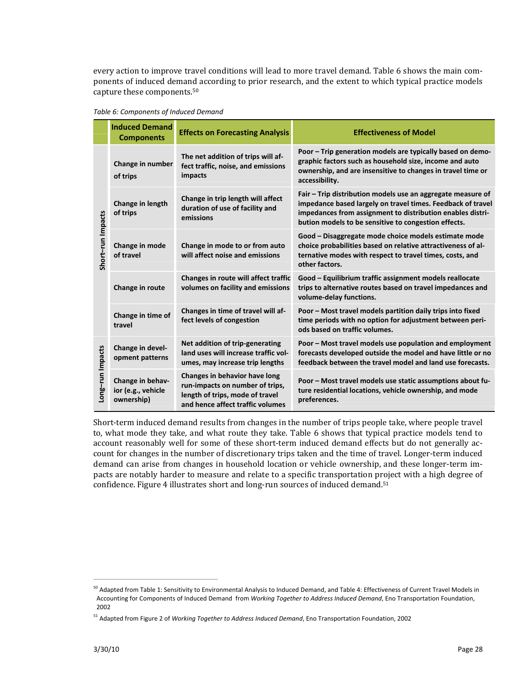every action to improve travel conditions will lead to more travel demand. Table 6 shows the main components of induced demand according to prior research, and the extent to which typical practice models capture these components.50

*Table 6: Components of Induced Demand*

|                   | <b>Induced Demand</b><br><b>Components</b>           | <b>Effects on Forecasting Analysis</b>                                                                                                  | <b>Effectiveness of Model</b>                                                                                                                                                                                                                    |
|-------------------|------------------------------------------------------|-----------------------------------------------------------------------------------------------------------------------------------------|--------------------------------------------------------------------------------------------------------------------------------------------------------------------------------------------------------------------------------------------------|
| Short-run Impacts | Change in number<br>of trips                         | The net addition of trips will af-<br>fect traffic, noise, and emissions<br>impacts                                                     | Poor - Trip generation models are typically based on demo-<br>graphic factors such as household size, income and auto<br>ownership, and are insensitive to changes in travel time or<br>accessibility.                                           |
|                   | Change in length<br>of trips                         | Change in trip length will affect<br>duration of use of facility and<br>emissions                                                       | Fair – Trip distribution models use an aggregate measure of<br>impedance based largely on travel times. Feedback of travel<br>impedances from assignment to distribution enables distri-<br>bution models to be sensitive to congestion effects. |
|                   | Change in mode<br>of travel                          | Change in mode to or from auto<br>will affect noise and emissions                                                                       | Good - Disaggregate mode choice models estimate mode<br>choice probabilities based on relative attractiveness of al-<br>ternative modes with respect to travel times, costs, and<br>other factors.                                               |
|                   | Change in route                                      | Changes in route will affect traffic<br>volumes on facility and emissions                                                               | Good - Equilibrium traffic assignment models reallocate<br>trips to alternative routes based on travel impedances and<br>volume-delay functions.                                                                                                 |
|                   | Change in time of<br>travel                          | Changes in time of travel will af-<br>fect levels of congestion                                                                         | Poor - Most travel models partition daily trips into fixed<br>time periods with no option for adjustment between peri-<br>ods based on traffic volumes.                                                                                          |
| ong-run Impacts   | Change in devel-<br>opment patterns                  | Net addition of trip-generating<br>land uses will increase traffic vol-<br>umes, may increase trip lengths                              | Poor - Most travel models use population and employment<br>forecasts developed outside the model and have little or no<br>feedback between the travel model and land use forecasts.                                                              |
|                   | Change in behav-<br>ior (e.g., vehicle<br>ownership) | Changes in behavior have long<br>run-impacts on number of trips,<br>length of trips, mode of travel<br>and hence affect traffic volumes | Poor - Most travel models use static assumptions about fu-<br>ture residential locations, vehicle ownership, and mode<br>preferences.                                                                                                            |

Short-term induced demand results from changes in the number of trips people take, where people travel to, what mode they take, and what route they take. Table 6 shows that typical practice models tend to account reasonably well for some of these short-term induced demand effects but do not generally account for changes in the number of discretionary trips taken and the time of travel. Longer-term induced demand can arise from changes in household location or vehicle ownership, and these longer-term impacts are notably harder to measure and relate to a specific transportation project with a high degree of confidence. Figure 4 illustrates short and long-run sources of induced demand.<sup>51</sup>

<sup>&</sup>lt;sup>50</sup> Adapted from Table 1: Sensitivity to Environmental Analysis to Induced Demand, and Table 4: Effectiveness of Current Travel Models in Accounting for Components of Induced Demand from *Working Together to Address Induced Demand*, Eno Transportation Foundation, 2002

<sup>51</sup> Adapted from Figure 2 of *Working Together to Address Induced Demand*, Eno Transportation Foundation, 2002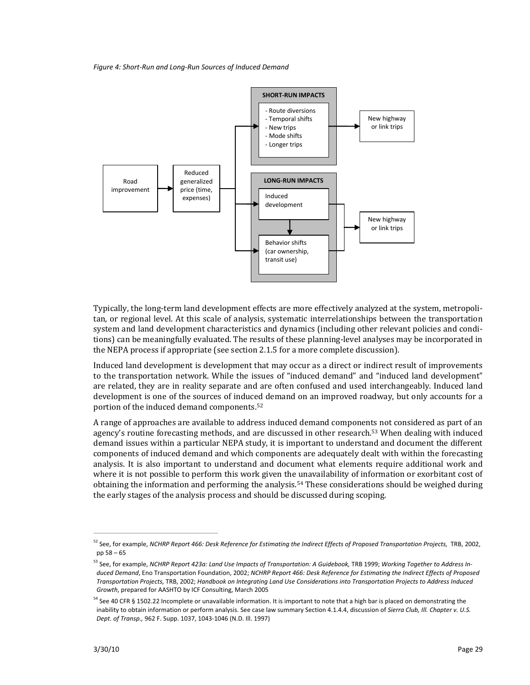*Figure 4: Short‐Run and Long‐Run Sources of Induced Demand*



Typically, the long‐term land development effects are more effectively analyzed at the system, metropoli‐ tan, or regional level. At this scale of analysis, systematic interrelationships between the transportation system and land development characteristics and dynamics (including other relevant policies and conditions) can be meaningfully evaluated. The results of these planning‐level analyses may be incorporated in the NEPA process if appropriate (see section 2.1.5 for a more complete discussion).

Induced land development is development that may occur as a direct or indirect result of improvements to the transportation network. While the issues of "induced demand" and "induced land development" are related, they are in reality separate and are often confused and used interchangeably. Induced land development is one of the sources of induced demand on an improved roadway, but only accounts for a portion of the induced demand components.52

A range of approaches are available to address induced demand components not considered as part of an agency's routine forecasting methods, and are discussed in other research.53 When dealing with induced demand issues within a particular NEPA study, it is important to understand and document the different components of induced demand and which components are adequately dealt with within the forecasting analysis. It is also important to understand and document what elements require additional work and where it is not possible to perform this work given the unavailability of information or exorbitant cost of obtaining the information and performing the analysis.54 These considerations should be weighed during the early stages of the analysis process and should be discussed during scoping.

<sup>&</sup>lt;sup>52</sup> See, for example, NCHRP Report 466: Desk Reference for Estimating the Indirect Effects of Proposed Transportation Projects, TRB, 2002, pp 58 – 65

<sup>&</sup>lt;sup>53</sup> See, for example, NCHRP Report 423a: Land Use Impacts of Transportation: A Guidebook, TRB 1999; Working Together to Address Induced Demand, Eno Transportation Foundation, 2002; NCHRP Report 466: Desk Reference for Estimating the Indirect Effects of Proposed Transportation Projects, TRB, 2002; Handbook on Integrating Land Use Considerations into Transportation Projects to Address Induced *Growth*, prepared for AASHTO by ICF Consulting, March 2005

<sup>&</sup>lt;sup>54</sup> See 40 CFR § 1502.22 Incomplete or unavailable information. It is important to note that a high bar is placed on demonstrating the inability to obtain information or perform analysis. See case law summary Section 4.1.4.4, discussion of *Sierra Club, Ill. Chapter v. U.S. Dept. of Transp.,* 962 F. Supp. 1037, 1043‐1046 (N.D. Ill. 1997)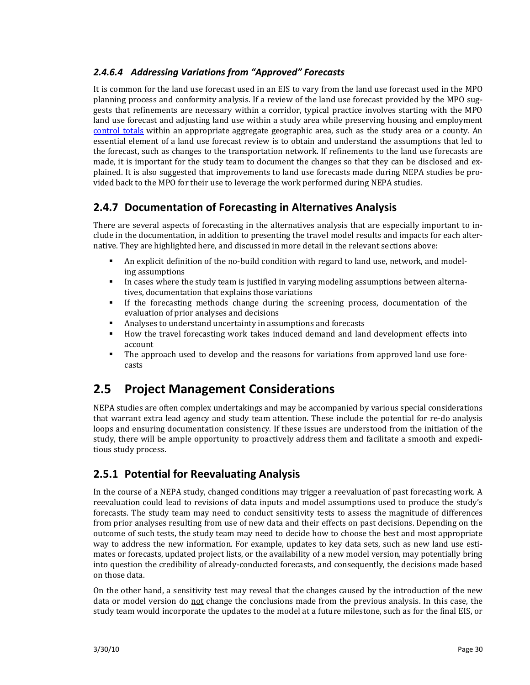#### *2.4.6.4 Addressing Variations from "Approved" Forecasts*

It is common for the land use forecast used in an EIS to vary from the land use forecast used in the MPO planning process and conformity analysis. If a review of the land use forecast provided by the MPO sug‐ gests that refinements are necessary within a corridor, typical practice involves starting with the MPO land use forecast and adjusting land use within a study area while preserving housing and employment control totals within an appropriate aggregate geographic area, such as the study area or a county. An essential element of a land use forecast review is to obtain and understand the assumptions that led to the forecast, such as changes to the transportation network. If refinements to the land use forecasts are made, it is important for the study team to document the changes so that they can be disclosed and explained. It is also suggested that improvements to land use forecasts made during NEPA studies be pro‐ vided back to the MPO for their use to leverage the work performed during NEPA studies.

## **2.4.7 Documentation of Forecasting in Alternatives Analysis**

There are several aspects of forecasting in the alternatives analysis that are especially important to in‐ clude in the documentation, in addition to presenting the travel model results and impacts for each alter‐ native. They are highlighted here, and discussed in more detail in the relevant sections above:

- An explicit definition of the no-build condition with regard to land use, network, and modeling assumptions
- In cases where the study team is justified in varying modeling assumptions between alternatives, documentation that explains those variations
- If the forecasting methods change during the screening process, documentation of the evaluation of prior analyses and decisions
- Analyses to understand uncertainty in assumptions and forecasts
- How the travel forecasting work takes induced demand and land development effects into account
- The approach used to develop and the reasons for variations from approved land use forecasts

# **2.5 Project Management Considerations**

NEPA studies are often complex undertakings and may be accompanied by various special considerations that warrant extra lead agency and study team attention. These include the potential for re-do analysis loops and ensuring documentation consistency. If these issues are understood from the initiation of the study, there will be ample opportunity to proactively address them and facilitate a smooth and expedi‐ tious study process.

## **2.5.1 Potential for Reevaluating Analysis**

In the course of a NEPA study, changed conditions may trigger a reevaluation of past forecasting work. A reevaluation could lead to revisions of data inputs and model assumptions used to produce the study's forecasts. The study team may need to conduct sensitivity tests to assess the magnitude of differences from prior analyses resulting from use of new data and their effects on past decisions. Depending on the outcome of such tests, the study team may need to decide how to choose the best and most appropriate way to address the new information. For example, updates to key data sets, such as new land use estimates or forecasts, updated project lists, or the availability of a new model version, may potentially bring into question the credibility of already‐conducted forecasts, and consequently, the decisions made based on those data.

On the other hand, a sensitivity test may reveal that the changes caused by the introduction of the new data or model version do not change the conclusions made from the previous analysis. In this case, the study team would incorporate the updates to the model at a future milestone, such as for the final EIS, or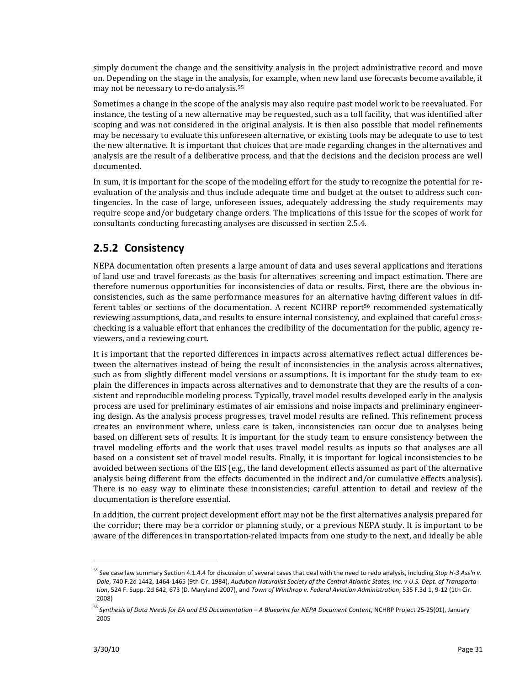simply document the change and the sensitivity analysis in the project administrative record and move on. Depending on the stage in the analysis, for example, when new land use forecasts become available, it may not be necessary to re‐do analysis.55

Sometimes a change in the scope of the analysis may also require past model work to be reevaluated. For instance, the testing of a new alternative may be requested, such as a toll facility, that was identified after scoping and was not considered in the original analysis. It is then also possible that model refinements may be necessary to evaluate this unforeseen alternative, or existing tools may be adequate to use to test the new alternative. It is important that choices that are made regarding changes in the alternatives and analysis are the result of a deliberative process, and that the decisions and the decision process are well documented.

In sum, it is important for the scope of the modeling effort for the study to recognize the potential for reevaluation of the analysis and thus include adequate time and budget at the outset to address such contingencies. In the case of large, unforeseen issues, adequately addressing the study requirements may require scope and/or budgetary change orders. The implications of this issue for the scopes of work for consultants conducting forecasting analyses are discussed in section 2.5.4.

## **2.5.2 Consistency**

NEPA documentation often presents a large amount of data and uses several applications and iterations of land use and travel forecasts as the basis for alternatives screening and impact estimation. There are therefore numerous opportunities for inconsistencies of data or results. First, there are the obvious in‐ consistencies, such as the same performance measures for an alternative having different values in dif‐ ferent tables or sections of the documentation. A recent NCHRP report<sup>56</sup> recommended systematically reviewing assumptions, data, and results to ensure internal consistency, and explained that careful crosschecking is a valuable effort that enhances the credibility of the documentation for the public, agency re‐ viewers, and a reviewing court.

It is important that the reported differences in impacts across alternatives reflect actual differences be‐ tween the alternatives instead of being the result of inconsistencies in the analysis across alternatives, such as from slightly different model versions or assumptions. It is important for the study team to explain the differences in impacts across alternatives and to demonstrate that they are the results of a consistent and reproducible modeling process. Typically, travel model results developed early in the analysis process are used for preliminary estimates of air emissions and noise impacts and preliminary engineer‐ ing design. As the analysis process progresses, travel model results are refined. This refinement process creates an environment where, unless care is taken, inconsistencies can occur due to analyses being based on different sets of results. It is important for the study team to ensure consistency between the travel modeling efforts and the work that uses travel model results as inputs so that analyses are all based on a consistent set of travel model results. Finally, it is important for logical inconsistencies to be avoided between sections of the EIS (e.g., the land development effects assumed as part of the alternative analysis being different from the effects documented in the indirect and/or cumulative effects analysis). There is no easy way to eliminate these inconsistencies; careful attention to detail and review of the documentation is therefore essential.

In addition, the current project development effort may not be the first alternatives analysis prepared for the corridor; there may be a corridor or planning study, or a previous NEPA study. It is important to be aware of the differences in transportation-related impacts from one study to the next, and ideally be able

<sup>55</sup> See case law summary Section 4.1.4.4 for discussion of several cases that deal with the need to redo analysis, including *Stop H‐3 Ass'n v.* Dole, 740 F.2d 1442, 1464-1465 (9th Cir. 1984), Audubon Naturalist Society of the Central Atlantic States, Inc. v U.S. Dept. of Transporta*tion*, 524 F. Supp. 2d 642, 673 (D. Maryland 2007), and *Town of Winthrop v. Federal Aviation Administration*, 535 F.3d 1, 9‐12 (1th Cir. 2008)

<sup>&</sup>lt;sup>56</sup> Synthesis of Data Needs for EA and EIS Documentation – A Blueprint for NEPA Document Content, NCHRP Project 25-25(01), January 2005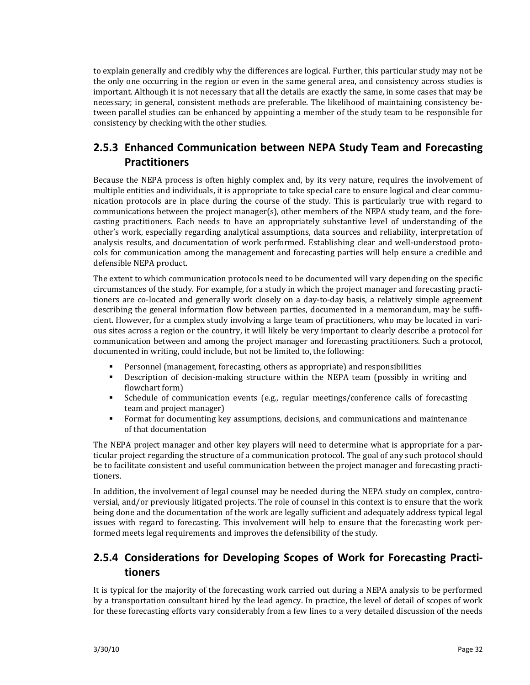to explain generally and credibly why the differences are logical. Further, this particular study may not be the only one occurring in the region or even in the same general area, and consistency across studies is important. Although it is not necessary that all the details are exactly the same, in some cases that may be necessary; in general, consistent methods are preferable. The likelihood of maintaining consistency be‐ tween parallel studies can be enhanced by appointing a member of the study team to be responsible for consistency by checking with the other studies.

## **2.5.3 Enhanced Communication between NEPA Study Team and Forecasting Practitioners**

Because the NEPA process is often highly complex and, by its very nature, requires the involvement of multiple entities and individuals, it is appropriate to take special care to ensure logical and clear communication protocols are in place during the course of the study. This is particularly true with regard to communications between the project manager(s), other members of the NEPA study team, and the forecasting practitioners. Each needs to have an appropriately substantive level of understanding of the other's work, especially regarding analytical assumptions, data sources and reliability, interpretation of analysis results, and documentation of work performed. Establishing clear and well-understood protocols for communication among the management and forecasting parties will help ensure a credible and defensible NEPA product.

The extent to which communication protocols need to be documented will vary depending on the specific circumstances of the study. For example, for a study in which the project manager and forecasting practi‐ tioners are co-located and generally work closely on a day-to-day basis, a relatively simple agreement describing the general information flow between parties, documented in a memorandum, may be sufficient. However, for a complex study involving a large team of practitioners, who may be located in vari‐ ous sites across a region or the country, it will likely be very important to clearly describe a protocol for communication between and among the project manager and forecasting practitioners. Such a protocol, documented in writing, could include, but not be limited to, the following:

- Personnel (management, forecasting, others as appropriate) and responsibilities
- **•** Description of decision-making structure within the NEPA team (possibly in writing and flowchart form)
- **•** Schedule of communication events (e.g., regular meetings/conference calls of forecasting team and project manager)
- Format for documenting key assumptions, decisions, and communications and maintenance of that documentation

The NEPA project manager and other key players will need to determine what is appropriate for a particular project regarding the structure of a communication protocol. The goal of any such protocol should be to facilitate consistent and useful communication between the project manager and forecasting practitioners.

In addition, the involvement of legal counsel may be needed during the NEPA study on complex, controversial, and/or previously litigated projects. The role of counsel in this context is to ensure that the work being done and the documentation of the work are legally sufficient and adequately address typical legal issues with regard to forecasting. This involvement will help to ensure that the forecasting work performed meets legal requirements and improves the defensibility of the study.

## **2.5.4 Considerations for Developing Scopes of Work for Forecasting Practi‐ tioners**

It is typical for the majority of the forecasting work carried out during a NEPA analysis to be performed by a transportation consultant hired by the lead agency. In practice, the level of detail of scopes of work for these forecasting efforts vary considerably from a few lines to a very detailed discussion of the needs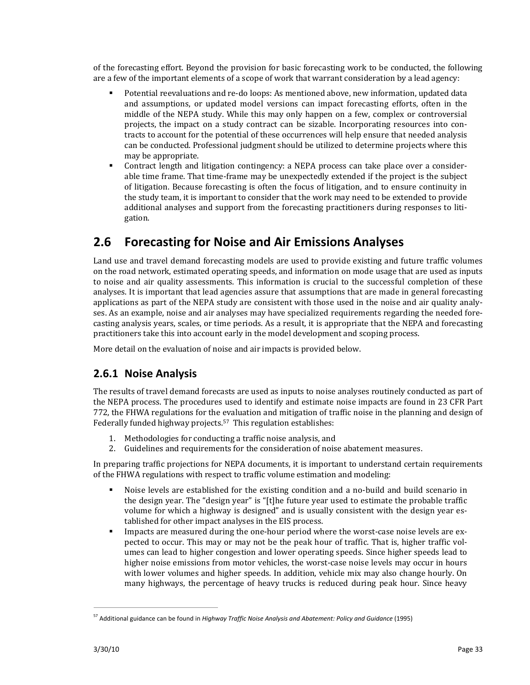of the forecasting effort. Beyond the provision for basic forecasting work to be conducted, the following are a few of the important elements of a scope of work that warrant consideration by a lead agency:

- Potential reevaluations and re-do loops: As mentioned above, new information, updated data and assumptions, or updated model versions can impact forecasting efforts, often in the middle of the NEPA study. While this may only happen on a few, complex or controversial projects, the impact on a study contract can be sizable. Incorporating resources into contracts to account for the potential of these occurrences will help ensure that needed analysis can be conducted. Professional judgment should be utilized to determine projects where this may be appropriate.
- Contract length and litigation contingency: a NEPA process can take place over a considerable time frame. That time‐frame may be unexpectedly extended if the project is the subject of litigation. Because forecasting is often the focus of litigation, and to ensure continuity in the study team, it is important to consider that the work may need to be extended to provide additional analyses and support from the forecasting practitioners during responses to liti‐ gation.

# **2.6 Forecasting for Noise and Air Emissions Analyses**

Land use and travel demand forecasting models are used to provide existing and future traffic volumes on the road network, estimated operating speeds, and information on mode usage that are used as inputs to noise and air quality assessments. This information is crucial to the successful completion of these analyses. It is important that lead agencies assure that assumptions that are made in general forecasting applications as part of the NEPA study are consistent with those used in the noise and air quality analy‐ ses. As an example, noise and air analyses may have specialized requirements regarding the needed forecasting analysis years, scales, or time periods. As a result, it is appropriate that the NEPA and forecasting practitioners take this into account early in the model development and scoping process.

More detail on the evaluation of noise and air impacts is provided below.

### **2.6.1 Noise Analysis**

The results of travel demand forecasts are used as inputs to noise analyses routinely conducted as part of the NEPA process. The procedures used to identify and estimate noise impacts are found in 23 CFR Part 772, the FHWA regulations for the evaluation and mitigation of traffic noise in the planning and design of Federally funded highway projects.<sup>57</sup> This regulation establishes:

- 1. Methodologies for conducting a traffic noise analysis, and
- 2. Guidelines and requirements for the consideration of noise abatement measures.

In preparing traffic projections for NEPA documents, it is important to understand certain requirements of the FHWA regulations with respect to traffic volume estimation and modeling:

- Noise levels are established for the existing condition and a no-build and build scenario in the design year. The "design year" is "[t]he future year used to estimate the probable traffic volume for which a highway is designed" and is usually consistent with the design year es‐ tablished for other impact analyses in the EIS process.
- Impacts are measured during the one-hour period where the worst-case noise levels are expected to occur. This may or may not be the peak hour of traffic. That is, higher traffic volumes can lead to higher congestion and lower operating speeds. Since higher speeds lead to higher noise emissions from motor vehicles, the worst-case noise levels may occur in hours with lower volumes and higher speeds. In addition, vehicle mix may also change hourly. On many highways, the percentage of heavy trucks is reduced during peak hour. Since heavy

<sup>57</sup> Additional guidance can be found in *Highway Traffic Noise Analysis and Abatement: Policy and Guidance* (1995)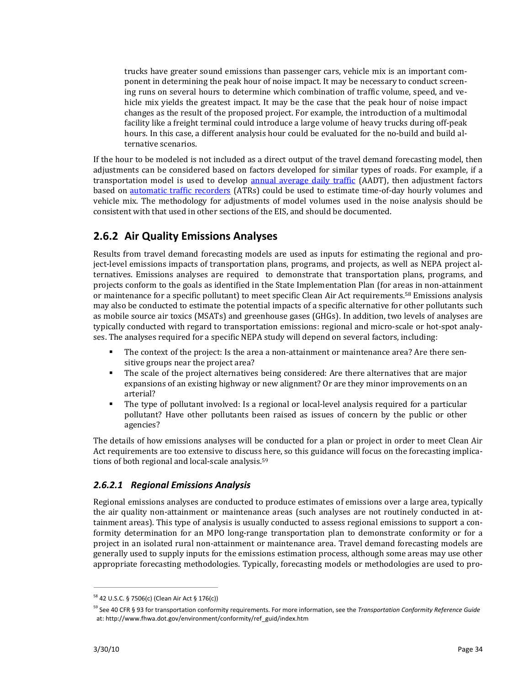trucks have greater sound emissions than passenger cars, vehicle mix is an important component in determining the peak hour of noise impact. It may be necessary to conduct screening runs on several hours to determine which combination of traffic volume, speed, and vehicle mix yields the greatest impact. It may be the case that the peak hour of noise impact changes as the result of the proposed project. For example, the introduction of a multimodal facility like a freight terminal could introduce a large volume of heavy trucks during off‐peak hours. In this case, a different analysis hour could be evaluated for the no-build and build alternative scenarios.

If the hour to be modeled is not included as a direct output of the travel demand forecasting model, then adjustments can be considered based on factors developed for similar types of roads. For example, if a transportation model is used to develop annual average daily traffic (AADT), then adjustment factors based on **automatic traffic recorders** (ATRs) could be used to estimate time-of-day hourly volumes and vehicle mix. The methodology for adjustments of model volumes used in the noise analysis should be consistent with that used in other sections of the EIS, and should be documented.

## **2.6.2 Air Quality Emissions Analyses**

Results from travel demand forecasting models are used as inputs for estimating the regional and project-level emissions impacts of transportation plans, programs, and projects, as well as NEPA project alternatives. Emissions analyses are required to demonstrate that transportation plans, programs, and projects conform to the goals as identified in the State Implementation Plan (for areas in non‐attainment or maintenance for a specific pollutant) to meet specific Clean Air Act requirements.58 Emissions analysis may also be conducted to estimate the potential impacts of a specific alternative for other pollutants such as mobile source air toxics (MSATs) and greenhouse gases (GHGs). In addition, two levels of analyses are typically conducted with regard to transportation emissions: regional and micro‐scale or hot‐spot analy‐ ses. The analyses required for a specific NEPA study will depend on several factors, including:

- The context of the project: Is the area a non-attainment or maintenance area? Are there sensitive groups near the project area?
- The scale of the project alternatives being considered: Are there alternatives that are major expansions of an existing highway or new alignment? Or are they minor improvements on an arterial?
- The type of pollutant involved: Is a regional or local-level analysis required for a particular pollutant? Have other pollutants been raised as issues of concern by the public or other agencies?

The details of how emissions analyses will be conducted for a plan or project in order to meet Clean Air Act requirements are too extensive to discuss here, so this guidance will focus on the forecasting implications of both regional and local-scale analysis.<sup>59</sup>

#### *2.6.2.1 Regional Emissions Analysis*

Regional emissions analyses are conducted to produce estimates of emissions over a large area, typically the air quality non-attainment or maintenance areas (such analyses are not routinely conducted in attainment areas). This type of analysis is usually conducted to assess regional emissions to support a con‐ formity determination for an MPO long-range transportation plan to demonstrate conformity or for a project in an isolated rural non-attainment or maintenance area. Travel demand forecasting models are generally used to supply inputs for the emissions estimation process, although some areas may use other appropriate forecasting methodologies. Typically, forecasting models or methodologies are used to pro‐

<sup>&</sup>lt;u> Andreas Andreas Andreas Andreas Andreas Andreas Andreas Andreas Andreas Andreas Andreas Andreas Andreas Andr</u> <sup>58</sup> 42 U.S.C. § 7506(c) (Clean Air Act § 176(c))

<sup>59</sup> See 40 CFR § 93 for transportation conformity requirements. For more information, see the *Transportation Conformity Reference Guide* at: http://www.fhwa.dot.gov/environment/conformity/ref\_guid/index.htm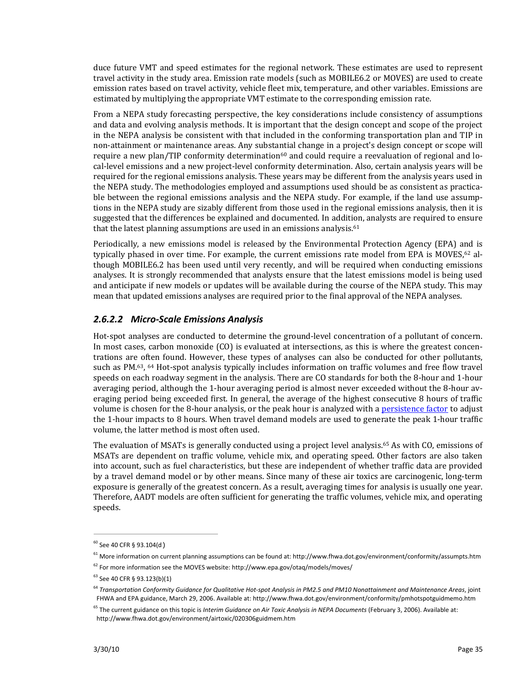duce future VMT and speed estimates for the regional network. These estimates are used to represent travel activity in the study area. Emission rate models (such as MOBILE6.2 or MOVES) are used to create emission rates based on travel activity, vehicle fleet mix, temperature, and other variables. Emissions are estimated by multiplying the appropriate VMT estimate to the corresponding emission rate.

From a NEPA study forecasting perspective, the key considerations include consistency of assumptions and data and evolving analysis methods. It is important that the design concept and scope of the project in the NEPA analysis be consistent with that included in the conforming transportation plan and TIP in non‐attainment or maintenance areas. Any substantial change in a project's design concept or scope will require a new plan/TIP conformity determination $60$  and could require a reevaluation of regional and local‐level emissions and a new project‐level conformity determination. Also, certain analysis years will be required for the regional emissions analysis. These years may be different from the analysis years used in the NEPA study. The methodologies employed and assumptions used should be as consistent as practica‐ ble between the regional emissions analysis and the NEPA study. For example, if the land use assumptions in the NEPA study are sizably different from those used in the regional emissions analysis, then it is suggested that the differences be explained and documented. In addition, analysts are required to ensure that the latest planning assumptions are used in an emissions analysis.<sup>61</sup>

Periodically, a new emissions model is released by the Environmental Protection Agency (EPA) and is typically phased in over time. For example, the current emissions rate model from EPA is MOVES, $62$  although MOBILE6.2 has been used until very recently, and will be required when conducting emissions analyses. It is strongly recommended that analysts ensure that the latest emissions model is being used and anticipate if new models or updates will be available during the course of the NEPA study. This may mean that updated emissions analyses are required prior to the final approval of the NEPA analyses.

#### *2.6.2.2 Micro‐Scale Emissions Analysis*

Hot-spot analyses are conducted to determine the ground-level concentration of a pollutant of concern. In most cases, carbon monoxide (CO) is evaluated at intersections, as this is where the greatest concentrations are often found. However, these types of analyses can also be conducted for other pollutants, such as PM.<sup>63</sup>, <sup>64</sup> Hot-spot analysis typically includes information on traffic volumes and free flow travel speeds on each roadway segment in the analysis. There are CO standards for both the 8-hour and 1-hour averaging period, although the 1‐hour averaging period is almost never exceeded without the 8‐hour av‐ eraging period being exceeded first. In general, the average of the highest consecutive 8 hours of traffic volume is chosen for the 8-hour analysis, or the peak hour is analyzed with a persistence factor to adjust the 1‐hour impacts to 8 hours. When travel demand models are used to generate the peak 1‐hour traffic volume, the latter method is most often used.

The evaluation of MSATs is generally conducted using a project level analysis.65 As with CO, emissions of MSATs are dependent on traffic volume, vehicle mix, and operating speed. Other factors are also taken into account, such as fuel characteristics, but these are independent of whether traffic data are provided by a travel demand model or by other means. Since many of these air toxics are carcinogenic, long‐term exposure is generally of the greatest concern. As a result, averaging times for analysis is usually one year. Therefore, AADT models are often sufficient for generating the traffic volumes, vehicle mix, and operating speeds.

 $60$  See 40 CFR § 93.104(d)

 $61$  More information on current planning assumptions can be found at: http://www.fhwa.dot.gov/environment/conformity/assumpts.htm

 $62$  For more information see the MOVES website: http://www.epa.gov/otaq/models/moves/

<sup>63</sup> See 40 CFR § 93.123(b)(1)

<sup>&</sup>lt;sup>64</sup> Transportation Conformity Guidance for Qualitative Hot-spot Analysis in PM2.5 and PM10 Nonattainment and Maintenance Areas, joint FHWA and EPA guidance, March 29, 2006. Available at: http://www.fhwa.dot.gov/environment/conformity/pmhotspotguidmemo.htm

<sup>65</sup> The current guidance on this topic is *Interim Guidance on Air Toxic Analysis in NEPA Documents* (February 3, 2006). Available at: http://www.fhwa.dot.gov/environment/airtoxic/020306guidmem.htm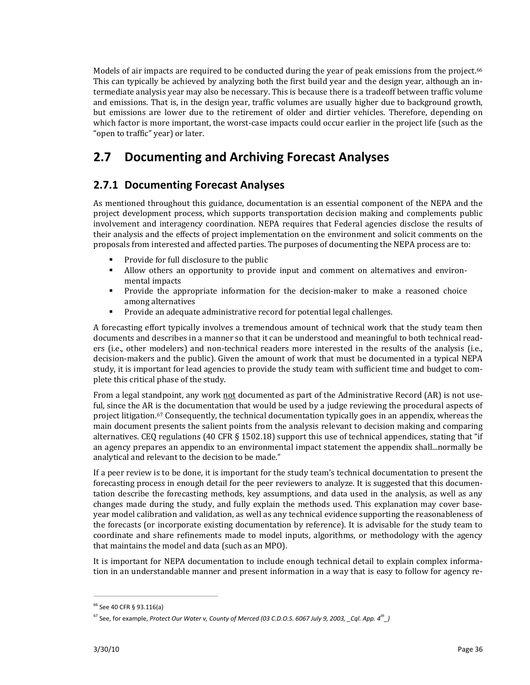Models of air impacts are required to be conducted during the year of peak emissions from the project.<sup>66</sup> This can typically be achieved by analyzing both the first build year and the design year, although an in‐ termediate analysis year may also be necessary. This is because there is a tradeoff between traffic volume and emissions. That is, in the design year, traffic volumes are usually higher due to background growth, but emissions are lower due to the retirement of older and dirtier vehicles. Therefore, depending on which factor is more important, the worst-case impacts could occur earlier in the project life (such as the "open to traffic" year) or later.

# **2.7 Documenting and Archiving Forecast Analyses**

## **2.7.1 Documenting Forecast Analyses**

As mentioned throughout this guidance, documentation is an essential component of the NEPA and the project development process, which supports transportation decision making and complements public involvement and interagency coordination. NEPA requires that Federal agencies disclose the results of their analysis and the effects of project implementation on the environment and solicit comments on the proposals from interested and affected parties. The purposes of documenting the NEPA process are to:

- **Provide for full disclosure to the public**
- **•** Allow others an opportunity to provide input and comment on alternatives and environmental impacts
- **•** Provide the appropriate information for the decision-maker to make a reasoned choice among alternatives
- Provide an adequate administrative record for potential legal challenges.

A forecasting effort typically involves a tremendous amount of technical work that the study team then documents and describes in a manner so that it can be understood and meaningful to both technical read‐ ers (i.e., other modelers) and non-technical readers more interested in the results of the analysis (i.e., decision‐makers and the public). Given the amount of work that must be documented in a typical NEPA study, it is important for lead agencies to provide the study team with sufficient time and budget to com‐ plete this critical phase of the study.

From a legal standpoint, any work not documented as part of the Administrative Record (AR) is not useful, since the AR is the documentation that would be used by a judge reviewing the procedural aspects of project litigation.<sup>67</sup> Consequently, the technical documentation typically goes in an appendix, whereas the main document presents the salient points from the analysis relevant to decision making and comparing alternatives. CEQ regulations (40 CFR § 1502.18) support this use of technical appendices, stating that "if an agency prepares an appendix to an environmental impact statement the appendix shall...normally be analytical and relevant to the decision to be made."

If a peer review is to be done, it is important for the study team's technical documentation to present the forecasting process in enough detail for the peer reviewers to analyze. It is suggested that this documen‐ tation describe the forecasting methods, key assumptions, and data used in the analysis, as well as any changes made during the study, and fully explain the methods used. This explanation may cover baseyear model calibration and validation, as well as any technical evidence supporting the reasonableness of the forecasts (or incorporate existing documentation by reference). It is advisable for the study team to coordinate and share refinements made to model inputs, algorithms, or methodology with the agency that maintains the model and data (such as an MPO).

It is important for NEPA documentation to include enough technical detail to explain complex information in an understandable manner and present information in a way that is easy to follow for agency re-

<sup>66</sup> See 40 CFR § 93.116(a)

 $^{67}$  See, for example, Protect Our Water v, County of Merced (03 C.D.O.S. 6067 July 9, 2003, \_Cql. App. 4 $^{\rm th}$ \_)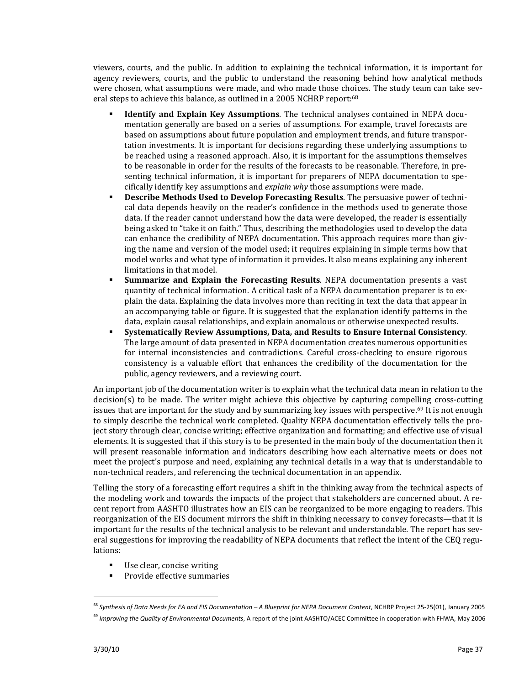viewers, courts, and the public. In addition to explaining the technical information, it is important for agency reviewers, courts, and the public to understand the reasoning behind how analytical methods were chosen, what assumptions were made, and who made those choices. The study team can take several steps to achieve this balance, as outlined in a 2005 NCHRP report:<sup>68</sup>

- **Identify and Explain Key Assumptions**. The technical analyses contained in NEPA docu‐ mentation generally are based on a series of assumptions. For example, travel forecasts are based on assumptions about future population and employment trends, and future transpor‐ tation investments. It is important for decisions regarding these underlying assumptions to be reached using a reasoned approach. Also, it is important for the assumptions themselves to be reasonable in order for the results of the forecasts to be reasonable. Therefore, in pre‐ senting technical information, it is important for preparers of NEPA documentation to specifically identify key assumptions and *explain why* those assumptions were made.
- **Describe Methods Used to Develop Forecasting Results**. The persuasive power of techni‐ cal data depends heavily on the reader's confidence in the methods used to generate those data. If the reader cannot understand how the data were developed, the reader is essentially being asked to "take it on faith." Thus, describing the methodologies used to develop the data can enhance the credibility of NEPA documentation. This approach requires more than giving the name and version of the model used; it requires explaining in simple terms how that model works and what type of information it provides. It also means explaining any inherent limitations in that model.
- **Summarize and Explain the Forecasting Results**. NEPA documentation presents a vast quantity of technical information. A critical task of a NEPA documentation preparer is to ex‐ plain the data. Explaining the data involves more than reciting in text the data that appear in an accompanying table or figure. It is suggested that the explanation identify patterns in the data, explain causal relationships, and explain anomalous or otherwise unexpected results.
- **Systematically Review Assumptions, Data, and Results to Ensure Internal Consistency**. The large amount of data presented in NEPA documentation creates numerous opportunities for internal inconsistencies and contradictions. Careful cross-checking to ensure rigorous consistency is a valuable effort that enhances the credibility of the documentation for the public, agency reviewers, and a reviewing court.

An important job of the documentation writer is to explain what the technical data mean in relation to the decision(s) to be made. The writer might achieve this objective by capturing compelling cross-cutting issues that are important for the study and by summarizing key issues with perspective.<sup>69</sup> It is not enough to simply describe the technical work completed. Quality NEPA documentation effectively tells the project story through clear, concise writing; effective organization and formatting; and effective use of visual elements. It is suggested that if this story is to be presented in the main body of the documentation then it will present reasonable information and indicators describing how each alternative meets or does not meet the project's purpose and need, explaining any technical details in a way that is understandable to non-technical readers, and referencing the technical documentation in an appendix.

Telling the story of a forecasting effort requires a shift in the thinking away from the technical aspects of the modeling work and towards the impacts of the project that stakeholders are concerned about. A recent report from AASHTO illustrates how an EIS can be reorganized to be more engaging to readers. This reorganization of the EIS document mirrors the shift in thinking necessary to convey forecasts—that it is important for the results of the technical analysis to be relevant and understandable. The report has several suggestions for improving the readability of NEPA documents that reflect the intent of the CEQ regulations:

Use clear, concise writing

**Provide effective summaries** 

<sup>&</sup>lt;sup>68</sup> Synthesis of Data Needs for EA and EIS Documentation – A Blueprint for NEPA Document Content, NCHRP Project 25-25(01), January 2005

<sup>69</sup> *Improving the Quality of Environmental Documents*, A report of the joint AASHTO/ACEC Committee in cooperation with FHWA, May 2006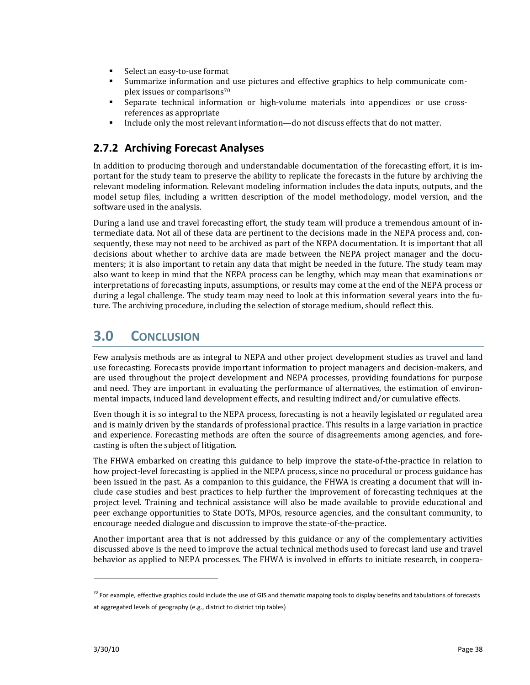- Select an easy-to-use format
- Summarize information and use pictures and effective graphics to help communicate com‐ plex issues or comparisons70
- Separate technical information or high-volume materials into appendices or use cross references as appropriate
- Include only the most relevant information—do not discuss effects that do not matter.

## **2.7.2 Archiving Forecast Analyses**

In addition to producing thorough and understandable documentation of the forecasting effort, it is im‐ portant for the study team to preserve the ability to replicate the forecasts in the future by archiving the relevant modeling information. Relevant modeling information includes the data inputs, outputs, and the model setup files, including a written description of the model methodology, model version, and the software used in the analysis.

During a land use and travel forecasting effort, the study team will produce a tremendous amount of in‐ termediate data. Not all of these data are pertinent to the decisions made in the NEPA process and, consequently, these may not need to be archived as part of the NEPA documentation. It is important that all decisions about whether to archive data are made between the NEPA project manager and the documenters; it is also important to retain any data that might be needed in the future. The study team may also want to keep in mind that the NEPA process can be lengthy, which may mean that examinations or interpretations of forecasting inputs, assumptions, or results may come at the end of the NEPA process or during a legal challenge. The study team may need to look at this information several years into the future. The archiving procedure, including the selection of storage medium, should reflect this.

# **3.0 CONCLUSION**

Few analysis methods are as integral to NEPA and other project development studies as travel and land use forecasting. Forecasts provide important information to project managers and decision‐makers, and are used throughout the project development and NEPA processes, providing foundations for purpose and need. They are important in evaluating the performance of alternatives, the estimation of environmental impacts, induced land development effects, and resulting indirect and/or cumulative effects.

Even though it is so integral to the NEPA process, forecasting is not a heavily legislated or regulated area and is mainly driven by the standards of professional practice. This results in a large variation in practice and experience. Forecasting methods are often the source of disagreements among agencies, and forecasting is often the subject of litigation.

The FHWA embarked on creating this guidance to help improve the state-of-the-practice in relation to how project-level forecasting is applied in the NEPA process, since no procedural or process guidance has been issued in the past. As a companion to this guidance, the FHWA is creating a document that will in‐ clude case studies and best practices to help further the improvement of forecasting techniques at the project level. Training and technical assistance will also be made available to provide educational and peer exchange opportunities to State DOTs, MPOs, resource agencies, and the consultant community, to encourage needed dialogue and discussion to improve the state‐of‐the‐practice.

Another important area that is not addressed by this guidance or any of the complementary activities discussed above is the need to improve the actual technical methods used to forecast land use and travel behavior as applied to NEPA processes. The FHWA is involved in efforts to initiate research, in coopera-

 $^{70}$  For example, effective graphics could include the use of GIS and thematic mapping tools to display benefits and tabulations of forecasts at aggregated levels of geography (e.g., district to district trip tables)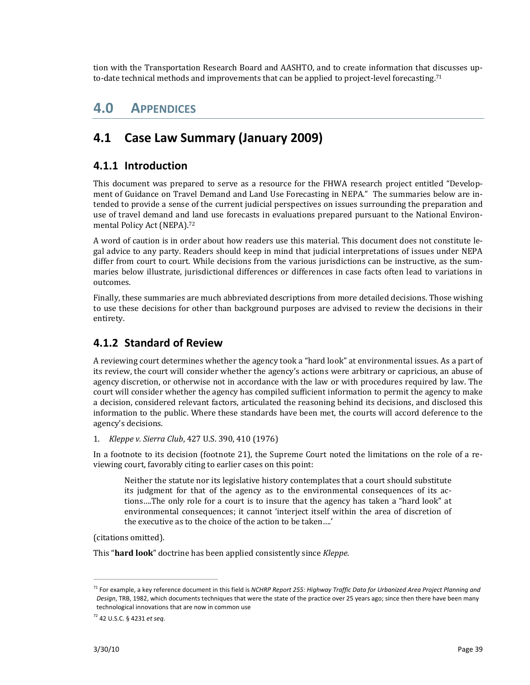tion with the Transportation Research Board and AASHTO, and to create information that discusses up‐ to-date technical methods and improvements that can be applied to project-level forecasting.<sup>71</sup>

# **4.0 APPENDICES**

# **4.1 Case Law Summary (January 2009)**

### **4.1.1 Introduction**

This document was prepared to serve as a resource for the FHWA research project entitled "Development of Guidance on Travel Demand and Land Use Forecasting in NEPA." The summaries below are intended to provide a sense of the current judicial perspectives on issues surrounding the preparation and use of travel demand and land use forecasts in evaluations prepared pursuant to the National Environmental Policy Act (NEPA).72

A word of caution is in order about how readers use this material. This document does not constitute le‐ gal advice to any party. Readers should keep in mind that judicial interpretations of issues under NEPA differ from court to court. While decisions from the various jurisdictions can be instructive, as the summaries below illustrate, jurisdictional differences or differences in case facts often lead to variations in outcomes.

Finally, these summaries are much abbreviated descriptions from more detailed decisions. Those wishing to use these decisions for other than background purposes are advised to review the decisions in their entirety.

### **4.1.2 Standard of Review**

A reviewing court determines whether the agency took a "hard look" at environmental issues. As a part of its review, the court will consider whether the agency's actions were arbitrary or capricious, an abuse of agency discretion, or otherwise not in accordance with the law or with procedures required by law. The court will consider whether the agency has compiled sufficient information to permit the agency to make a decision, considered relevant factors, articulated the reasoning behind its decisions, and disclosed this information to the public. Where these standards have been met, the courts will accord deference to the agency's decisions.

1. *Kleppe v. Sierra Club*, 427 U.S. 390, 410 (1976)

In a footnote to its decision (footnote 21), the Supreme Court noted the limitations on the role of a reviewing court, favorably citing to earlier cases on this point:

Neither the statute nor its legislative history contemplates that a court should substitute its judgment for that of the agency as to the environmental consequences of its actions….The only role for a court is to insure that the agency has taken a "hard look" at environmental consequences; it cannot 'interject itself within the area of discretion of the executive as to the choice of the action to be taken….'

(citations omitted).

This "**hard look**" doctrine has been applied consistently since *Kleppe*.

<sup>71</sup> For example, a key reference document in this field is *NCHRP Report 255: Highway Traffic Data for Urbanized Area Project Planning and Design*, TRB, 1982, which documents techniques that were the state of the practice over 25 years ago; since then there have been many technological innovations that are now in common use

<sup>72</sup> 42 U.S.C. § 4231 *et seq*.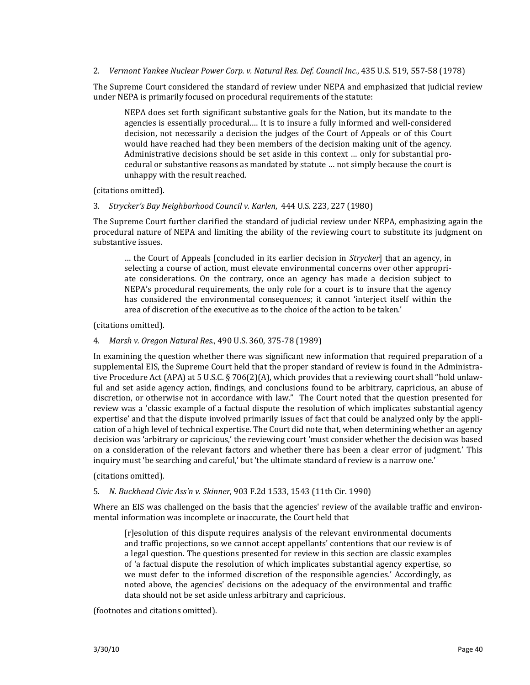#### 2. *Vermont Yankee Nuclear Power Corp. v. Natural Res. Def. Council Inc.*, 435 U.S. 519, 557‐58 (1978)

The Supreme Court considered the standard of review under NEPA and emphasized that judicial review under NEPA is primarily focused on procedural requirements of the statute:

NEPA does set forth significant substantive goals for the Nation, but its mandate to the agencies is essentially procedural.... It is to insure a fully informed and well-considered decision, not necessarily a decision the judges of the Court of Appeals or of this Court would have reached had they been members of the decision making unit of the agency. Administrative decisions should be set aside in this context … only for substantial pro‐ cedural or substantive reasons as mandated by statute … not simply because the court is unhappy with the result reached.

(citations omitted).

3. *Strycker's Bay Neighborhood Council v. Karlen*, 444 U.S. 223, 227 (1980)

The Supreme Court further clarified the standard of judicial review under NEPA, emphasizing again the procedural nature of NEPA and limiting the ability of the reviewing court to substitute its judgment on substantive issues.

… the Court of Appeals [concluded in its earlier decision in *Strycker*] that an agency, in selecting a course of action, must elevate environmental concerns over other appropriate considerations. On the contrary, once an agency has made a decision subject to NEPA's procedural requirements, the only role for a court is to insure that the agency has considered the environmental consequences; it cannot 'interject itself within the area of discretion of the executive as to the choice of the action to be taken.'

(citations omitted).

4. *Marsh v. Oregon Natural Res.*, 490 U.S. 360, 375‐78 (1989)

In examining the question whether there was significant new information that required preparation of a supplemental EIS, the Supreme Court held that the proper standard of review is found in the Administrative Procedure Act (APA) at 5 U.S.C. § 706(2)(A), which provides that a reviewing court shall "hold unlawful and set aside agency action, findings, and conclusions found to be arbitrary, capricious, an abuse of discretion, or otherwise not in accordance with law." The Court noted that the question presented for review was a 'classic example of a factual dispute the resolution of which implicates substantial agency expertise' and that the dispute involved primarily issues of fact that could be analyzed only by the application of a high level of technical expertise. The Court did note that, when determining whether an agency decision was 'arbitrary or capricious,' the reviewing court 'must consider whether the decision was based on a consideration of the relevant factors and whether there has been a clear error of judgment.' This inquiry must 'be searching and careful,' but 'the ultimate standard of review is a narrow one.'

(citations omitted).

5. *N. Buckhead Civic Ass'n v. Skinner*, 903 F.2d 1533, 1543 (11th Cir. 1990)

Where an EIS was challenged on the basis that the agencies' review of the available traffic and environmental information was incomplete or inaccurate, the Court held that

[r]esolution of this dispute requires analysis of the relevant environmental documents and traffic projections, so we cannot accept appellants' contentions that our review is of a legal question. The questions presented for review in this section are classic examples of 'a factual dispute the resolution of which implicates substantial agency expertise, so we must defer to the informed discretion of the responsible agencies.' Accordingly, as noted above, the agencies' decisions on the adequacy of the environmental and traffic data should not be set aside unless arbitrary and capricious.

(footnotes and citations omitted).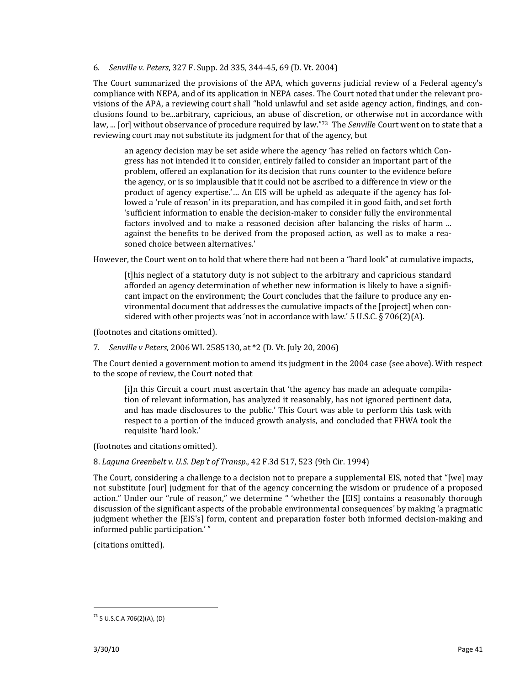6. *Senville v. Peters*, 327 F. Supp. 2d 335, 344‐45, 69 (D. Vt. 2004)

The Court summarized the provisions of the APA, which governs judicial review of a Federal agency's compliance with NEPA, and of its application in NEPA cases. The Court noted that under the relevant pro‐ visions of the APA, a reviewing court shall "hold unlawful and set aside agency action, findings, and con‐ clusions found to be...arbitrary, capricious, an abuse of discretion, or otherwise not in accordance with law, ... [or] without observance of procedure required by law."73 The *Senvill*e Court went on to state that a reviewing court may not substitute its judgment for that of the agency, but

an agency decision may be set aside where the agency 'has relied on factors which Con‐ gress has not intended it to consider, entirely failed to consider an important part of the problem, offered an explanation for its decision that runs counter to the evidence before the agency, or is so implausible that it could not be ascribed to a difference in view or the product of agency expertise.'… An EIS will be upheld as adequate if the agency has fol‐ lowed a 'rule of reason' in its preparation, and has compiled it in good faith, and set forth 'sufficient information to enable the decision‐maker to consider fully the environmental factors involved and to make a reasoned decision after balancing the risks of harm ... against the benefits to be derived from the proposed action, as well as to make a reasoned choice between alternatives.'

However, the Court went on to hold that where there had not been a "hard look" at cumulative impacts,

[t]his neglect of a statutory duty is not subject to the arbitrary and capricious standard afforded an agency determination of whether new information is likely to have a significant impact on the environment; the Court concludes that the failure to produce any environmental document that addresses the cumulative impacts of the [project] when con‐ sidered with other projects was 'not in accordance with law.' 5 U.S.C.  $\S 706(2)(A)$ .

(footnotes and citations omitted).

7. *Senville v Peters*, 2006 WL 2585130, at \*2 (D. Vt. July 20, 2006)

The Court denied a government motion to amend its judgment in the 2004 case (see above). With respect to the scope of review, the Court noted that

[i]n this Circuit a court must ascertain that 'the agency has made an adequate compila‐ tion of relevant information, has analyzed it reasonably, has not ignored pertinent data, and has made disclosures to the public.' This Court was able to perform this task with respect to a portion of the induced growth analysis, and concluded that FHWA took the requisite 'hard look.'

(footnotes and citations omitted).

8. *Laguna Greenbelt v. U.S. Dep't of Transp.*, 42 F.3d 517, 523 (9th Cir. 1994)

The Court, considering a challenge to a decision not to prepare a supplemental EIS, noted that "[we] may not substitute [our] judgment for that of the agency concerning the wisdom or prudence of a proposed action." Under our "rule of reason," we determine " 'whether the [EIS] contains a reasonably thorough discussion of the significant aspects of the probable environmental consequences' by making 'a pragmatic judgment whether the [EIS's] form, content and preparation foster both informed decision‐making and informed public participation.' "

(citations omitted).

 $^{73}$  5 U.S.C.A 706(2)(A), (D)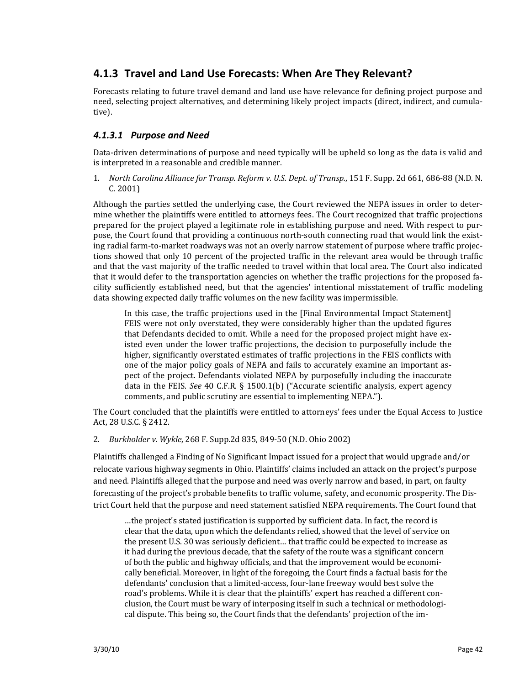## **4.1.3 Travel and Land Use Forecasts: When Are They Relevant?**

Forecasts relating to future travel demand and land use have relevance for defining project purpose and need, selecting project alternatives, and determining likely project impacts (direct, indirect, and cumulative).

#### *4.1.3.1 Purpose and Need*

Data‐driven determinations of purpose and need typically will be upheld so long as the data is valid and is interpreted in a reasonable and credible manner.

1. *North Carolina Alliance for Transp. Reform v. U.S. Dept. of Transp.*, 151 F. Supp. 2d 661, 686‐88 (N.D. N. C. 2001)

Although the parties settled the underlying case, the Court reviewed the NEPA issues in order to deter‐ mine whether the plaintiffs were entitled to attorneys fees. The Court recognized that traffic projections prepared for the project played a legitimate role in establishing purpose and need. With respect to pur‐ pose, the Court found that providing a continuous north-south connecting road that would link the existing radial farm-to-market roadways was not an overly narrow statement of purpose where traffic projections showed that only 10 percent of the projected traffic in the relevant area would be through traffic and that the vast majority of the traffic needed to travel within that local area. The Court also indicated that it would defer to the transportation agencies on whether the traffic projections for the proposed facility sufficiently established need, but that the agencies' intentional misstatement of traffic modeling data showing expected daily traffic volumes on the new facility was impermissible.

In this case, the traffic projections used in the [Final Environmental Impact Statement] FEIS were not only overstated, they were considerably higher than the updated figures that Defendants decided to omit. While a need for the proposed project might have ex‐ isted even under the lower traffic projections, the decision to purposefully include the higher, significantly overstated estimates of traffic projections in the FEIS conflicts with one of the major policy goals of NEPA and fails to accurately examine an important as‐ pect of the project. Defendants violated NEPA by purposefully including the inaccurate data in the FEIS. *See* 40 C.F.R. § 1500.1(b) ("Accurate scientific analysis, expert agency comments, and public scrutiny are essential to implementing NEPA.").

The Court concluded that the plaintiffs were entitled to attorneys' fees under the Equal Access to Justice Act, 28 U.S.C. § 2412.

2. *Burkholder v. Wykle*, 268 F. Supp.2d 835, 849‐50 (N.D. Ohio 2002)

Plaintiffs challenged a Finding of No Significant Impact issued for a project that would upgrade and/or relocate various highway segments in Ohio. Plaintiffs' claims included an attack on the project's purpose and need. Plaintiffs alleged that the purpose and need was overly narrow and based, in part, on faulty forecasting of the project's probable benefits to traffic volume, safety, and economic prosperity. The Dis‐ trict Court held that the purpose and need statement satisfied NEPA requirements. The Court found that

…the project's stated justification is supported by sufficient data. In fact, the record is clear that the data, upon which the defendants relied, showed that the level of service on the present U.S. 30 was seriously deficient… that traffic could be expected to increase as it had during the previous decade, that the safety of the route was a significant concern of both the public and highway officials, and that the improvement would be economi‐ cally beneficial. Moreover, in light of the foregoing, the Court finds a factual basis for the defendants' conclusion that a limited‐access, four‐lane freeway would best solve the road's problems. While it is clear that the plaintiffs' expert has reached a different con‐ clusion, the Court must be wary of interposing itself in such a technical or methodological dispute. This being so, the Court finds that the defendants' projection of the im‐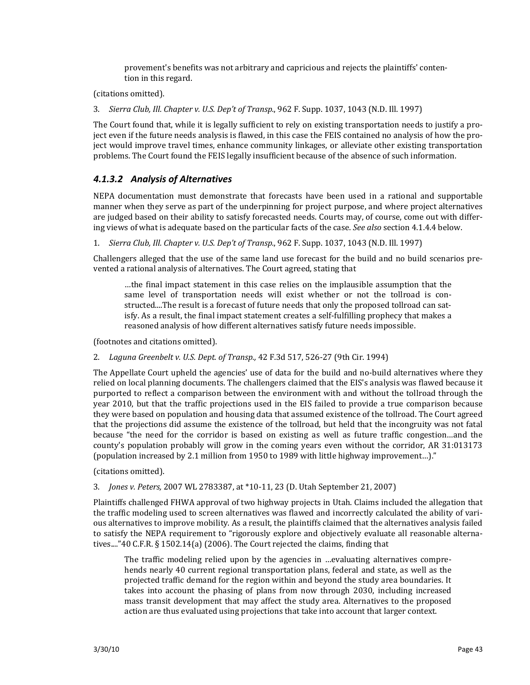provement's benefits was not arbitrary and capricious and rejects the plaintiffs' conten‐ tion in this regard.

(citations omitted).

3. *Sierra Club, Ill. Chapter v. U.S. Dep't of Transp.*, 962 F. Supp. 1037, 1043 (N.D. Ill. 1997)

The Court found that, while it is legally sufficient to rely on existing transportation needs to justify a pro‐ ject even if the future needs analysis is flawed, in this case the FEIS contained no analysis of how the project would improve travel times, enhance community linkages, or alleviate other existing transportation problems. The Court found the FEIS legally insufficient because of the absence of such information.

#### *4.1.3.2 Analysis of Alternatives*

NEPA documentation must demonstrate that forecasts have been used in a rational and supportable manner when they serve as part of the underpinning for project purpose, and where project alternatives are judged based on their ability to satisfy forecasted needs. Courts may, of course, come out with differ‐ ing views of what is adequate based on the particular facts of the case. *See also* section 4.1.4.4 below.

1. *Sierra Club, Ill. Chapter v. U.S. Dep't of Transp.*, 962 F. Supp. 1037, 1043 (N.D. Ill. 1997)

Challengers alleged that the use of the same land use forecast for the build and no build scenarios pre‐ vented a rational analysis of alternatives. The Court agreed, stating that

…the final impact statement in this case relies on the implausible assumption that the same level of transportation needs will exist whether or not the tollroad is constructed....The result is a forecast of future needs that only the proposed tollroad can satisfy. As a result, the final impact statement creates a self‐fulfilling prophecy that makes a reasoned analysis of how different alternatives satisfy future needs impossible.

(footnotes and citations omitted).

#### 2. *Laguna Greenbelt v. U.S. Dept. of Transp.,* 42 F.3d 517, 526‐27 (9th Cir. 1994)

The Appellate Court upheld the agencies' use of data for the build and no‐build alternatives where they relied on local planning documents. The challengers claimed that the EIS's analysis was flawed because it purported to reflect a comparison between the environment with and without the tollroad through the year 2010, but that the traffic projections used in the EIS failed to provide a true comparison because they were based on population and housing data that assumed existence of the tollroad. The Court agreed that the projections did assume the existence of the tollroad, but held that the incongruity was not fatal because "the need for the corridor is based on existing as well as future traffic congestion…and the county's population probably will grow in the coming years even without the corridor, AR 31:013173 (population increased by 2.1 million from 1950 to 1989 with little highway improvement…)."

(citations omitted).

#### 3. *Jones v. Peters,* 2007 WL 2783387, at \*10‐11, 23 (D. Utah September 21, 2007)

Plaintiffs challenged FHWA approval of two highway projects in Utah. Claims included the allegation that the traffic modeling used to screen alternatives was flawed and incorrectly calculated the ability of various alternatives to improve mobility. As a result, the plaintiffs claimed that the alternatives analysis failed to satisfy the NEPA requirement to "rigorously explore and objectively evaluate all reasonable alternatives...."40 C.F.R. § 1502.14(a) (2006). The Court rejected the claims, finding that

The traffic modeling relied upon by the agencies in ...evaluating alternatives comprehends nearly 40 current regional transportation plans, federal and state, as well as the projected traffic demand for the region within and beyond the study area boundaries. It takes into account the phasing of plans from now through 2030, including increased mass transit development that may affect the study area. Alternatives to the proposed action are thus evaluated using projections that take into account that larger context.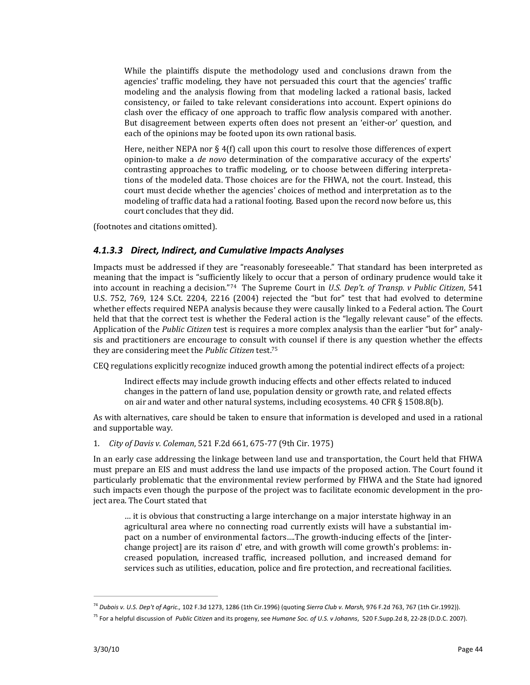While the plaintiffs dispute the methodology used and conclusions drawn from the agencies' traffic modeling, they have not persuaded this court that the agencies' traffic modeling and the analysis flowing from that modeling lacked a rational basis, lacked consistency, or failed to take relevant considerations into account. Expert opinions do clash over the efficacy of one approach to traffic flow analysis compared with another. But disagreement between experts often does not present an 'either-or' question, and each of the opinions may be footed upon its own rational basis.

Here, neither NEPA nor § 4(f) call upon this court to resolve those differences of expert opinion‐to make a *de novo* determination of the comparative accuracy of the experts' contrasting approaches to traffic modeling, or to choose between differing interpretations of the modeled data. Those choices are for the FHWA, not the court. Instead, this court must decide whether the agencies' choices of method and interpretation as to the modeling of traffic data had a rational footing. Based upon the record now before us, this court concludes that they did.

(footnotes and citations omitted).

#### *4.1.3.3 Direct, Indirect, and Cumulative Impacts Analyses*

Impacts must be addressed if they are "reasonably foreseeable." That standard has been interpreted as meaning that the impact is "sufficiently likely to occur that a person of ordinary prudence would take it into account in reaching a decision."74 The Supreme Court in *U.S. Dep't. of Transp. v Public Citizen*, 541 U.S. 752, 769, 124 S.Ct. 2204, 2216 (2004) rejected the "but for" test that had evolved to determine whether effects required NEPA analysis because they were causally linked to a Federal action. The Court held that that the correct test is whether the Federal action is the "legally relevant cause" of the effects. Application of the *Public Citizen* test is requires a more complex analysis than the earlier "but for" analy‐ sis and practitioners are encourage to consult with counsel if there is any question whether the effects they are considering meet the *Public Citizen* test.75

CEQ regulations explicitly recognize induced growth among the potential indirect effects of a project:

Indirect effects may include growth inducing effects and other effects related to induced changes in the pattern of land use, population density or growth rate, and related effects on air and water and other natural systems, including ecosystems. 40 CFR § 1508.8(b).

As with alternatives, care should be taken to ensure that information is developed and used in a rational and supportable way.

1. *City of Davis v. Coleman*, 521 F.2d 661, 675‐77 (9th Cir. 1975)

In an early case addressing the linkage between land use and transportation, the Court held that FHWA must prepare an EIS and must address the land use impacts of the proposed action. The Court found it particularly problematic that the environmental review performed by FHWA and the State had ignored such impacts even though the purpose of the project was to facilitate economic development in the project area. The Court stated that

… it is obvious that constructing a large interchange on a major interstate highway in an agricultural area where no connecting road currently exists will have a substantial im‐ pact on a number of environmental factors...The growth-inducing effects of the [interchange project] are its raison d' etre, and with growth will come growth's problems: in‐ creased population, increased traffic, increased pollution, and increased demand for services such as utilities, education, police and fire protection, and recreational facilities.

<sup>74</sup> *Dubois v. U.S. Dep't of Agric.,* 102 F.3d 1273, 1286 (1th Cir.1996) (quoting *Sierra Club v. Marsh,* 976 F.2d 763, 767 (1th Cir.1992)).

<sup>75</sup> For a helpful discussion of *Public Citizen* and its progeny, see *Humane Soc. of U.S. v Johanns*, 520 F.Supp.2d 8, 22‐28 (D.D.C. 2007).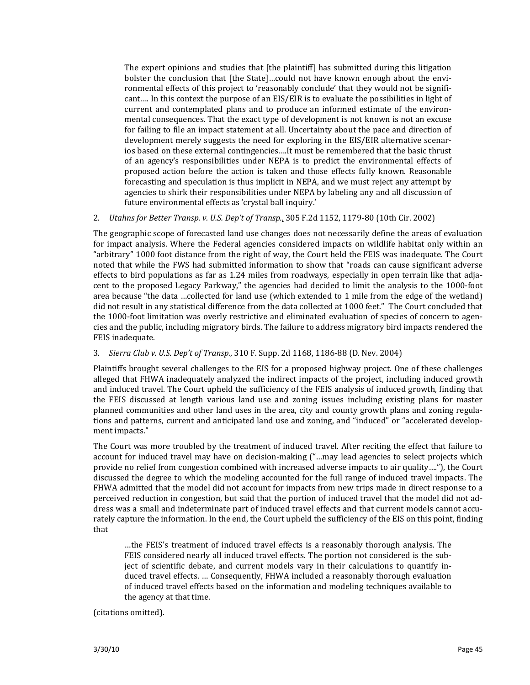The expert opinions and studies that [the plaintiff] has submitted during this litigation bolster the conclusion that [the State]…could not have known enough about the environmental effects of this project to 'reasonably conclude' that they would not be signifi‐ cant…. In this context the purpose of an EIS/EIR is to evaluate the possibilities in light of current and contemplated plans and to produce an informed estimate of the environmental consequences. That the exact type of development is not known is not an excuse for failing to file an impact statement at all. Uncertainty about the pace and direction of development merely suggests the need for exploring in the EIS/EIR alternative scenar‐ ios based on these external contingencies….It must be remembered that the basic thrust of an agency's responsibilities under NEPA is to predict the environmental effects of proposed action before the action is taken and those effects fully known. Reasonable forecasting and speculation is thus implicit in NEPA, and we must reject any attempt by agencies to shirk their responsibilities under NEPA by labeling any and all discussion of future environmental effects as 'crystal ball inquiry.'

#### 2. *Utahns for Better Transp. v. U.S. Dep't of Transp.*, 305 F.2d 1152, 1179‐80 (10th Cir. 2002)

The geographic scope of forecasted land use changes does not necessarily define the areas of evaluation for impact analysis. Where the Federal agencies considered impacts on wildlife habitat only within an "arbitrary" 1000 foot distance from the right of way, the Court held the FEIS was inadequate. The Court noted that while the FWS had submitted information to show that "roads can cause significant adverse effects to bird populations as far as 1.24 miles from roadways, especially in open terrain like that adjacent to the proposed Legacy Parkway," the agencies had decided to limit the analysis to the 1000-foot area because "the data …collected for land use (which extended to 1 mile from the edge of the wetland) did not result in any statistical difference from the data collected at 1000 feet." The Court concluded that the 1000‐foot limitation was overly restrictive and eliminated evaluation of species of concern to agen‐ cies and the public, including migratory birds. The failure to address migratory bird impacts rendered the FEIS inadequate.

#### 3. *Sierra Club v. U.S. Dep't of Transp.*, 310 F. Supp. 2d 1168, 1186‐88 (D. Nev. 2004)

Plaintiffs brought several challenges to the EIS for a proposed highway project. One of these challenges alleged that FHWA inadequately analyzed the indirect impacts of the project, including induced growth and induced travel. The Court upheld the sufficiency of the FEIS analysis of induced growth, finding that the FEIS discussed at length various land use and zoning issues including existing plans for master planned communities and other land uses in the area, city and county growth plans and zoning regula‐ tions and patterns, current and anticipated land use and zoning, and "induced" or "accelerated development impacts."

The Court was more troubled by the treatment of induced travel. After reciting the effect that failure to account for induced travel may have on decision-making ("...may lead agencies to select projects which provide no relief from congestion combined with increased adverse impacts to air quality…."), the Court discussed the degree to which the modeling accounted for the full range of induced travel impacts. The FHWA admitted that the model did not account for impacts from new trips made in direct response to a perceived reduction in congestion, but said that the portion of induced travel that the model did not ad‐ dress was a small and indeterminate part of induced travel effects and that current models cannot accurately capture the information. In the end, the Court upheld the sufficiency of the EIS on this point, finding that

…the FEIS's treatment of induced travel effects is a reasonably thorough analysis. The FEIS considered nearly all induced travel effects. The portion not considered is the subject of scientific debate, and current models vary in their calculations to quantify induced travel effects. … Consequently, FHWA included a reasonably thorough evaluation of induced travel effects based on the information and modeling techniques available to the agency at that time.

(citations omitted).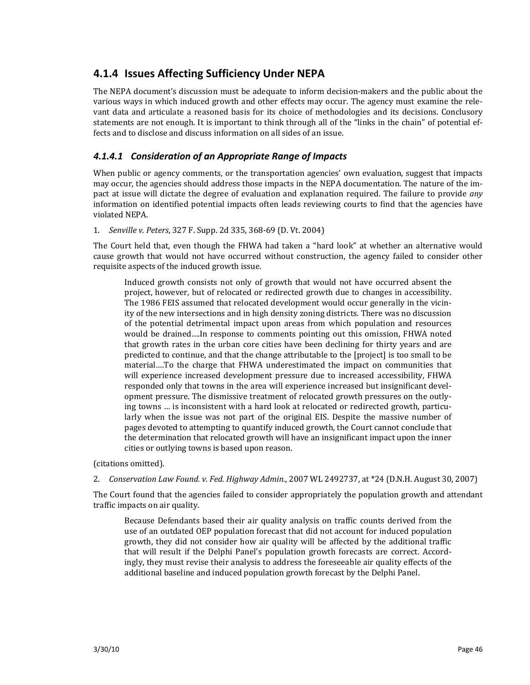## **4.1.4 Issues Affecting Sufficiency Under NEPA**

The NEPA document's discussion must be adequate to inform decision-makers and the public about the various ways in which induced growth and other effects may occur. The agency must examine the rele‐ vant data and articulate a reasoned basis for its choice of methodologies and its decisions. Conclusory statements are not enough. It is important to think through all of the "links in the chain" of potential ef‐ fects and to disclose and discuss information on all sides of an issue.

#### *4.1.4.1 Consideration of an Appropriate Range of Impacts*

When public or agency comments, or the transportation agencies' own evaluation, suggest that impacts may occur, the agencies should address those impacts in the NEPA documentation. The nature of the im‐ pact at issue will dictate the degree of evaluation and explanation required. The failure to provide *any* information on identified potential impacts often leads reviewing courts to find that the agencies have violated NEPA.

1. *Senville v. Peters*, 327 F. Supp. 2d 335, 368‐69 (D. Vt. 2004)

The Court held that, even though the FHWA had taken a "hard look" at whether an alternative would cause growth that would not have occurred without construction, the agency failed to consider other requisite aspects of the induced growth issue.

Induced growth consists not only of growth that would not have occurred absent the project, however, but of relocated or redirected growth due to changes in accessibility. The 1986 FEIS assumed that relocated development would occur generally in the vicin‐ ity of the new intersections and in high density zoning districts. There was no discussion of the potential detrimental impact upon areas from which population and resources would be drained....In response to comments pointing out this omission, FHWA noted that growth rates in the urban core cities have been declining for thirty years and are predicted to continue, and that the change attributable to the [project] is too small to be material….To the charge that FHWA underestimated the impact on communities that will experience increased development pressure due to increased accessibility, FHWA responded only that towns in the area will experience increased but insignificant development pressure. The dismissive treatment of relocated growth pressures on the outly‐ ing towns ... is inconsistent with a hard look at relocated or redirected growth, particularly when the issue was not part of the original EIS. Despite the massive number of pages devoted to attempting to quantify induced growth, the Court cannot conclude that the determination that relocated growth will have an insignificant impact upon the inner cities or outlying towns is based upon reason.

(citations omitted).

2. *Conservation Law Found. v. Fed. Highway Admin.*, 2007 WL 2492737, at \*24 (D.N.H. August 30, 2007)

The Court found that the agencies failed to consider appropriately the population growth and attendant traffic impacts on air quality.

Because Defendants based their air quality analysis on traffic counts derived from the use of an outdated OEP population forecast that did not account for induced population growth, they did not consider how air quality will be affected by the additional traffic that will result if the Delphi Panel's population growth forecasts are correct. Accordingly, they must revise their analysis to address the foreseeable air quality effects of the additional baseline and induced population growth forecast by the Delphi Panel.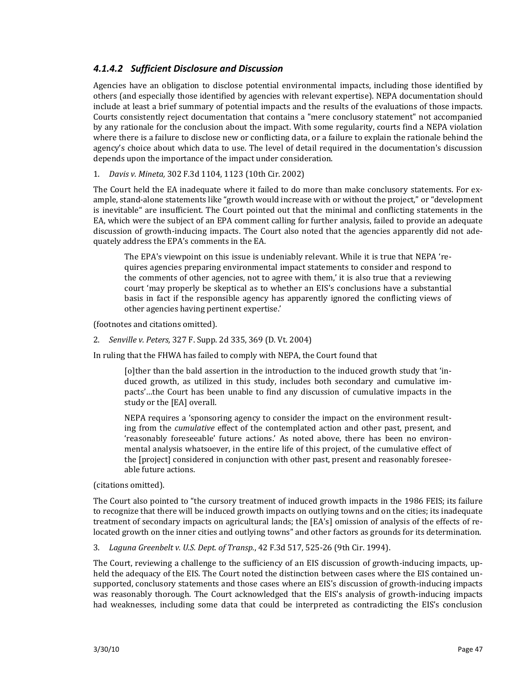#### *4.1.4.2 Sufficient Disclosure and Discussion*

Agencies have an obligation to disclose potential environmental impacts, including those identified by others (and especially those identified by agencies with relevant expertise). NEPA documentation should include at least a brief summary of potential impacts and the results of the evaluations of those impacts. Courts consistently reject documentation that contains a "mere conclusory statement" not accompanied by any rationale for the conclusion about the impact. With some regularity, courts find a NEPA violation where there is a failure to disclose new or conflicting data, or a failure to explain the rationale behind the agency's choice about which data to use. The level of detail required in the documentation's discussion depends upon the importance of the impact under consideration.

#### 1. *Davis v. Mineta,* 302 F.3d 1104, 1123 (10th Cir. 2002)

The Court held the EA inadequate where it failed to do more than make conclusory statements. For ex‐ ample, stand-alone statements like "growth would increase with or without the project," or "development is inevitable" are insufficient. The Court pointed out that the minimal and conflicting statements in the EA, which were the subject of an EPA comment calling for further analysis, failed to provide an adequate discussion of growth-inducing impacts. The Court also noted that the agencies apparently did not adequately address the EPA's comments in the EA.

The EPA's viewpoint on this issue is undeniably relevant. While it is true that NEPA 're‐ quires agencies preparing environmental impact statements to consider and respond to the comments of other agencies, not to agree with them,' it is also true that a reviewing court 'may properly be skeptical as to whether an EIS's conclusions have a substantial basis in fact if the responsible agency has apparently ignored the conflicting views of other agencies having pertinent expertise.'

(footnotes and citations omitted).

2. *Senville v. Peters,* 327 F. Supp. 2d 335, 369 (D. Vt. 2004)

In ruling that the FHWA has failed to comply with NEPA, the Court found that

[o]ther than the bald assertion in the introduction to the induced growth study that 'in‐ duced growth, as utilized in this study, includes both secondary and cumulative impacts'...the Court has been unable to find any discussion of cumulative impacts in the study or the [EA] overall.

NEPA requires a 'sponsoring agency to consider the impact on the environment result‐ ing from the *cumulative* effect of the contemplated action and other past, present, and 'reasonably foreseeable' future actions.' As noted above, there has been no environmental analysis whatsoever, in the entire life of this project, of the cumulative effect of the [project] considered in conjunction with other past, present and reasonably foresee‐ able future actions.

(citations omitted).

The Court also pointed to "the cursory treatment of induced growth impacts in the 1986 FEIS; its failure to recognize that there will be induced growth impacts on outlying towns and on the cities; its inadequate treatment of secondary impacts on agricultural lands; the [EA's] omission of analysis of the effects of re‐ located growth on the inner cities and outlying towns" and other factors as grounds for its determination.

3. *Laguna Greenbelt v. U.S. Dept. of Transp.*, 42 F.3d 517, 525‐26 (9th Cir. 1994).

The Court, reviewing a challenge to the sufficiency of an EIS discussion of growth-inducing impacts, up– held the adequacy of the EIS. The Court noted the distinction between cases where the EIS contained un‐ supported, conclusory statements and those cases where an EIS's discussion of growth-inducing impacts was reasonably thorough. The Court acknowledged that the EIS's analysis of growth-inducing impacts had weaknesses, including some data that could be interpreted as contradicting the EIS's conclusion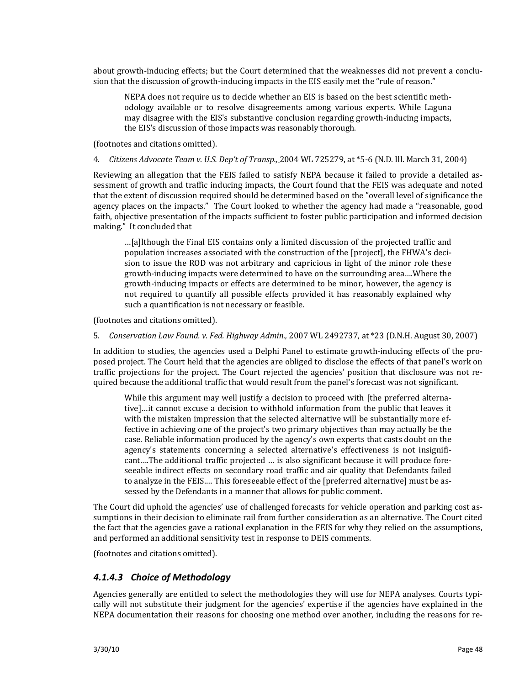about growth-inducing effects; but the Court determined that the weaknesses did not prevent a conclusion that the discussion of growth-inducing impacts in the EIS easily met the "rule of reason."

NEPA does not require us to decide whether an EIS is based on the best scientific meth‐ odology available or to resolve disagreements among various experts. While Laguna may disagree with the EIS's substantive conclusion regarding growth-inducing impacts, the EIS's discussion of those impacts was reasonably thorough.

(footnotes and citations omitted).

4. *Citizens Advocate Team v. U.S. Dep't of Transp.,* 2004 WL 725279, at \*5‐6 (N.D. Ill. March 31, 2004)

Reviewing an allegation that the FEIS failed to satisfy NEPA because it failed to provide a detailed assessment of growth and traffic inducing impacts, the Court found that the FEIS was adequate and noted that the extent of discussion required should be determined based on the "overall level of significance the agency places on the impacts." The Court looked to whether the agency had made a "reasonable, good faith, objective presentation of the impacts sufficient to foster public participation and informed decision making." It concluded that

…[a]lthough the Final EIS contains only a limited discussion of the projected traffic and population increases associated with the construction of the [project], the FHWA's decision to issue the ROD was not arbitrary and capricious in light of the minor role these growth‐inducing impacts were determined to have on the surrounding area….Where the growth‐inducing impacts or effects are determined to be minor, however, the agency is not required to quantify all possible effects provided it has reasonably explained why such a quantification is not necessary or feasible.

(footnotes and citations omitted).

5. *Conservation Law Found. v. Fed. Highway Admin.,* 2007 WL 2492737, at \*23 (D.N.H. August 30, 2007)

In addition to studies, the agencies used a Delphi Panel to estimate growth-inducing effects of the proposed project. The Court held that the agencies are obliged to disclose the effects of that panel's work on traffic projections for the project. The Court rejected the agencies' position that disclosure was not re‐ quired because the additional traffic that would result from the panel's forecast was not significant.

While this argument may well justify a decision to proceed with [the preferred alternative]…it cannot excuse a decision to withhold information from the public that leaves it with the mistaken impression that the selected alternative will be substantially more effective in achieving one of the project's two primary objectives than may actually be the case. Reliable information produced by the agency's own experts that casts doubt on the agency's statements concerning a selected alternative's effectiveness is not insignificant….The additional traffic projected … is also significant because it will produce fore‐ seeable indirect effects on secondary road traffic and air quality that Defendants failed to analyze in the FEIS.… This foreseeable effect of the [preferred alternative] must be as‐ sessed by the Defendants in a manner that allows for public comment.

The Court did uphold the agencies' use of challenged forecasts for vehicle operation and parking cost as‐ sumptions in their decision to eliminate rail from further consideration as an alternative. The Court cited the fact that the agencies gave a rational explanation in the FEIS for why they relied on the assumptions, and performed an additional sensitivity test in response to DEIS comments.

(footnotes and citations omitted).

#### *4.1.4.3 Choice of Methodology*

Agencies generally are entitled to select the methodologies they will use for NEPA analyses. Courts typically will not substitute their judgment for the agencies' expertise if the agencies have explained in the NEPA documentation their reasons for choosing one method over another, including the reasons for re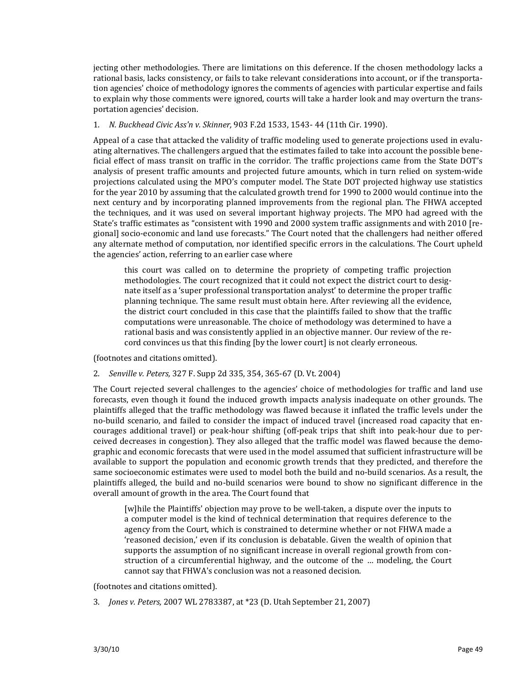jecting other methodologies. There are limitations on this deference. If the chosen methodology lacks a rational basis, lacks consistency, or fails to take relevant considerations into account, or if the transporta‐ tion agencies' choice of methodology ignores the comments of agencies with particular expertise and fails to explain why those comments were ignored, courts will take a harder look and may overturn the transportation agencies' decision.

#### 1. *N. Buckhead Civic Ass'n v. Skinner,* 903 F.2d 1533, 1543‐ 44 (11th Cir. 1990).

Appeal of a case that attacked the validity of traffic modeling used to generate projections used in evalu‐ ating alternatives. The challengers argued that the estimates failed to take into account the possible bene‐ ficial effect of mass transit on traffic in the corridor. The traffic projections came from the State DOT's analysis of present traffic amounts and projected future amounts, which in turn relied on system‐wide projections calculated using the MPO's computer model. The State DOT projected highway use statistics for the year 2010 by assuming that the calculated growth trend for 1990 to 2000 would continue into the next century and by incorporating planned improvements from the regional plan. The FHWA accepted the techniques, and it was used on several important highway projects. The MPO had agreed with the State's traffic estimates as "consistent with 1990 and 2000 system traffic assignments and with 2010 [regional] socio‐economic and land use forecasts." The Court noted that the challengers had neither offered any alternate method of computation, nor identified specific errors in the calculations. The Court upheld the agencies' action, referring to an earlier case where

this court was called on to determine the propriety of competing traffic projection methodologies. The court recognized that it could not expect the district court to desig‐ nate itself as a 'super professional transportation analyst' to determine the proper traffic planning technique. The same result must obtain here. After reviewing all the evidence, the district court concluded in this case that the plaintiffs failed to show that the traffic computations were unreasonable. The choice of methodology was determined to have a rational basis and was consistently applied in an objective manner. Our review of the re‐ cord convinces us that this finding [by the lower court] is not clearly erroneous.

(footnotes and citations omitted).

2. *Senville v. Peters,* 327 F. Supp 2d 335, 354, 365‐67 (D. Vt. 2004)

The Court rejected several challenges to the agencies' choice of methodologies for traffic and land use forecasts, even though it found the induced growth impacts analysis inadequate on other grounds. The plaintiffs alleged that the traffic methodology was flawed because it inflated the traffic levels under the no-build scenario, and failed to consider the impact of induced travel (increased road capacity that encourages additional travel) or peak‐hour shifting (off‐peak trips that shift into peak‐hour due to per‐ ceived decreases in congestion). They also alleged that the traffic model was flawed because the demographic and economic forecasts that were used in the model assumed that sufficient infrastructure will be available to support the population and economic growth trends that they predicted, and therefore the same socioeconomic estimates were used to model both the build and no‐build scenarios. As a result, the plaintiffs alleged, the build and no‐build scenarios were bound to show no significant difference in the overall amount of growth in the area. The Court found that

[w]hile the Plaintiffs' objection may prove to be well-taken, a dispute over the inputs to a computer model is the kind of technical determination that requires deference to the agency from the Court, which is constrained to determine whether or not FHWA made a 'reasoned decision,' even if its conclusion is debatable. Given the wealth of opinion that supports the assumption of no significant increase in overall regional growth from construction of a circumferential highway, and the outcome of the ... modeling, the Court cannot say that FHWA's conclusion was not a reasoned decision.

(footnotes and citations omitted).

3. *Jones v. Peters,* 2007 WL 2783387, at \*23 (D. Utah September 21, 2007)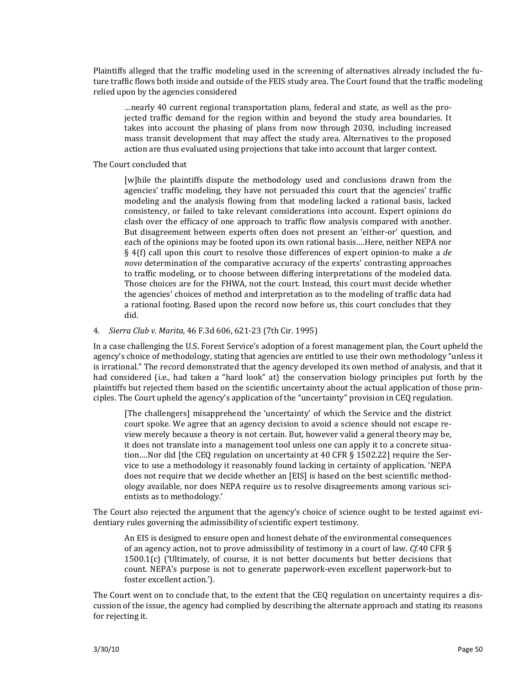Plaintiffs alleged that the traffic modeling used in the screening of alternatives already included the future traffic flows both inside and outside of the FEIS study area. The Court found that the traffic modeling relied upon by the agencies considered

…nearly 40 current regional transportation plans, federal and state, as well as the pro‐ jected traffic demand for the region within and beyond the study area boundaries. It takes into account the phasing of plans from now through 2030, including increased mass transit development that may affect the study area. Alternatives to the proposed action are thus evaluated using projections that take into account that larger context.

#### The Court concluded that

[w]hile the plaintiffs dispute the methodology used and conclusions drawn from the agencies' traffic modeling, they have not persuaded this court that the agencies' traffic modeling and the analysis flowing from that modeling lacked a rational basis, lacked consistency, or failed to take relevant considerations into account. Expert opinions do clash over the efficacy of one approach to traffic flow analysis compared with another. But disagreement between experts often does not present an 'either-or' question, and each of the opinions may be footed upon its own rational basis….Here, neither NEPA nor § 4(f) call upon this court to resolve those differences of expert opinion-to make a *de novo* determination of the comparative accuracy of the experts' contrasting approaches to traffic modeling, or to choose between differing interpretations of the modeled data. Those choices are for the FHWA, not the court. Instead, this court must decide whether the agencies' choices of method and interpretation as to the modeling of traffic data had a rational footing. Based upon the record now before us, this court concludes that they did.

#### 4. *Sierra Club v. Marita,* 46 F.3d 606, 621‐23 (7th Cir. 1995)

In a case challenging the U.S. Forest Service's adoption of a forest management plan, the Court upheld the agency's choice of methodology, stating that agencies are entitled to use their own methodology "unless it is irrational." The record demonstrated that the agency developed its own method of analysis, and that it had considered (i.e., had taken a "hard look" at) the conservation biology principles put forth by the plaintiffs but rejected them based on the scientific uncertainty about the actual application of those prin‐ ciples. The Court upheld the agency's application of the "uncertainty" provision in CEQ regulation.

[The challengers] misapprehend the 'uncertainty' of which the Service and the district court spoke. We agree that an agency decision to avoid a science should not escape re‐ view merely because a theory is not certain. But, however valid a general theory may be, it does not translate into a management tool unless one can apply it to a concrete situa‐ tion....Nor did [the CEQ regulation on uncertainty at 40 CFR § 1502.22] require the Service to use a methodology it reasonably found lacking in certainty of application. 'NEPA does not require that we decide whether an [EIS] is based on the best scientific method‐ ology available, nor does NEPA require us to resolve disagreements among various sci‐ entists as to methodology.'

The Court also rejected the argument that the agency's choice of science ought to be tested against evidentiary rules governing the admissibility of scientific expert testimony.

An EIS is designed to ensure open and honest debate of the environmental consequences of an agency action, not to prove admissibility of testimony in a court of law. *Cf.*40 CFR §  $1500.1(c)$  ('Ultimately, of course, it is not better documents but better decisions that count. NEPA's purpose is not to generate paperwork‐even excellent paperwork‐but to foster excellent action.').

The Court went on to conclude that, to the extent that the CEQ regulation on uncertainty requires a discussion of the issue, the agency had complied by describing the alternate approach and stating its reasons for rejecting it.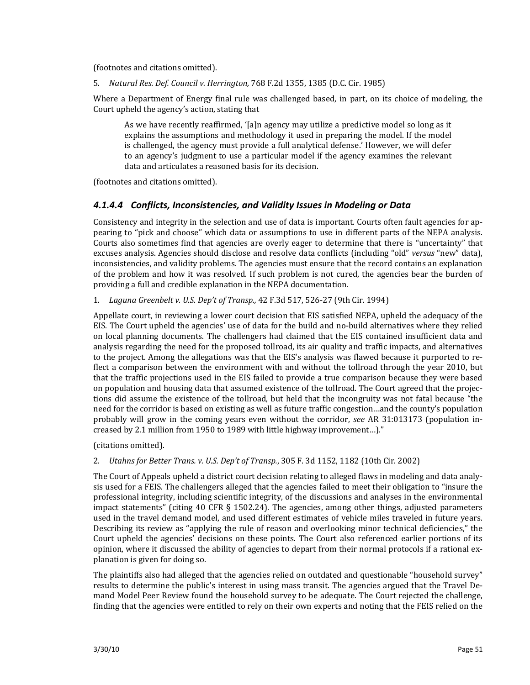(footnotes and citations omitted).

5. *Natural Res. Def. Council v. Herrington,* 768 F.2d 1355, 1385 (D.C. Cir. 1985)

Where a Department of Energy final rule was challenged based, in part, on its choice of modeling, the Court upheld the agency's action, stating that

As we have recently reaffirmed, '[a]n agency may utilize a predictive model so long as it explains the assumptions and methodology it used in preparing the model. If the model is challenged, the agency must provide a full analytical defense.' However, we will defer to an agency's judgment to use a particular model if the agency examines the relevant data and articulates a reasoned basis for its decision.

(footnotes and citations omitted).

#### *4.1.4.4 Conflicts, Inconsistencies, and Validity Issues in Modeling or Data*

Consistency and integrity in the selection and use of data is important. Courts often fault agencies for ap‐ pearing to "pick and choose" which data or assumptions to use in different parts of the NEPA analysis. Courts also sometimes find that agencies are overly eager to determine that there is "uncertainty" that excuses analysis. Agencies should disclose and resolve data conflicts (including "old" *versus* "new" data), inconsistencies, and validity problems. The agencies must ensure that the record contains an explanation of the problem and how it was resolved. If such problem is not cured, the agencies bear the burden of providing a full and credible explanation in the NEPA documentation.

#### 1. *Laguna Greenbelt v. U.S. Dep't of Transp.,* 42 F.3d 517, 526‐27 (9th Cir. 1994)

Appellate court, in reviewing a lower court decision that EIS satisfied NEPA, upheld the adequacy of the EIS. The Court upheld the agencies' use of data for the build and no‐build alternatives where they relied on local planning documents. The challengers had claimed that the EIS contained insufficient data and analysis regarding the need for the proposed tollroad, its air quality and traffic impacts, and alternatives to the project. Among the allegations was that the EIS's analysis was flawed because it purported to re‐ flect a comparison between the environment with and without the tollroad through the year 2010, but that the traffic projections used in the EIS failed to provide a true comparison because they were based on population and housing data that assumed existence of the tollroad. The Court agreed that the projec‐ tions did assume the existence of the tollroad, but held that the incongruity was not fatal because "the need for the corridor is based on existing as well as future traffic congestion…and the county's population probably will grow in the coming years even without the corridor, *see* AR 31:013173 (population in‐ creased by 2.1 million from 1950 to 1989 with little highway improvement…)."

(citations omitted).

2. *Utahns for Better Trans. v. U.S. Dep't of Transp.*, 305 F. 3d 1152, 1182 (10th Cir. 2002)

The Court of Appeals upheld a district court decision relating to alleged flaws in modeling and data analy‐ sis used for a FEIS. The challengers alleged that the agencies failed to meet their obligation to "insure the professional integrity, including scientific integrity, of the discussions and analyses in the environmental impact statements" (citing  $40$  CFR  $\S$  1502.24). The agencies, among other things, adjusted parameters used in the travel demand model, and used different estimates of vehicle miles traveled in future years. Describing its review as "applying the rule of reason and overlooking minor technical deficiencies," the Court upheld the agencies' decisions on these points. The Court also referenced earlier portions of its opinion, where it discussed the ability of agencies to depart from their normal protocols if a rational ex‐ planation is given for doing so.

The plaintiffs also had alleged that the agencies relied on outdated and questionable "household survey" results to determine the public's interest in using mass transit. The agencies argued that the Travel De‐ mand Model Peer Review found the household survey to be adequate. The Court rejected the challenge, finding that the agencies were entitled to rely on their own experts and noting that the FEIS relied on the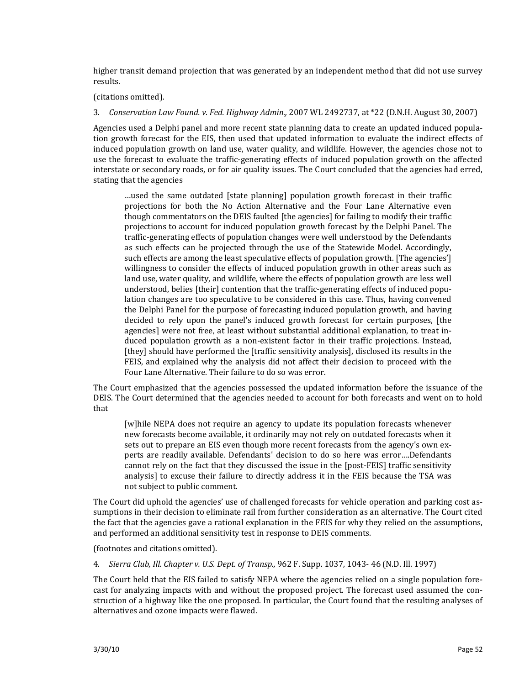higher transit demand projection that was generated by an independent method that did not use survey results.

#### (citations omitted).

#### 3. *Conservation Law Found. v. Fed. Highway Admin.,* 2007 WL 2492737, at \*22 (D.N.H. August 30, 2007)

Agencies used a Delphi panel and more recent state planning data to create an updated induced popula‐ tion growth forecast for the EIS, then used that updated information to evaluate the indirect effects of induced population growth on land use, water quality, and wildlife. However, the agencies chose not to use the forecast to evaluate the traffic‐generating effects of induced population growth on the affected interstate or secondary roads, or for air quality issues. The Court concluded that the agencies had erred, stating that the agencies

…used the same outdated [state planning] population growth forecast in their traffic projections for both the No Action Alternative and the Four Lane Alternative even though commentators on the DEIS faulted [the agencies] for failing to modify their traffic projections to account for induced population growth forecast by the Delphi Panel. The traffic‐generating effects of population changes were well understood by the Defendants as such effects can be projected through the use of the Statewide Model. Accordingly, such effects are among the least speculative effects of population growth. [The agencies'] willingness to consider the effects of induced population growth in other areas such as land use, water quality, and wildlife, where the effects of population growth are less well understood, belies [their] contention that the traffic-generating effects of induced population changes are too speculative to be considered in this case. Thus, having convened the Delphi Panel for the purpose of forecasting induced population growth, and having decided to rely upon the panel's induced growth forecast for certain purposes, [the agencies] were not free, at least without substantial additional explanation, to treat in‐ duced population growth as a non-existent factor in their traffic projections. Instead, [they] should have performed the [traffic sensitivity analysis], disclosed its results in the FEIS, and explained why the analysis did not affect their decision to proceed with the Four Lane Alternative. Their failure to do so was error.

The Court emphasized that the agencies possessed the updated information before the issuance of the DEIS. The Court determined that the agencies needed to account for both forecasts and went on to hold that

[w]hile NEPA does not require an agency to update its population forecasts whenever new forecasts become available, it ordinarily may not rely on outdated forecasts when it sets out to prepare an EIS even though more recent forecasts from the agency's own experts are readily available. Defendants' decision to do so here was error….Defendants cannot rely on the fact that they discussed the issue in the [post‐FEIS] traffic sensitivity analysis] to excuse their failure to directly address it in the FEIS because the TSA was not subject to public comment.

The Court did uphold the agencies' use of challenged forecasts for vehicle operation and parking cost as‐ sumptions in their decision to eliminate rail from further consideration as an alternative. The Court cited the fact that the agencies gave a rational explanation in the FEIS for why they relied on the assumptions, and performed an additional sensitivity test in response to DEIS comments.

(footnotes and citations omitted).

4. *Sierra Club, Ill. Chapter v. U.S. Dept. of Transp.,* 962 F. Supp. 1037, 1043‐ 46 (N.D. Ill. 1997)

The Court held that the EIS failed to satisfy NEPA where the agencies relied on a single population forecast for analyzing impacts with and without the proposed project. The forecast used assumed the construction of a highway like the one proposed. In particular, the Court found that the resulting analyses of alternatives and ozone impacts were flawed.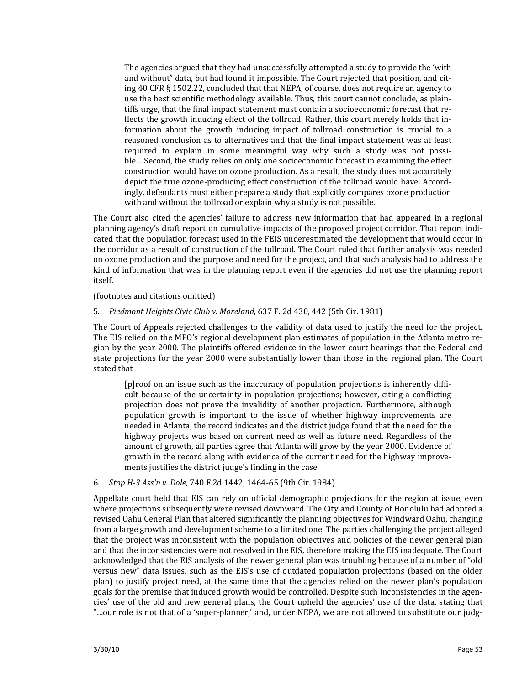The agencies argued that they had unsuccessfully attempted a study to provide the 'with and without" data, but had found it impossible. The Court rejected that position, and cit‐ ing 40 CFR § 1502.22, concluded that that NEPA, of course, does not require an agency to use the best scientific methodology available. Thus, this court cannot conclude, as plaintiffs urge, that the final impact statement must contain a socioeconomic forecast that re‐ flects the growth inducing effect of the tollroad. Rather, this court merely holds that information about the growth inducing impact of tollroad construction is crucial to a reasoned conclusion as to alternatives and that the final impact statement was at least required to explain in some meaningful way why such a study was not possible….Second, the study relies on only one socioeconomic forecast in examining the effect construction would have on ozone production. As a result, the study does not accurately depict the true ozone‐producing effect construction of the tollroad would have. Accord‐ ingly, defendants must either prepare a study that explicitly compares ozone production with and without the tollroad or explain why a study is not possible.

The Court also cited the agencies' failure to address new information that had appeared in a regional planning agency's draft report on cumulative impacts of the proposed project corridor. That report indi‐ cated that the population forecast used in the FEIS underestimated the development that would occur in the corridor as a result of construction of the tollroad. The Court ruled that further analysis was needed on ozone production and the purpose and need for the project, and that such analysis had to address the kind of information that was in the planning report even if the agencies did not use the planning report itself.

(footnotes and citations omitted)

5. *Piedmont Heights Civic Club v. Moreland,* 637 F. 2d 430, 442 (5th Cir. 1981)

The Court of Appeals rejected challenges to the validity of data used to justify the need for the project. The EIS relied on the MPO's regional development plan estimates of population in the Atlanta metro region by the year 2000. The plaintiffs offered evidence in the lower court hearings that the Federal and state projections for the year 2000 were substantially lower than those in the regional plan. The Court stated that

[p]roof on an issue such as the inaccuracy of population projections is inherently diffi‐ cult because of the uncertainty in population projections; however, citing a conflicting projection does not prove the invalidity of another projection. Furthermore, although population growth is important to the issue of whether highway improvements are needed in Atlanta, the record indicates and the district judge found that the need for the highway projects was based on current need as well as future need. Regardless of the amount of growth, all parties agree that Atlanta will grow by the year 2000. Evidence of growth in the record along with evidence of the current need for the highway improvements justifies the district judge's finding in the case.

#### 6. *Stop H3 Ass'n v. Dole*, 740 F.2d 1442, 1464‐65 (9th Cir. 1984)

Appellate court held that EIS can rely on official demographic projections for the region at issue, even where projections subsequently were revised downward. The City and County of Honolulu had adopted a revised Oahu General Plan that altered significantly the planning objectives for Windward Oahu, changing from a large growth and development scheme to a limited one. The parties challenging the project alleged that the project was inconsistent with the population objectives and policies of the newer general plan and that the inconsistencies were not resolved in the EIS, therefore making the EIS inadequate. The Court acknowledged that the EIS analysis of the newer general plan was troubling because of a number of "old versus new" data issues, such as the EIS's use of outdated population projections (based on the older plan) to justify project need, at the same time that the agencies relied on the newer plan's population goals for the premise that induced growth would be controlled. Despite such inconsistencies in the agencies' use of the old and new general plans, the Court upheld the agencies' use of the data, stating that "…our role is not that of a 'super‐planner,' and, under NEPA, we are not allowed to substitute our judg‐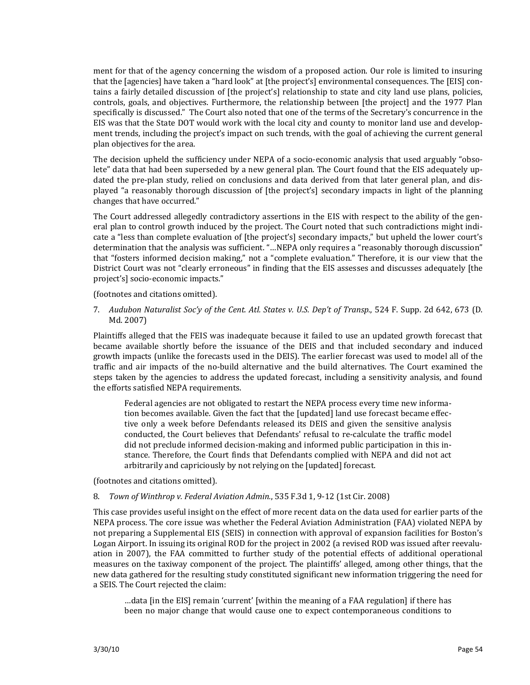ment for that of the agency concerning the wisdom of a proposed action. Our role is limited to insuring that the [agencies] have taken a "hard look" at [the project's] environmental consequences. The [EIS] contains a fairly detailed discussion of [the project's] relationship to state and city land use plans, policies, controls, goals, and objectives. Furthermore, the relationship between [the project] and the 1977 Plan specifically is discussed." The Court also noted that one of the terms of the Secretary's concurrence in the EIS was that the State DOT would work with the local city and county to monitor land use and develop‐ ment trends, including the project's impact on such trends, with the goal of achieving the current general plan objectives for the area.

The decision upheld the sufficiency under NEPA of a socio-economic analysis that used arguably "obsolete" data that had been superseded by a new general plan. The Court found that the EIS adequately updated the pre-plan study, relied on conclusions and data derived from that later general plan, and displayed "a reasonably thorough discussion of [the project's] secondary impacts in light of the planning changes that have occurred."

The Court addressed allegedly contradictory assertions in the EIS with respect to the ability of the general plan to control growth induced by the project. The Court noted that such contradictions might indicate a "less than complete evaluation of [the project's] secondary impacts," but upheld the lower court's determination that the analysis was sufficient. "…NEPA only requires a "reasonably thorough discussion" that "fosters informed decision making," not a "complete evaluation." Therefore, it is our view that the District Court was not "clearly erroneous" in finding that the EIS assesses and discusses adequately [the project's] socio‐economic impacts."

(footnotes and citations omitted).

7. *Audubon Naturalist Soc'y of the Cent. Atl. States v. U.S. Dep't of Transp.*, 524 F. Supp. 2d 642, 673 (D. Md. 2007)

Plaintiffs alleged that the FEIS was inadequate because it failed to use an updated growth forecast that became available shortly before the issuance of the DEIS and that included secondary and induced growth impacts (unlike the forecasts used in the DEIS). The earlier forecast was used to model all of the traffic and air impacts of the no‐build alternative and the build alternatives. The Court examined the steps taken by the agencies to address the updated forecast, including a sensitivity analysis, and found the efforts satisfied NEPA requirements.

Federal agencies are not obligated to restart the NEPA process every time new information becomes available. Given the fact that the [updated] land use forecast became effec‐ tive only a week before Defendants released its DEIS and given the sensitive analysis conducted, the Court believes that Defendants' refusal to re‐calculate the traffic model did not preclude informed decision‐making and informed public participation in this in‐ stance. Therefore, the Court finds that Defendants complied with NEPA and did not act arbitrarily and capriciously by not relying on the [updated] forecast.

(footnotes and citations omitted).

8. *Town of Winthrop v. Federal Aviation Admin.*, 535 F.3d 1, 9‐12 (1st Cir. 2008)

This case provides useful insight on the effect of more recent data on the data used for earlier parts of the NEPA process. The core issue was whether the Federal Aviation Administration (FAA) violated NEPA by not preparing a Supplemental EIS (SEIS) in connection with approval of expansion facilities for Boston's Logan Airport. In issuing its original ROD for the project in 2002 (a revised ROD was issued after reevaluation in 2007), the FAA committed to further study of the potential effects of additional operational measures on the taxiway component of the project. The plaintiffs' alleged, among other things, that the new data gathered for the resulting study constituted significant new information triggering the need for a SEIS. The Court rejected the claim:

…data [in the EIS] remain 'current' [within the meaning of a FAA regulation] if there has been no major change that would cause one to expect contemporaneous conditions to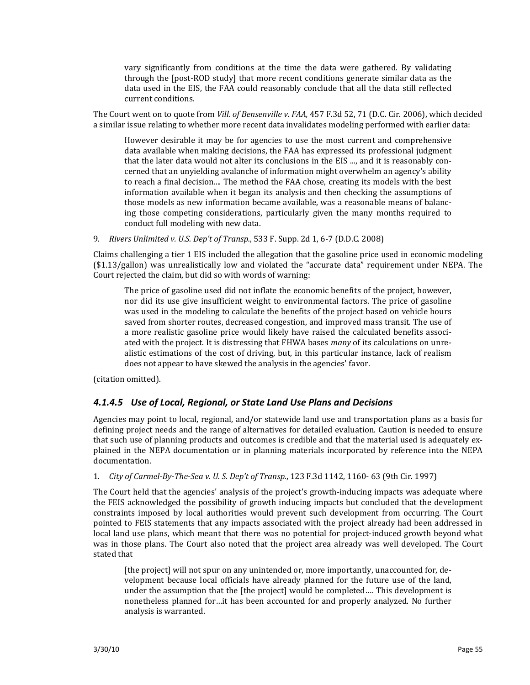vary significantly from conditions at the time the data were gathered. By validating through the [post‐ROD study] that more recent conditions generate similar data as the data used in the EIS, the FAA could reasonably conclude that all the data still reflected current conditions.

The Court went on to quote from *Vill. of Bensenville v. FAA,* 457 F.3d 52, 71 (D.C. Cir. 2006), which decided a similar issue relating to whether more recent data invalidates modeling performed with earlier data:

However desirable it may be for agencies to use the most current and comprehensive data available when making decisions, the FAA has expressed its professional judgment that the later data would not alter its conclusions in the EIS ..., and it is reasonably concerned that an unyielding avalanche of information might overwhelm an agency's ability to reach a final decision.... The method the FAA chose, creating its models with the best information available when it began its analysis and then checking the assumptions of those models as new information became available, was a reasonable means of balanc‐ ing those competing considerations, particularly given the many months required to conduct full modeling with new data.

9. *Rivers Unlimited v. U.S. Dep't of Transp.*, 533 F. Supp. 2d 1, 6‐7 (D.D.C. 2008)

Claims challenging a tier 1 EIS included the allegation that the gasoline price used in economic modeling (\$1.13/gallon) was unrealistically low and violated the "accurate data" requirement under NEPA. The Court rejected the claim, but did so with words of warning:

The price of gasoline used did not inflate the economic benefits of the project, however, nor did its use give insufficient weight to environmental factors. The price of gasoline was used in the modeling to calculate the benefits of the project based on vehicle hours saved from shorter routes, decreased congestion, and improved mass transit. The use of a more realistic gasoline price would likely have raised the calculated benefits associated with the project. It is distressing that FHWA bases *many* of its calculations on unre‐ alistic estimations of the cost of driving, but, in this particular instance, lack of realism does not appear to have skewed the analysis in the agencies' favor.

(citation omitted).

#### *4.1.4.5 Use of Local, Regional, or State Land Use Plans and Decisions*

Agencies may point to local, regional, and/or statewide land use and transportation plans as a basis for defining project needs and the range of alternatives for detailed evaluation. Caution is needed to ensure that such use of planning products and outcomes is credible and that the material used is adequately ex‐ plained in the NEPA documentation or in planning materials incorporated by reference into the NEPA documentation.

1. *City of CarmelByTheSea v. U. S. Dep't of Transp.*, 123 F.3d 1142, 1160‐ 63 (9th Cir. 1997)

The Court held that the agencies' analysis of the project's growth-inducing impacts was adequate where the FEIS acknowledged the possibility of growth inducing impacts but concluded that the development constraints imposed by local authorities would prevent such development from occurring. The Court pointed to FEIS statements that any impacts associated with the project already had been addressed in local land use plans, which meant that there was no potential for project-induced growth beyond what was in those plans. The Court also noted that the project area already was well developed. The Court stated that

[the project] will not spur on any unintended or, more importantly, unaccounted for, development because local officials have already planned for the future use of the land, under the assumption that the [the project] would be completed…. This development is nonetheless planned for…it has been accounted for and properly analyzed. No further analysis is warranted.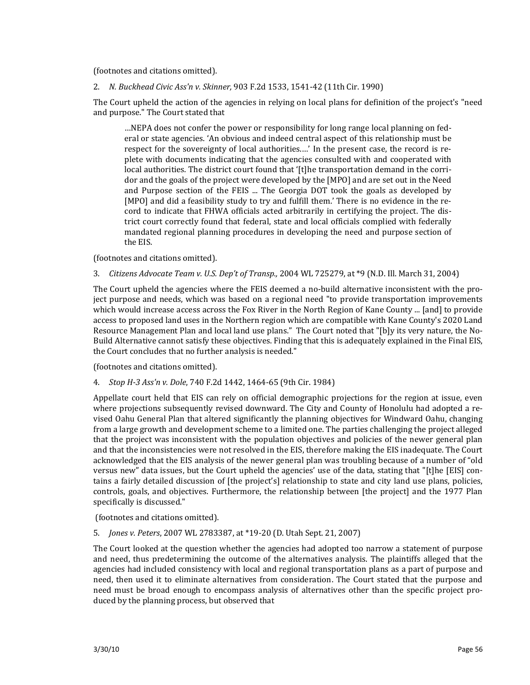(footnotes and citations omitted).

2. *N. Buckhead Civic Ass'n v. Skinner,* 903 F.2d 1533, 1541‐42 (11th Cir. 1990)

The Court upheld the action of the agencies in relying on local plans for definition of the project's "need and purpose." The Court stated that

…NEPA does not confer the power or responsibility for long range local planning on fed‐ eral or state agencies. 'An obvious and indeed central aspect of this relationship must be respect for the sovereignty of local authorities....' In the present case, the record is replete with documents indicating that the agencies consulted with and cooperated with local authorities. The district court found that '[t]he transportation demand in the corridor and the goals of the project were developed by the [MPO] and are set out in the Need and Purpose section of the FEIS ... The Georgia DOT took the goals as developed by [MPO] and did a feasibility study to try and fulfill them.' There is no evidence in the record to indicate that FHWA officials acted arbitrarily in certifying the project. The district court correctly found that federal, state and local officials complied with federally mandated regional planning procedures in developing the need and purpose section of the EIS.

(footnotes and citations omitted).

3. *Citizens Advocate Team v. U.S. Dep't of Transp.,* 2004 WL 725279, at \*9 (N.D. Ill. March 31, 2004)

The Court upheld the agencies where the FEIS deemed a no-build alternative inconsistent with the project purpose and needs, which was based on a regional need "to provide transportation improvements which would increase access across the Fox River in the North Region of Kane County ... [and] to provide access to proposed land uses in the Northern region which are compatible with Kane County's 2020 Land Resource Management Plan and local land use plans." The Court noted that "[b]y its very nature, the No‐ Build Alternative cannot satisfy these objectives. Finding that this is adequately explained in the Final EIS, the Court concludes that no further analysis is needed."

(footnotes and citations omitted).

4. *Stop H3 Ass'n v. Dole*, 740 F.2d 1442, 1464‐65 (9th Cir. 1984)

Appellate court held that EIS can rely on official demographic projections for the region at issue, even where projections subsequently revised downward. The City and County of Honolulu had adopted a revised Oahu General Plan that altered significantly the planning objectives for Windward Oahu, changing from a large growth and development scheme to a limited one. The parties challenging the project alleged that the project was inconsistent with the population objectives and policies of the newer general plan and that the inconsistencies were not resolved in the EIS, therefore making the EIS inadequate. The Court acknowledged that the EIS analysis of the newer general plan was troubling because of a number of "old versus new" data issues, but the Court upheld the agencies' use of the data, stating that "[t]he [EIS] con‐ tains a fairly detailed discussion of [the project's] relationship to state and city land use plans, policies, controls, goals, and objectives. Furthermore, the relationship between [the project] and the 1977 Plan specifically is discussed."

(footnotes and citations omitted).

5. *Jones v. Peters*, 2007 WL 2783387, at \*19‐20 (D. Utah Sept. 21, 2007)

The Court looked at the question whether the agencies had adopted too narrow a statement of purpose and need, thus predetermining the outcome of the alternatives analysis. The plaintiffs alleged that the agencies had included consistency with local and regional transportation plans as a part of purpose and need, then used it to eliminate alternatives from consideration. The Court stated that the purpose and need must be broad enough to encompass analysis of alternatives other than the specific project produced by the planning process, but observed that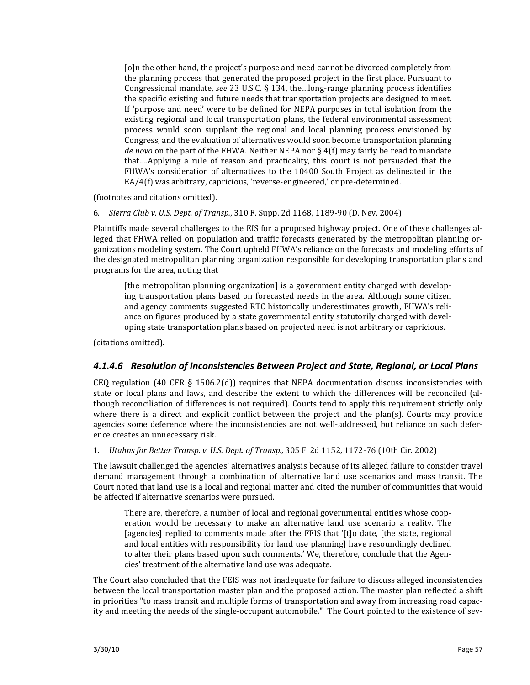[o]n the other hand, the project's purpose and need cannot be divorced completely from the planning process that generated the proposed project in the first place. Pursuant to Congressional mandate, *see* 23 U.S.C. § 134, the ... long-range planning process identifies the specific existing and future needs that transportation projects are designed to meet. If 'purpose and need' were to be defined for NEPA purposes in total isolation from the existing regional and local transportation plans, the federal environmental assessment process would soon supplant the regional and local planning process envisioned by Congress, and the evaluation of alternatives would soon become transportation planning *de novo* on the part of the FHWA. Neither NEPA nor § 4(f) may fairly be read to mandate that….Applying a rule of reason and practicality, this court is not persuaded that the FHWA's consideration of alternatives to the 10400 South Project as delineated in the EA/4(f) was arbitrary, capricious, 'reverse-engineered,' or pre-determined.

(footnotes and citations omitted).

6. *Sierra Club v. U.S. Dept. of Transp.*, 310 F. Supp. 2d 1168, 1189‐90 (D. Nev. 2004)

Plaintiffs made several challenges to the EIS for a proposed highway project. One of these challenges al‐ leged that FHWA relied on population and traffic forecasts generated by the metropolitan planning organizations modeling system. The Court upheld FHWA's reliance on the forecasts and modeling efforts of the designated metropolitan planning organization responsible for developing transportation plans and programs for the area, noting that

[the metropolitan planning organization] is a government entity charged with develop‐ ing transportation plans based on forecasted needs in the area. Although some citizen and agency comments suggested RTC historically underestimates growth, FHWA's reli‐ ance on figures produced by a state governmental entity statutorily charged with developing state transportation plans based on projected need is not arbitrary or capricious.

(citations omitted).

#### *4.1.4.6 Resolution of Inconsistencies Between Project and State, Regional, or Local Plans*

CEQ regulation (40 CFR  $\S$  1506.2(d)) requires that NEPA documentation discuss inconsistencies with state or local plans and laws, and describe the extent to which the differences will be reconciled (although reconciliation of differences is not required). Courts tend to apply this requirement strictly only where there is a direct and explicit conflict between the project and the plan(s). Courts may provide agencies some deference where the inconsistencies are not well-addressed, but reliance on such deference creates an unnecessary risk.

1. *Utahns for Better Transp. v. U.S. Dept. of Transp.*, 305 F. 2d 1152, 1172‐76 (10th Cir. 2002)

The lawsuit challenged the agencies' alternatives analysis because of its alleged failure to consider travel demand management through a combination of alternative land use scenarios and mass transit. The Court noted that land use is a local and regional matter and cited the number of communities that would be affected if alternative scenarios were pursued.

There are, therefore, a number of local and regional governmental entities whose cooperation would be necessary to make an alternative land use scenario a reality. The [agencies] replied to comments made after the FEIS that '[t]o date, [the state, regional and local entities with responsibility for land use planning] have resoundingly declined to alter their plans based upon such comments.' We, therefore, conclude that the Agencies' treatment of the alternative land use was adequate.

The Court also concluded that the FEIS was not inadequate for failure to discuss alleged inconsistencies between the local transportation master plan and the proposed action. The master plan reflected a shift in priorities "to mass transit and multiple forms of transportation and away from increasing road capac‐ ity and meeting the needs of the single-occupant automobile." The Court pointed to the existence of sev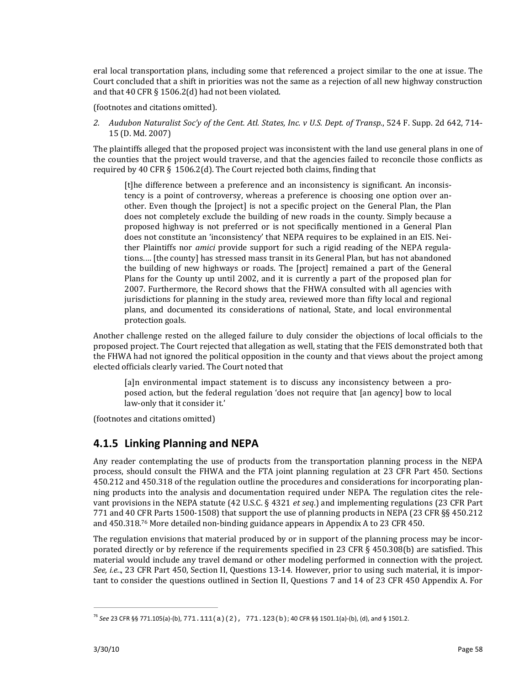eral local transportation plans, including some that referenced a project similar to the one at issue. The Court concluded that a shift in priorities was not the same as a rejection of all new highway construction and that 40 CFR § 1506.2(d) had not been violated.

(footnotes and citations omitted).

*2. Audubon Naturalist Soc'y of the Cent. Atl. States, Inc. v U.S. Dept. of Transp.*, 524 F. Supp. 2d 642, 714‐ 15 (D. Md. 2007)

The plaintiffs alleged that the proposed project was inconsistent with the land use general plans in one of the counties that the project would traverse, and that the agencies failed to reconcile those conflicts as required by 40 CFR § 1506.2(d). The Court rejected both claims, finding that

[t]he difference between a preference and an inconsistency is significant. An inconsistency is a point of controversy, whereas a preference is choosing one option over an‐ other. Even though the [project] is not a specific project on the General Plan, the Plan does not completely exclude the building of new roads in the county. Simply because a proposed highway is not preferred or is not specifically mentioned in a General Plan does not constitute an 'inconsistency' that NEPA requires to be explained in an EIS. Neither Plaintiffs nor *amici* provide support for such a rigid reading of the NEPA regulations.… [the county] has stressed mass transit in its General Plan, but has not abandoned the building of new highways or roads. The [project] remained a part of the General Plans for the County up until 2002, and it is currently a part of the proposed plan for 2007. Furthermore, the Record shows that the FHWA consulted with all agencies with jurisdictions for planning in the study area, reviewed more than fifty local and regional plans, and documented its considerations of national, State, and local environmental protection goals.

Another challenge rested on the alleged failure to duly consider the objections of local officials to the proposed project. The Court rejected that allegation as well, stating that the FEIS demonstrated both that the FHWA had not ignored the political opposition in the county and that views about the project among elected officials clearly varied. The Court noted that

[a]n environmental impact statement is to discuss any inconsistency between a proposed action, but the federal regulation 'does not require that [an agency] bow to local law‐only that it consider it.'

(footnotes and citations omitted)

<u> Andreas Andreas Andreas Andreas Andreas Andreas Andreas Andreas Andreas Andreas Andreas Andreas Andreas Andr</u>

### **4.1.5 Linking Planning and NEPA**

Any reader contemplating the use of products from the transportation planning process in the NEPA process, should consult the FHWA and the FTA joint planning regulation at 23 CFR Part 450. Sections 450.212 and 450.318 of the regulation outline the procedures and considerations for incorporating plan‐ ning products into the analysis and documentation required under NEPA. The regulation cites the rele‐ vant provisions in the NEPA statute (42 U.S.C. § 4321 *et seq*.) and implementing regulations (23 CFR Part 771 and 40 CFR Parts 1500‐1508) that support the use of planning products in NEPA (23 CFR §§ 450.212 and 450.318.76 More detailed non‐binding guidance appears in Appendix A to 23 CFR 450.

The regulation envisions that material produced by or in support of the planning process may be incorporated directly or by reference if the requirements specified in 23 CFR § 450.308(b) are satisfied. This material would include any travel demand or other modeling performed in connection with the project. *See, i.e..,* 23 CFR Part 450, Section II, Questions 13-14. However, prior to using such material, it is important to consider the questions outlined in Section II, Questions 7 and 14 of 23 CFR 450 Appendix A. For

<sup>76</sup> *See* 23 CFR §§ 771.105(a)‐(b), 771.111(a)(2), 771.123(b); 40 CFR §§ 1501.1(a)‐(b), (d), and § 1501.2.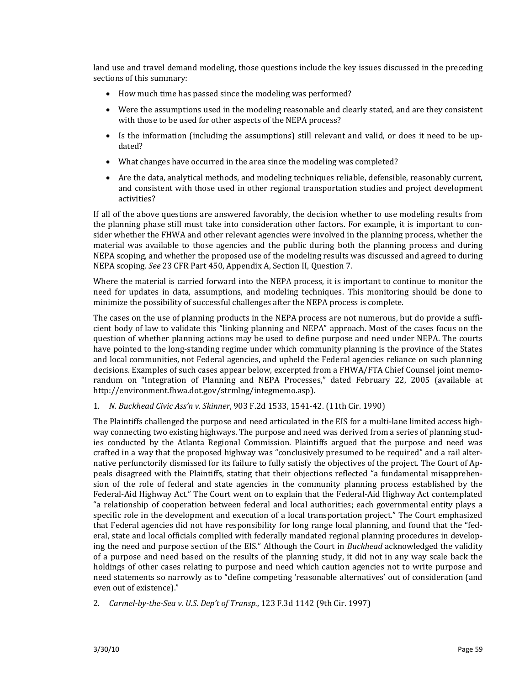land use and travel demand modeling, those questions include the key issues discussed in the preceding sections of this summary:

- How much time has passed since the modeling was performed?
- Were the assumptions used in the modeling reasonable and clearly stated, and are they consistent with those to be used for other aspects of the NEPA process?
- Is the information (including the assumptions) still relevant and valid, or does it need to be updated?
- What changes have occurred in the area since the modeling was completed?
- Are the data, analytical methods, and modeling techniques reliable, defensible, reasonably current, and consistent with those used in other regional transportation studies and project development activities?

If all of the above questions are answered favorably, the decision whether to use modeling results from the planning phase still must take into consideration other factors. For example, it is important to consider whether the FHWA and other relevant agencies were involved in the planning process, whether the material was available to those agencies and the public during both the planning process and during NEPA scoping, and whether the proposed use of the modeling results was discussed and agreed to during NEPA scoping. *See* 23 CFR Part 450, Appendix A, Section II, Question 7.

Where the material is carried forward into the NEPA process, it is important to continue to monitor the need for updates in data, assumptions, and modeling techniques. This monitoring should be done to minimize the possibility of successful challenges after the NEPA process is complete.

The cases on the use of planning products in the NEPA process are not numerous, but do provide a sufficient body of law to validate this "linking planning and NEPA" approach. Most of the cases focus on the question of whether planning actions may be used to define purpose and need under NEPA. The courts have pointed to the long-standing regime under which community planning is the province of the States and local communities, not Federal agencies, and upheld the Federal agencies reliance on such planning decisions. Examples of such cases appear below, excerpted from a FHWA/FTA Chief Counsel joint memorandum on "Integration of Planning and NEPA Processes," dated February 22, 2005 (available at http://environment.fhwa.dot.gov/strmlng/integmemo.asp).

#### 1. *N. Buckhead Civic Ass'n v. Skinner*, 903 F.2d 1533, 1541‐42. (11th Cir. 1990)

The Plaintiffs challenged the purpose and need articulated in the EIS for a multi-lane limited access highway connecting two existing highways. The purpose and need was derived from a series of planning studies conducted by the Atlanta Regional Commission. Plaintiffs argued that the purpose and need was crafted in a way that the proposed highway was "conclusively presumed to be required" and a rail alter‐ native perfunctorily dismissed for its failure to fully satisfy the objectives of the project. The Court of Ap‐ peals disagreed with the Plaintiffs, stating that their objections reflected "a fundamental misapprehension of the role of federal and state agencies in the community planning process established by the Federal‐Aid Highway Act." The Court went on to explain that the Federal‐Aid Highway Act contemplated "a relationship of cooperation between federal and local authorities; each governmental entity plays a specific role in the development and execution of a local transportation project." The Court emphasized that Federal agencies did not have responsibility for long range local planning, and found that the "fed‐ eral, state and local officials complied with federally mandated regional planning procedures in developing the need and purpose section of the EIS." Although the Court in *Buckhead* acknowledged the validity of a purpose and need based on the results of the planning study, it did not in any way scale back the holdings of other cases relating to purpose and need which caution agencies not to write purpose and need statements so narrowly as to "define competing 'reasonable alternatives' out of consideration (and even out of existence)."

2. *CarmelbytheSea v. U.S. Dep't of Transp.*, 123 F.3d 1142 (9th Cir. 1997)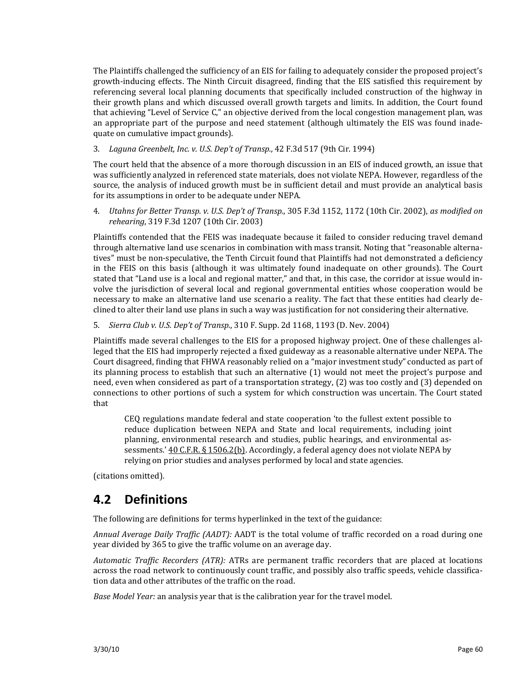The Plaintiffs challenged the sufficiency of an EIS for failing to adequately consider the proposed project's growth-inducing effects. The Ninth Circuit disagreed, finding that the EIS satisfied this requirement by referencing several local planning documents that specifically included construction of the highway in their growth plans and which discussed overall growth targets and limits. In addition, the Court found that achieving "Level of Service C," an objective derived from the local congestion management plan, was an appropriate part of the purpose and need statement (although ultimately the EIS was found inadequate on cumulative impact grounds).

3. *Laguna Greenbelt, Inc. v. U.S. Dep't of Transp.*, 42 F.3d 517 (9th Cir. 1994)

The court held that the absence of a more thorough discussion in an EIS of induced growth, an issue that was sufficiently analyzed in referenced state materials, does not violate NEPA. However, regardless of the source, the analysis of induced growth must be in sufficient detail and must provide an analytical basis for its assumptions in order to be adequate under NEPA.

4. *Utahns for Better Transp. v. U.S. Dep't of Transp.*, 305 F.3d 1152, 1172 (10th Cir. 2002), *as modified on rehearing*, 319 F.3d 1207 (10th Cir. 2003)

Plaintiffs contended that the FEIS was inadequate because it failed to consider reducing travel demand through alternative land use scenarios in combination with mass transit. Noting that "reasonable alternatives" must be non‐speculative, the Tenth Circuit found that Plaintiffs had not demonstrated a deficiency in the FEIS on this basis (although it was ultimately found inadequate on other grounds). The Court stated that "Land use is a local and regional matter," and that, in this case, the corridor at issue would in‐ volve the jurisdiction of several local and regional governmental entities whose cooperation would be necessary to make an alternative land use scenario a reality. The fact that these entities had clearly de‐ clined to alter their land use plans in such a way was justification for not considering their alternative.

5. *Sierra Club v. U.S. Dep't of Transp.*, 310 F. Supp. 2d 1168, 1193 (D. Nev. 2004)

Plaintiffs made several challenges to the EIS for a proposed highway project. One of these challenges al‐ leged that the EIS had improperly rejected a fixed guideway as a reasonable alternative under NEPA. The Court disagreed, finding that FHWA reasonably relied on a "major investment study" conducted as part of its planning process to establish that such an alternative (1) would not meet the project's purpose and need, even when considered as part of a transportation strategy, (2) was too costly and (3) depended on connections to other portions of such a system for which construction was uncertain. The Court stated that

CEQ regulations mandate federal and state cooperation 'to the fullest extent possible to reduce duplication between NEPA and State and local requirements, including joint planning, environmental research and studies, public hearings, and environmental as‐ sessments.' 40 C.F.R. § 1506.2(b). Accordingly, a federal agency does not violate NEPA by relying on prior studies and analyses performed by local and state agencies.

(citations omitted).

## **4.2 Definitions**

The following are definitions for terms hyperlinked in the text of the guidance:

*Annual Average Daily Traffic (AADT):* AADT is the total volume of traffic recorded on a road during one year divided by 365 to give the traffic volume on an average day.

*Automatic Traffic Recorders (ATR):* ATRs are permanent traffic recorders that are placed at locations across the road network to continuously count traffic, and possibly also traffic speeds, vehicle classification data and other attributes of the traffic on the road.

*Base Model Year:* an analysis year that is the calibration year for the travel model.